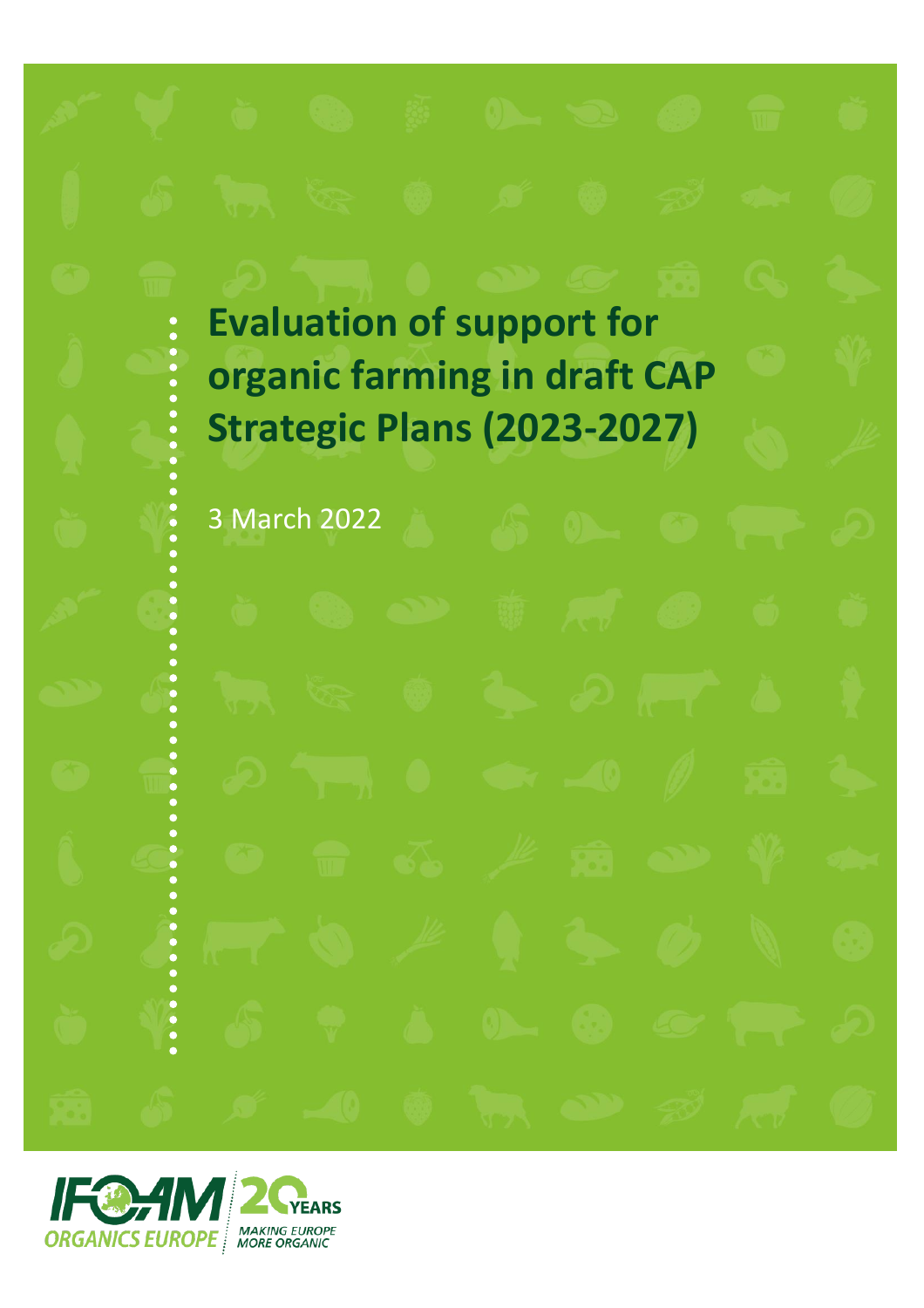**Evaluation of support for organic farming in draft CAP Strategic Plans (2023-2027)**

3 March 2022

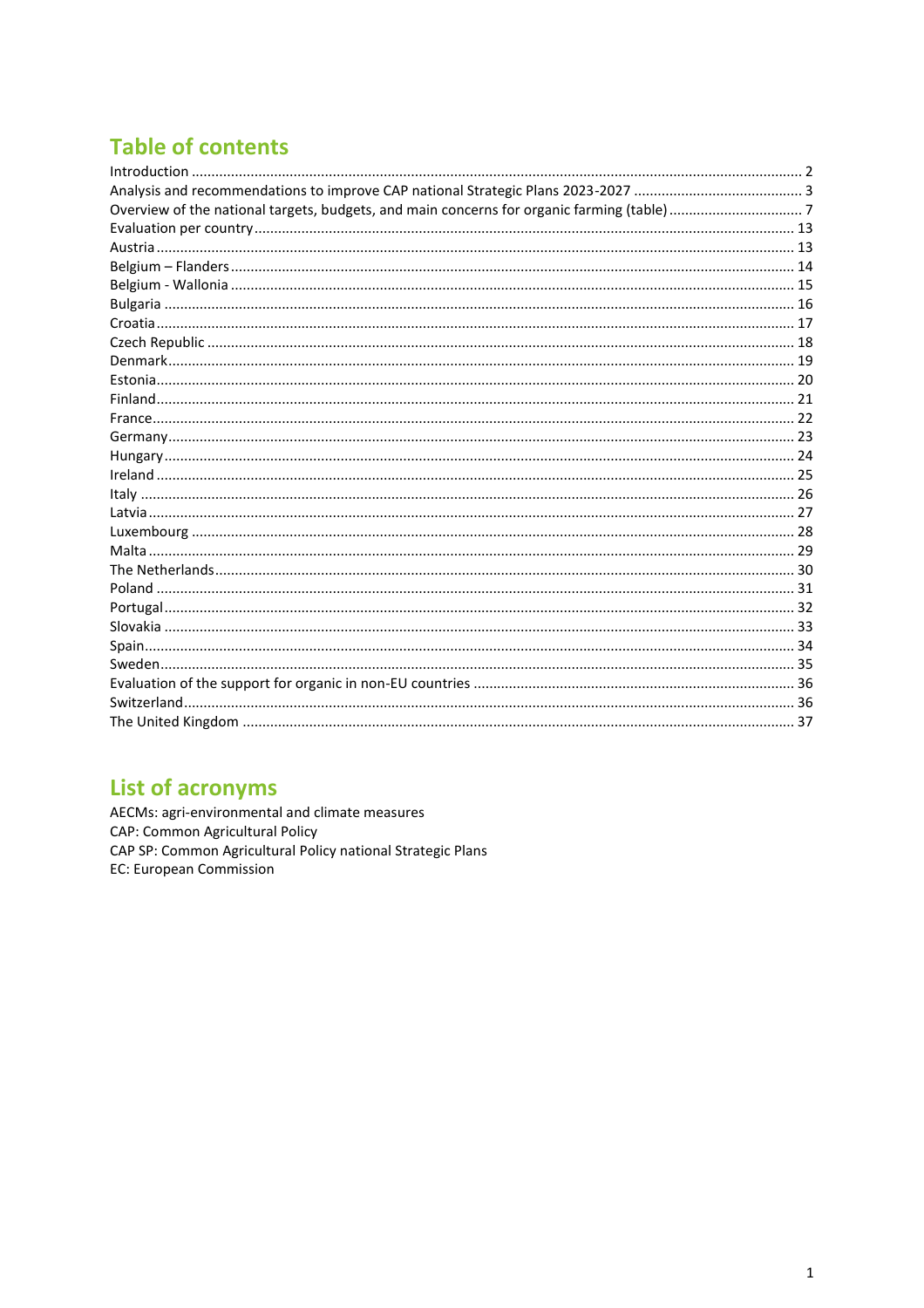# **Table of contents**

# **List of acronyms**

AECMs: agri-environmental and climate measures CAP: Common Agricultural Policy CAP SP: Common Agricultural Policy national Strategic Plans EC: European Commission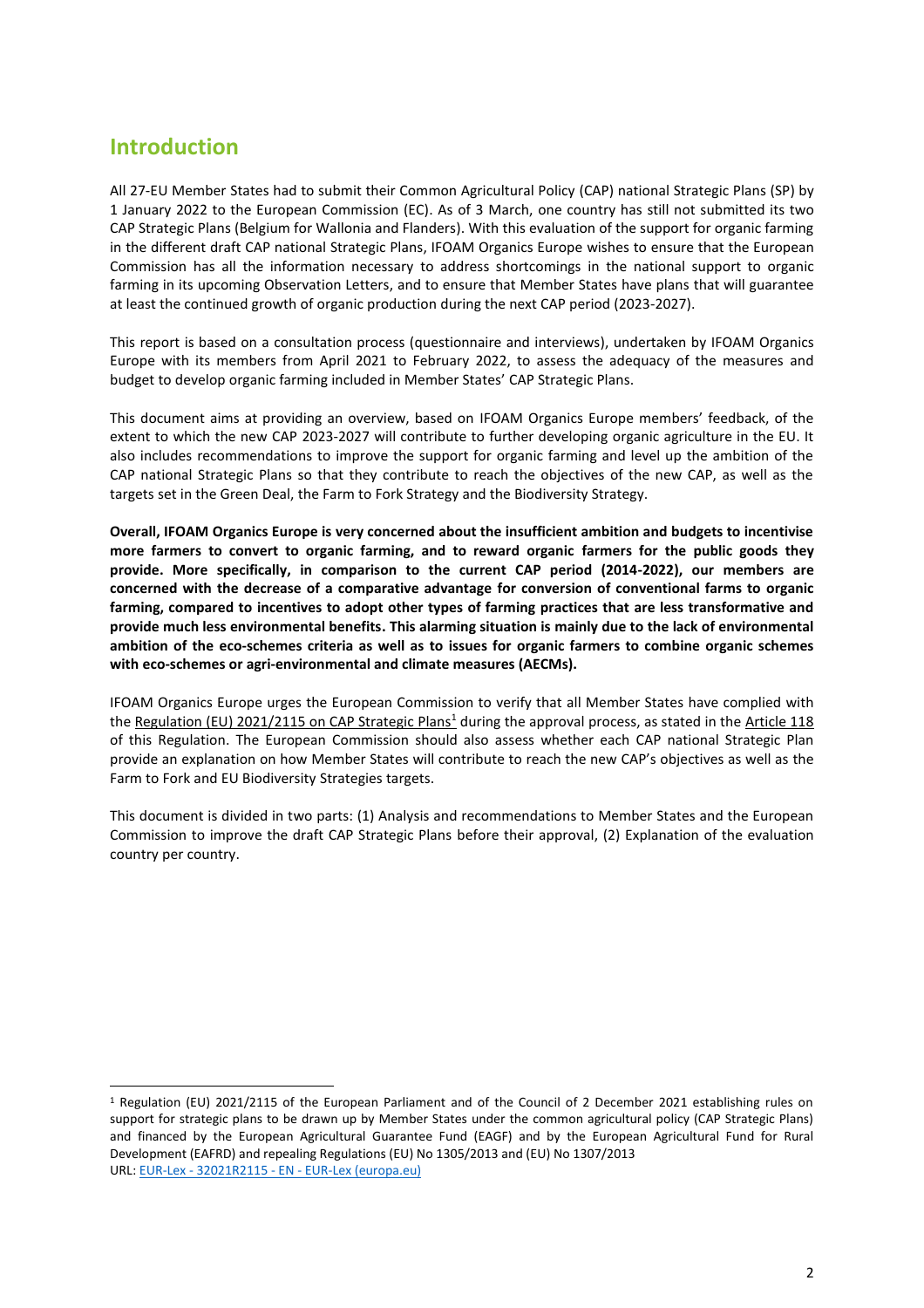# <span id="page-2-0"></span>**Introduction**

All 27-EU Member States had to submit their Common Agricultural Policy (CAP) national Strategic Plans (SP) by 1 January 2022 to the European Commission (EC). As of 3 March, one country has still not submitted its two CAP Strategic Plans (Belgium for Wallonia and Flanders). With this evaluation of the support for organic farming in the different draft CAP national Strategic Plans, IFOAM Organics Europe wishes to ensure that the European Commission has all the information necessary to address shortcomings in the national support to organic farming in its upcoming Observation Letters, and to ensure that Member States have plans that will guarantee at least the continued growth of organic production during the next CAP period (2023-2027).

This report is based on a consultation process (questionnaire and interviews), undertaken by IFOAM Organics Europe with its members from April 2021 to February 2022, to assess the adequacy of the measures and budget to develop organic farming included in Member States' CAP Strategic Plans.

This document aims at providing an overview, based on IFOAM Organics Europe members' feedback, of the extent to which the new CAP 2023-2027 will contribute to further developing organic agriculture in the EU. It also includes recommendations to improve the support for organic farming and level up the ambition of the CAP national Strategic Plans so that they contribute to reach the objectives of the new CAP, as well as the targets set in the Green Deal, the Farm to Fork Strategy and the Biodiversity Strategy.

**Overall, IFOAM Organics Europe is very concerned about the insufficient ambition and budgets to incentivise more farmers to convert to organic farming, and to reward organic farmers for the public goods they provide. More specifically, in comparison to the current CAP period (2014-2022), our members are concerned with the decrease of a comparative advantage for conversion of conventional farms to organic farming, compared to incentives to adopt other types of farming practices that are less transformative and provide much less environmental benefits. This alarming situation is mainly due to the lack of environmental ambition of the eco-schemes criteria as well as to issues for organic farmers to combine organic schemes with eco-schemes or agri-environmental and climate measures (AECMs).**

IFOAM Organics Europe urges the European Commission to verify that all Member States have complied with the Regulation (EU) 2021/2115 on CAP Strategic Plans<sup>1</sup> during the approval process, as stated in the Article 118 of this Regulation. The European Commission should also assess whether each CAP national Strategic Plan provide an explanation on how Member States will contribute to reach the new CAP's objectives as well as the Farm to Fork and EU Biodiversity Strategies targets.

This document is divided in two parts: (1) Analysis and recommendations to Member States and the European Commission to improve the draft CAP Strategic Plans before their approval, (2) Explanation of the evaluation country per country.

<sup>1</sup> Regulation (EU) 2021/2115 of the European Parliament and of the Council of 2 December 2021 establishing rules on support for strategic plans to be drawn up by Member States under the common agricultural policy (CAP Strategic Plans) and financed by the European Agricultural Guarantee Fund (EAGF) and by the European Agricultural Fund for Rural Development (EAFRD) and repealing Regulations (EU) No 1305/2013 and (EU) No 1307/2013 URL: EUR-Lex - 32021R2115 - EN - [EUR-Lex \(europa.eu\)](https://eur-lex.europa.eu/legal-content/EN/TXT/?uri=uriserv%3AOJ.L_.2021.435.01.0001.01.ENG&toc=OJ%3AL%3A2021%3A435%3ATOC)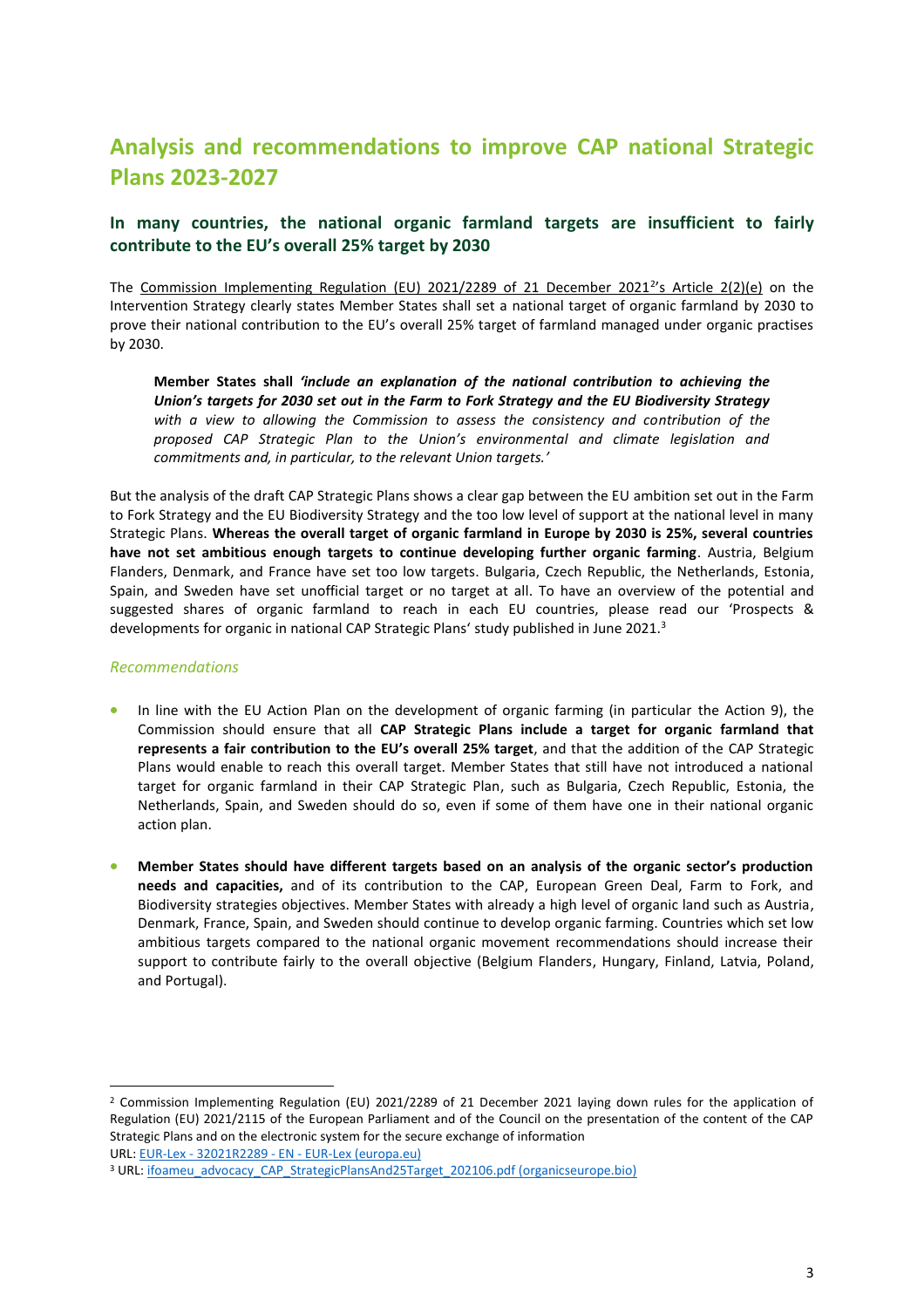# <span id="page-3-0"></span>**Analysis and recommendations to improve CAP national Strategic Plans 2023-2027**

# **In many countries, the national organic farmland targets are insufficient to fairly contribute to the EU's overall 25% target by 2030**

The Commission Implementing Regulation (EU) 2021/2289 of 21 December 2021<sup>2</sup>'s Article 2(2)(e) on the Intervention Strategy clearly states Member States shall set a national target of organic farmland by 2030 to prove their national contribution to the EU's overall 25% target of farmland managed under organic practises by 2030.

**Member States shall** *'include an explanation of the national contribution to achieving the Union's targets for 2030 set out in the Farm to Fork Strategy and the EU Biodiversity Strategy with a view to allowing the Commission to assess the consistency and contribution of the proposed CAP Strategic Plan to the Union's environmental and climate legislation and commitments and, in particular, to the relevant Union targets.'* 

But the analysis of the draft CAP Strategic Plans shows a clear gap between the EU ambition set out in the Farm to Fork Strategy and the EU Biodiversity Strategy and the too low level of support at the national level in many Strategic Plans. **Whereas the overall target of organic farmland in Europe by 2030 is 25%, several countries have not set ambitious enough targets to continue developing further organic farming**. Austria, Belgium Flanders, Denmark, and France have set too low targets. Bulgaria, Czech Republic, the Netherlands, Estonia, Spain, and Sweden have set unofficial target or no target at all. To have an overview of the potential and suggested shares of organic farmland to reach in each EU countries, please read our 'Prospects & developments for organic in national CAP Strategic Plans' study published in June 2021.<sup>3</sup>

#### *Recommendations*

- In line with the EU Action Plan on the development of organic farming (in particular the Action 9), the Commission should ensure that all **CAP Strategic Plans include a target for organic farmland that represents a fair contribution to the EU's overall 25% target**, and that the addition of the CAP Strategic Plans would enable to reach this overall target. Member States that still have not introduced a national target for organic farmland in their CAP Strategic Plan, such as Bulgaria, Czech Republic, Estonia, the Netherlands, Spain, and Sweden should do so, even if some of them have one in their national organic action plan.
- **Member States should have different targets based on an analysis of the organic sector's production needs and capacities,** and of its contribution to the CAP, European Green Deal, Farm to Fork, and Biodiversity strategies objectives. Member States with already a high level of organic land such as Austria, Denmark, France, Spain, and Sweden should continue to develop organic farming. Countries which set low ambitious targets compared to the national organic movement recommendations should increase their support to contribute fairly to the overall objective (Belgium Flanders, Hungary, Finland, Latvia, Poland, and Portugal).

<sup>2</sup> Commission Implementing Regulation (EU) 2021/2289 of 21 December 2021 laying down rules for the application of Regulation (EU) 2021/2115 of the European Parliament and of the Council on the presentation of the content of the CAP Strategic Plans and on the electronic system for the secure exchange of information URL: EUR-Lex - 32021R2289 - EN - [EUR-Lex \(europa.eu\)](https://eur-lex.europa.eu/legal-content/ES/TXT/?uri=uriserv:OJ.L_.2021.458.01.0463.01.SPA&toc=OJ:L:2021:458:TOC)

<sup>&</sup>lt;sup>3</sup> URL: [ifoameu\\_advocacy\\_CAP\\_StrategicPlansAnd25Target\\_202106.pdf \(organicseurope.bio\)](https://www.organicseurope.bio/content/uploads/2021/06/ifoameu_advocacy_CAP_StrategicPlansAnd25Target_202106.pdf?dd)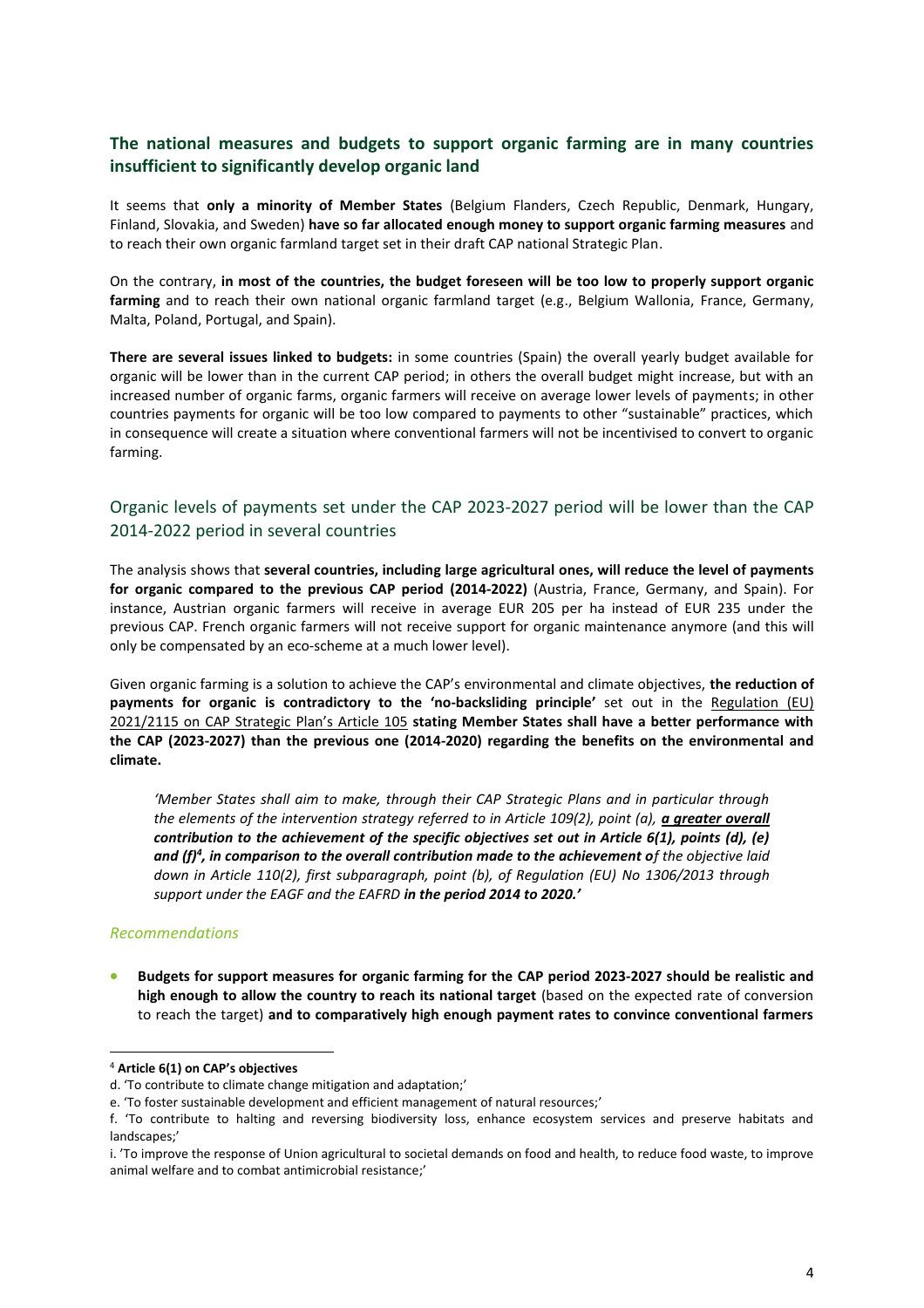# **The national measures and budgets to support organic farming are in many countries insufficient to significantly develop organic land**

It seems that **only a minority of Member States** (Belgium Flanders, Czech Republic, Denmark, Hungary, Finland, Slovakia, and Sweden) **have so far allocated enough money to support organic farming measures** and to reach their own organic farmland target set in their draft CAP national Strategic Plan.

On the contrary, **in most of the countries, the budget foreseen will be too low to properly support organic farming** and to reach their own national organic farmland target (e.g., Belgium Wallonia, France, Germany, Malta, Poland, Portugal, and Spain).

**There are several issues linked to budgets:** in some countries (Spain) the overall yearly budget available for organic will be lower than in the current CAP period; in others the overall budget might increase, but with an increased number of organic farms, organic farmers will receive on average lower levels of payments; in other countries payments for organic will be too low compared to payments to other "sustainable" practices, which in consequence will create a situation where conventional farmers will not be incentivised to convert to organic farming.

# Organic levels of payments set under the CAP 2023-2027 period will be lower than the CAP 2014-2022 period in several countries

The analysis shows that **several countries, including large agricultural ones, will reduce the level of payments for organic compared to the previous CAP period (2014-2022)** (Austria, France, Germany, and Spain). For instance, Austrian organic farmers will receive in average EUR 205 per ha instead of EUR 235 under the previous CAP. French organic farmers will not receive support for organic maintenance anymore (and this will only be compensated by an eco-scheme at a much lower level).

Given organic farming is a solution to achieve the CAP's environmental and climate objectives, **the reduction of payments for organic is contradictory to the 'no-backsliding principle'** set out in the Regulation (EU) 2021/2115 on CAP Strategic Plan's Article 105 **stating Member States shall have a better performance with the CAP (2023-2027) than the previous one (2014-2020) regarding the benefits on the environmental and climate.**

*'Member States shall aim to make, through their CAP Strategic Plans and in particular through the elements of the intervention strategy referred to in Article 109(2), point (a), a greater overall contribution to the achievement of the specific objectives set out in Article 6(1), points (d), (e) and (f)<sup>4</sup> , in comparison to the overall contribution made to the achievement of the objective laid down in Article 110(2), first subparagraph, point (b), of Regulation (EU) No 1306/2013 through support under the EAGF and the EAFRD in the period 2014 to 2020.'*

#### *Recommendations*

• **Budgets for support measures for organic farming for the CAP period 2023-2027 should be realistic and high enough to allow the country to reach its national target** (based on the expected rate of conversion to reach the target) **and to comparatively high enough payment rates to convince conventional farmers** 

<sup>4</sup> **Article 6(1) on CAP's objectives**

d. 'To contribute to climate change mitigation and adaptation;'

e. 'To foster sustainable development and efficient management of natural resources;'

f. 'To contribute to halting and reversing biodiversity loss, enhance ecosystem services and preserve habitats and landscapes;'

i. 'To improve the response of Union agricultural to societal demands on food and health, to reduce food waste, to improve animal welfare and to combat antimicrobial resistance;'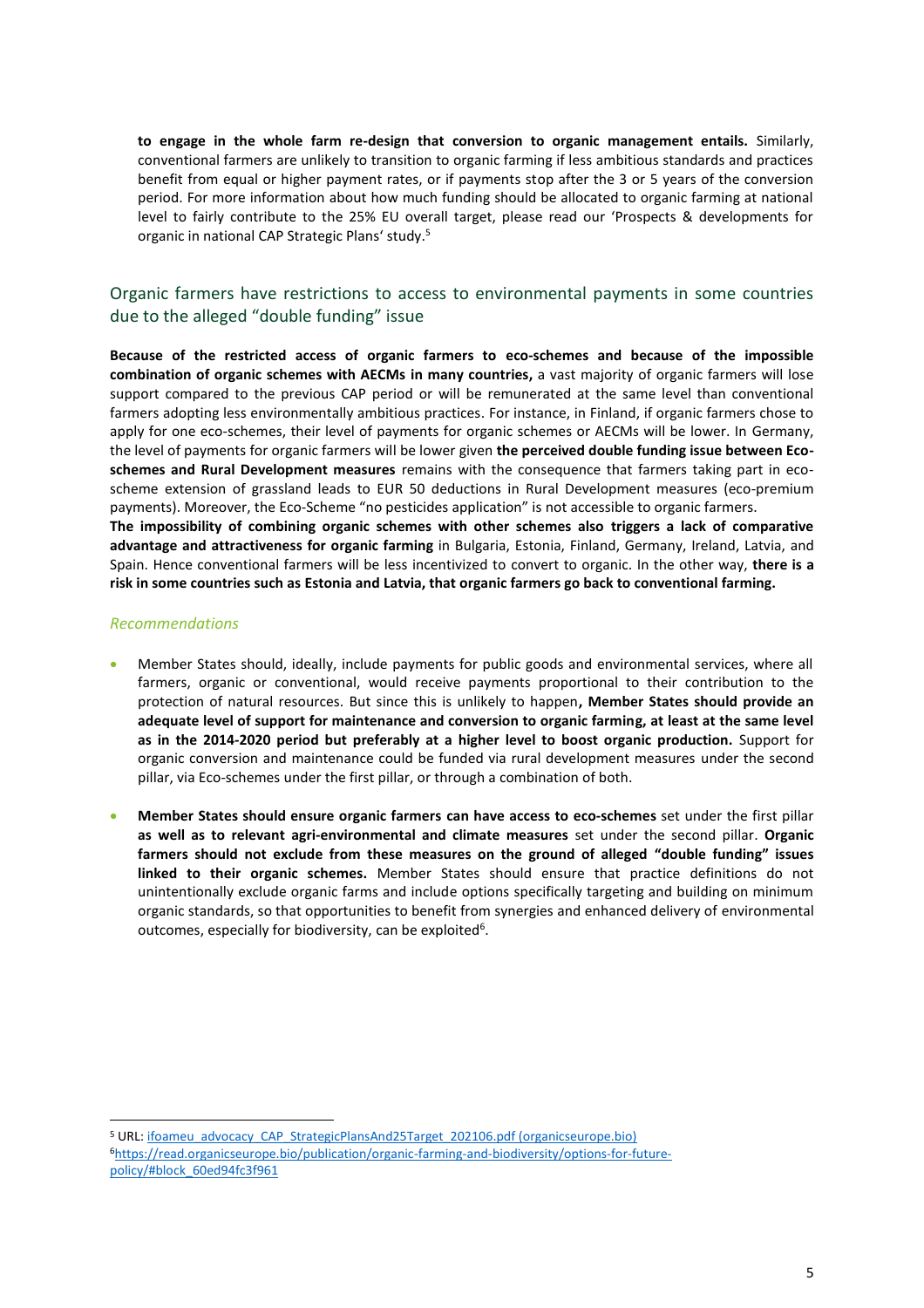**to engage in the whole farm re-design that conversion to organic management entails.** Similarly, conventional farmers are unlikely to transition to organic farming if less ambitious standards and practices benefit from equal or higher payment rates, or if payments stop after the 3 or 5 years of the conversion period. For more information about how much funding should be allocated to organic farming at national level to fairly contribute to the 25% EU overall target, please read our 'Prospects & developments for organic in national CAP Strategic Plans' study.<sup>5</sup>

## Organic farmers have restrictions to access to environmental payments in some countries due to the alleged "double funding" issue

**Because of the restricted access of organic farmers to eco-schemes and because of the impossible combination of organic schemes with AECMs in many countries,** a vast majority of organic farmers will lose support compared to the previous CAP period or will be remunerated at the same level than conventional farmers adopting less environmentally ambitious practices. For instance, in Finland, if organic farmers chose to apply for one eco-schemes, their level of payments for organic schemes or AECMs will be lower. In Germany, the level of payments for organic farmers will be lower given **the perceived double funding issue between Ecoschemes and Rural Development measures** remains with the consequence that farmers taking part in ecoscheme extension of grassland leads to EUR 50 deductions in Rural Development measures (eco-premium payments). Moreover, the Eco-Scheme "no pesticides application" is not accessible to organic farmers.

**The impossibility of combining organic schemes with other schemes also triggers a lack of comparative advantage and attractiveness for organic farming** in Bulgaria, Estonia, Finland, Germany, Ireland, Latvia, and Spain. Hence conventional farmers will be less incentivized to convert to organic. In the other way, **there is a risk in some countries such as Estonia and Latvia, that organic farmers go back to conventional farming.**

#### *Recommendations*

- Member States should, ideally, include payments for public goods and environmental services, where all farmers, organic or conventional, would receive payments proportional to their contribution to the protection of natural resources. But since this is unlikely to happen**, Member States should provide an adequate level of support for maintenance and conversion to organic farming, at least at the same level as in the 2014-2020 period but preferably at a higher level to boost organic production.** Support for organic conversion and maintenance could be funded via rural development measures under the second pillar, via Eco-schemes under the first pillar, or through a combination of both.
- **Member States should ensure organic farmers can have access to eco-schemes** set under the first pillar **as well as to relevant agri-environmental and climate measures** set under the second pillar. **Organic farmers should not exclude from these measures on the ground of alleged "double funding" issues linked to their organic schemes.** Member States should ensure that practice definitions do not unintentionally exclude organic farms and include options specifically targeting and building on minimum organic standards, so that opportunities to benefit from synergies and enhanced delivery of environmental outcomes, especially for biodiversity, can be exploited<sup>6</sup>.

<sup>&</sup>lt;sup>5</sup> URL: [ifoameu\\_advocacy\\_CAP\\_StrategicPlansAnd25Target\\_202106.pdf \(organicseurope.bio\)](https://www.organicseurope.bio/content/uploads/2021/06/ifoameu_advocacy_CAP_StrategicPlansAnd25Target_202106.pdf?dd) 6[https://read.organicseurope.bio/publication/organic-farming-and-biodiversity/options-for-future](https://read.organicseurope.bio/publication/organic-farming-and-biodiversity/options-for-future-policy/#block_60ed94fc3f961)[policy/#block\\_60ed94fc3f961](https://read.organicseurope.bio/publication/organic-farming-and-biodiversity/options-for-future-policy/#block_60ed94fc3f961)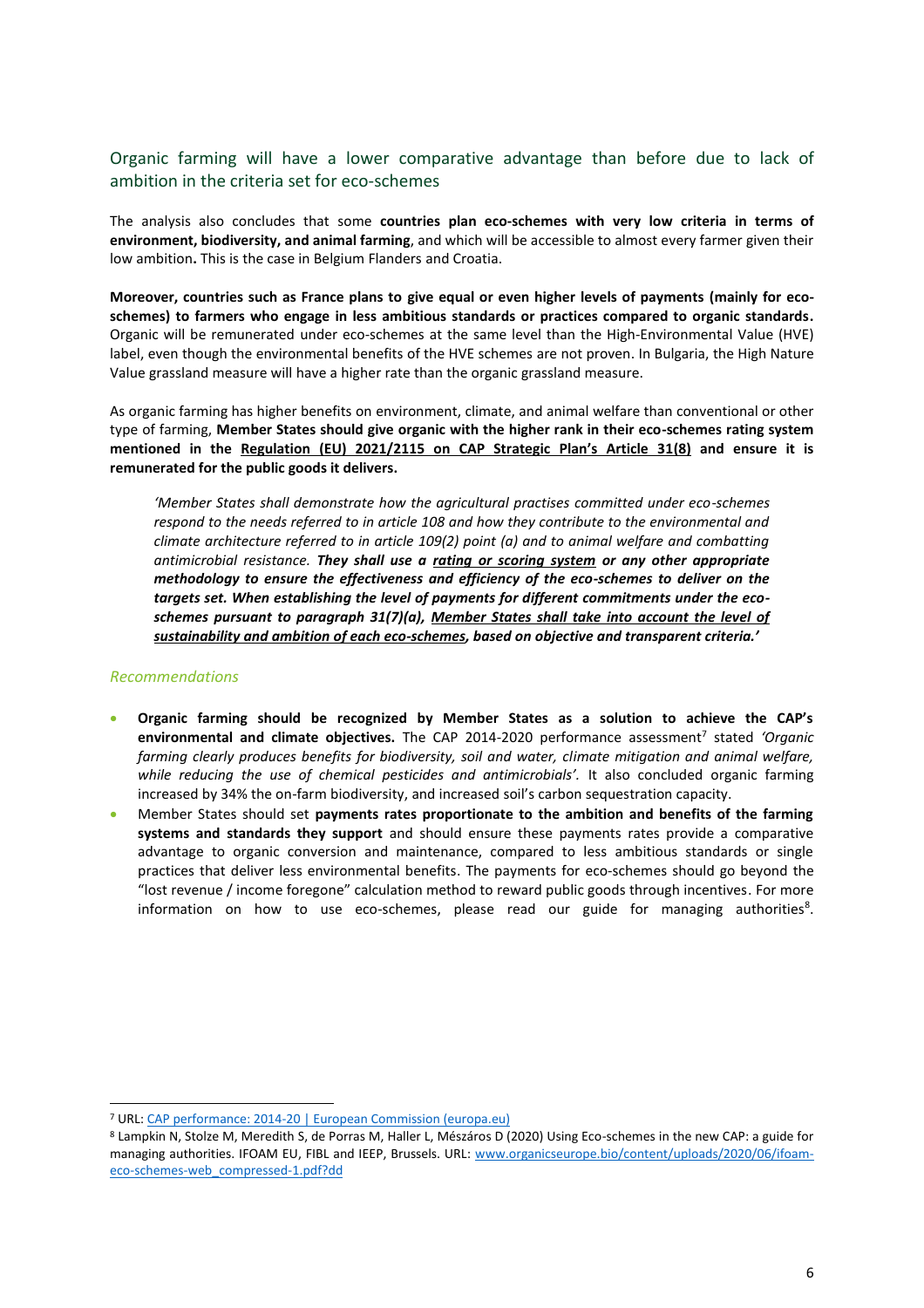# Organic farming will have a lower comparative advantage than before due to lack of ambition in the criteria set for eco-schemes

The analysis also concludes that some **countries plan eco-schemes with very low criteria in terms of environment, biodiversity, and animal farming**, and which will be accessible to almost every farmer given their low ambition**.** This is the case in Belgium Flanders and Croatia.

**Moreover, countries such as France plans to give equal or even higher levels of payments (mainly for ecoschemes) to farmers who engage in less ambitious standards or practices compared to organic standards.**  Organic will be remunerated under eco-schemes at the same level than the High-Environmental Value (HVE) label, even though the environmental benefits of the HVE schemes are not proven. In Bulgaria, the High Nature Value grassland measure will have a higher rate than the organic grassland measure.

As organic farming has higher benefits on environment, climate, and animal welfare than conventional or other type of farming, **Member States should give organic with the higher rank in their eco-schemes rating system mentioned in the Regulation (EU) 2021/2115 on CAP Strategic Plan's Article 31(8) and ensure it is remunerated for the public goods it delivers.**

*'Member States shall demonstrate how the agricultural practises committed under eco-schemes respond to the needs referred to in article 108 and how they contribute to the environmental and climate architecture referred to in article 109(2) point (a) and to animal welfare and combatting antimicrobial resistance. They shall use a rating or scoring system or any other appropriate methodology to ensure the effectiveness and efficiency of the eco-schemes to deliver on the targets set. When establishing the level of payments for different commitments under the ecoschemes pursuant to paragraph 31(7)(a), Member States shall take into account the level of sustainability and ambition of each eco-schemes, based on objective and transparent criteria.'*

#### *Recommendations*

- **Organic farming should be recognized by Member States as a solution to achieve the CAP's**  environmental and climate objectives. The CAP 2014-2020 performance assessment<sup>7</sup> stated 'Organic *farming clearly produces benefits for biodiversity, soil and water, climate mitigation and animal welfare,*  while reducing the use of chemical pesticides and antimicrobials'. It also concluded organic farming increased by 34% the on-farm biodiversity, and increased soil's carbon sequestration capacity.
- Member States should set **payments rates proportionate to the ambition and benefits of the farming systems and standards they support** and should ensure these payments rates provide a comparative advantage to organic conversion and maintenance, compared to less ambitious standards or single practices that deliver less environmental benefits. The payments for eco-schemes should go beyond the "lost revenue / income foregone" calculation method to reward public goods through incentives. For more information on how to use eco-schemes, please read our guide for managing authorities<sup>8</sup>.

<sup>7</sup> URL: [CAP performance: 2014-20 | European Commission \(europa.eu\)](https://ec.europa.eu/info/food-farming-fisheries/key-policies/common-agricultural-policy/cmef/cap-performance-2014-20#introduction)

<sup>8</sup> Lampkin N, Stolze M, Meredith S, de Porras M, Haller L, Mészáros D (2020) Using Eco-schemes in the new CAP: a guide for managing authorities. IFOAM EU, FIBL and IEEP, Brussels. URL: [www.organicseurope.bio/content/uploads/2020/06/ifoam](http://www.organicseurope.bio/content/uploads/2020/06/ifoam-eco-schemes-web_compressed-1.pdf?dd)[eco-schemes-web\\_compressed-1.pdf?dd](http://www.organicseurope.bio/content/uploads/2020/06/ifoam-eco-schemes-web_compressed-1.pdf?dd)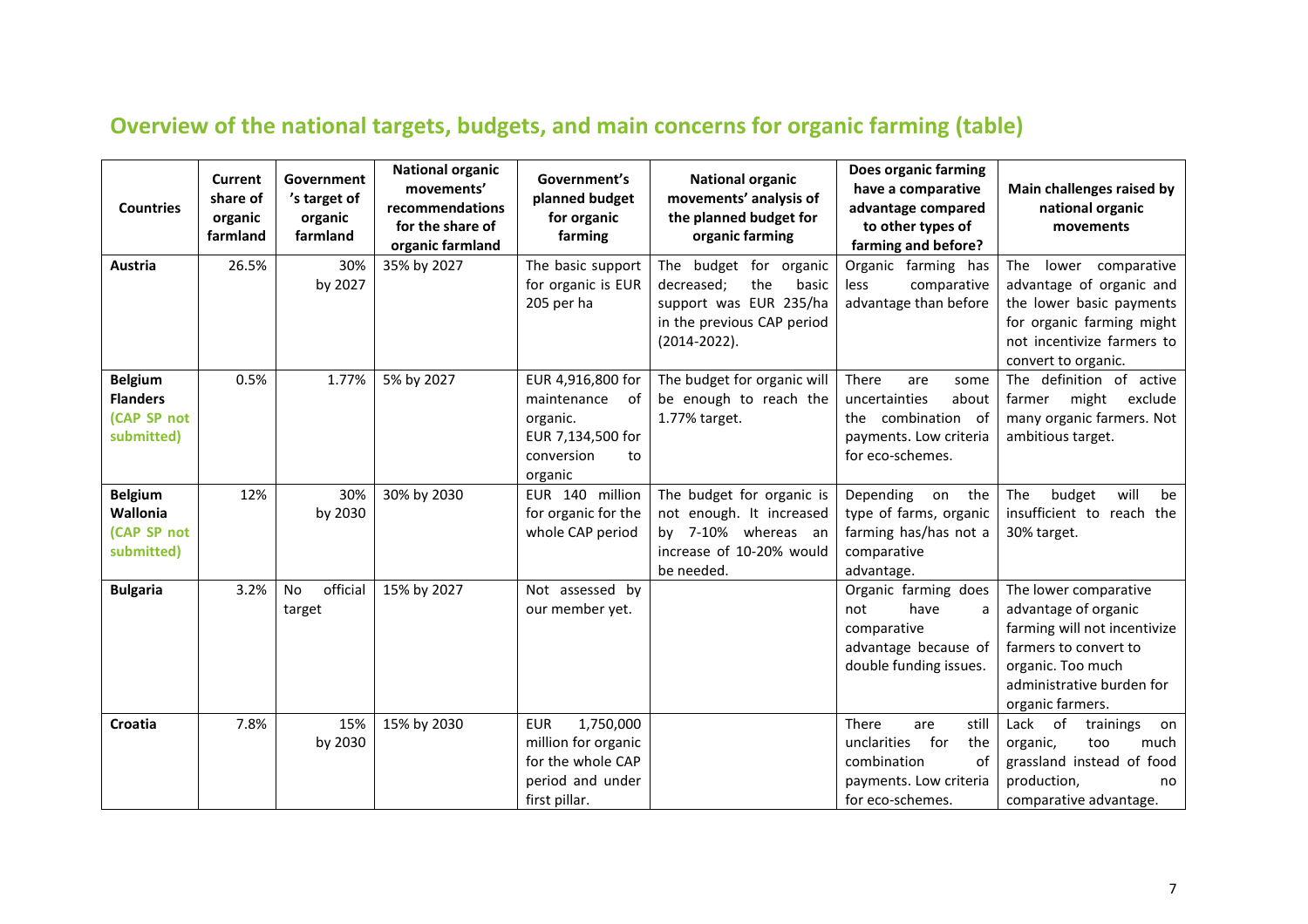# **Overview of the national targets, budgets, and main concerns for organic farming (table)**

<span id="page-7-0"></span>

| <b>Countries</b>                                               | Current<br>share of<br>organic<br>farmland | Government<br>'s target of<br>organic<br>farmland | <b>National organic</b><br>movements'<br>recommendations<br>for the share of<br>organic farmland | Government's<br>planned budget<br>for organic<br>farming                                                 | <b>National organic</b><br>movements' analysis of<br>the planned budget for<br>organic farming                                    | Does organic farming<br>have a comparative<br>advantage compared<br>to other types of<br>farming and before?          | Main challenges raised by<br>national organic<br>movements                                                                                                                   |
|----------------------------------------------------------------|--------------------------------------------|---------------------------------------------------|--------------------------------------------------------------------------------------------------|----------------------------------------------------------------------------------------------------------|-----------------------------------------------------------------------------------------------------------------------------------|-----------------------------------------------------------------------------------------------------------------------|------------------------------------------------------------------------------------------------------------------------------------------------------------------------------|
| Austria                                                        | 26.5%                                      | 30%<br>by 2027                                    | 35% by 2027                                                                                      | The basic support<br>for organic is EUR<br>205 per ha                                                    | The budget for organic<br>the<br>decreased:<br>basic<br>support was EUR 235/ha<br>in the previous CAP period<br>$(2014 - 2022)$ . | Organic farming has<br>comparative<br>less<br>advantage than before                                                   | The<br>lower comparative<br>advantage of organic and<br>the lower basic payments<br>for organic farming might<br>not incentivize farmers to<br>convert to organic.           |
| <b>Belgium</b><br><b>Flanders</b><br>(CAP SP not<br>submitted) | 0.5%                                       | 1.77%                                             | 5% by 2027                                                                                       | EUR 4,916,800 for<br>maintenance<br>of<br>organic.<br>EUR 7,134,500 for<br>conversion<br>to<br>organic   | The budget for organic will<br>be enough to reach the<br>1.77% target.                                                            | There<br>are<br>some<br>uncertainties<br>about<br>the combination of<br>payments. Low criteria<br>for eco-schemes.    | The definition of active<br>might<br>exclude<br>farmer<br>many organic farmers. Not<br>ambitious target.                                                                     |
| <b>Belgium</b><br>Wallonia<br>(CAP SP not<br>submitted)        | 12%                                        | 30%<br>by 2030                                    | 30% by 2030                                                                                      | EUR 140 million<br>for organic for the<br>whole CAP period                                               | The budget for organic is<br>not enough. It increased<br>by 7-10% whereas an<br>increase of 10-20% would<br>be needed.            | Depending<br>the<br>on<br>type of farms, organic<br>farming has/has not a<br>comparative<br>advantage.                | will<br>The<br>budget<br>be<br>insufficient to reach the<br>30% target.                                                                                                      |
| <b>Bulgaria</b>                                                | 3.2%                                       | official<br>No<br>target                          | 15% by 2027                                                                                      | Not assessed by<br>our member yet.                                                                       |                                                                                                                                   | Organic farming does<br>have<br>not<br>a<br>comparative<br>advantage because of<br>double funding issues.             | The lower comparative<br>advantage of organic<br>farming will not incentivize<br>farmers to convert to<br>organic. Too much<br>administrative burden for<br>organic farmers. |
| Croatia                                                        | 7.8%                                       | 15%<br>by 2030                                    | 15% by 2030                                                                                      | <b>EUR</b><br>1,750,000<br>million for organic<br>for the whole CAP<br>period and under<br>first pillar. |                                                                                                                                   | still<br>There<br>are<br>for<br>the<br>unclarities<br>combination<br>of<br>payments. Low criteria<br>for eco-schemes. | Lack of<br>trainings<br>on<br>organic,<br>too<br>much<br>grassland instead of food<br>production,<br>no<br>comparative advantage.                                            |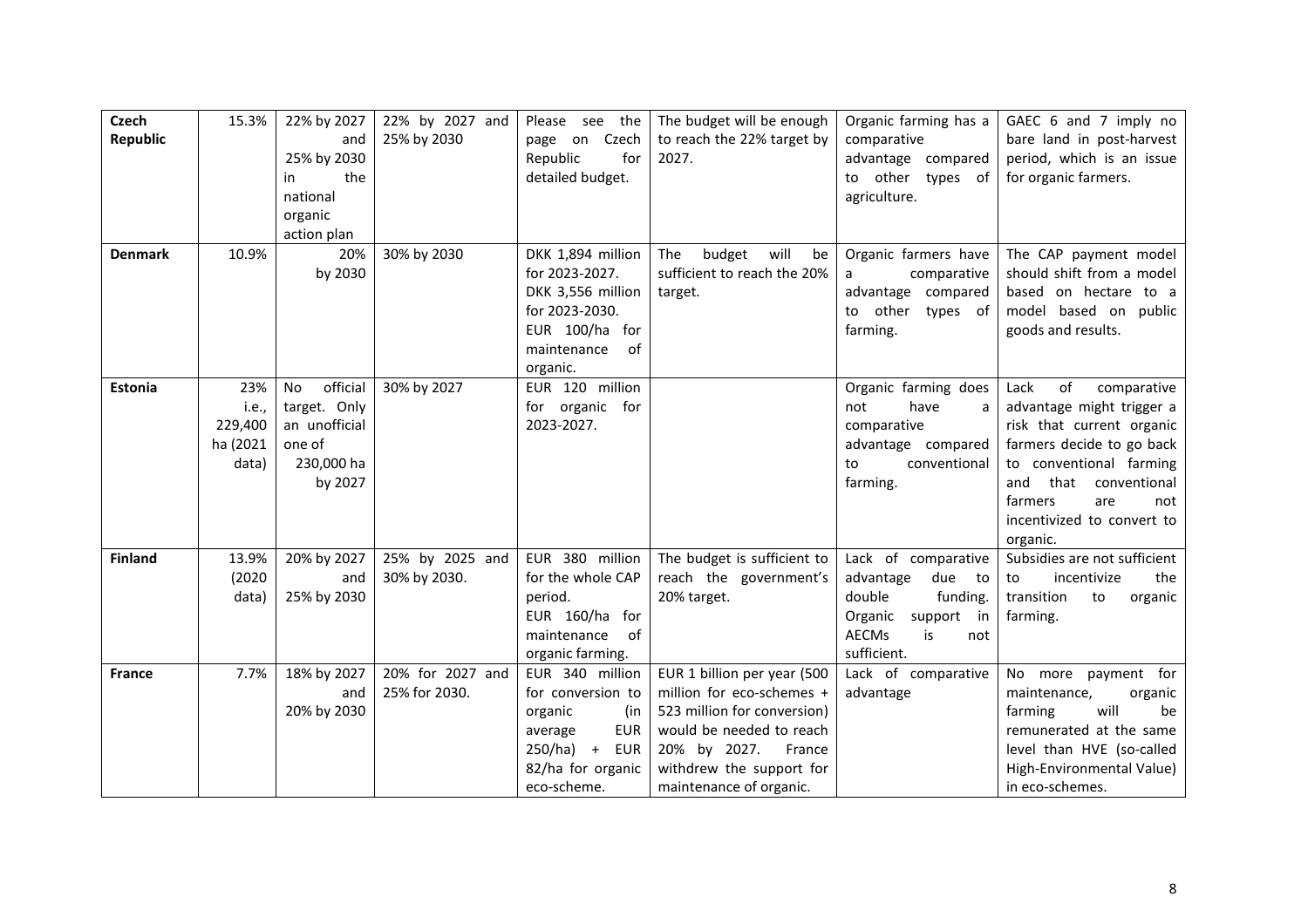| <b>Czech</b>    | 15.3%    | 22% by 2027    | 22% by 2027 and  | Please see the        | The budget will be enough   | Organic farming has a     | GAEC 6 and 7 imply no        |
|-----------------|----------|----------------|------------------|-----------------------|-----------------------------|---------------------------|------------------------------|
| <b>Republic</b> |          | and            | 25% by 2030      | Czech<br>page on      | to reach the 22% target by  | comparative               | bare land in post-harvest    |
|                 |          | 25% by 2030    |                  | Republic<br>for       | 2027.                       | advantage compared        | period, which is an issue    |
|                 |          | the<br>in      |                  | detailed budget.      |                             | to other types of         | for organic farmers.         |
|                 |          | national       |                  |                       |                             | agriculture.              |                              |
|                 |          | organic        |                  |                       |                             |                           |                              |
|                 |          | action plan    |                  |                       |                             |                           |                              |
| <b>Denmark</b>  | 10.9%    | 20%            | 30% by 2030      | DKK 1,894 million     | budget<br>The<br>will<br>be | Organic farmers have      | The CAP payment model        |
|                 |          | by 2030        |                  | for 2023-2027.        | sufficient to reach the 20% | comparative<br>a          | should shift from a model    |
|                 |          |                |                  | DKK 3,556 million     | target.                     | advantage compared        | based on hectare to a        |
|                 |          |                |                  | for 2023-2030.        |                             | other types of<br>to      | model based on public        |
|                 |          |                |                  | EUR 100/ha for        |                             | farming.                  | goods and results.           |
|                 |          |                |                  | of<br>maintenance     |                             |                           |                              |
|                 |          |                |                  | organic.              |                             |                           |                              |
| Estonia         | 23%      | official<br>No | 30% by 2027      | EUR 120 million       |                             | Organic farming does      | of<br>Lack<br>comparative    |
|                 | i.e.,    | target. Only   |                  | for organic for       |                             | have<br>not<br>a          | advantage might trigger a    |
|                 | 229,400  | an unofficial  |                  | 2023-2027.            |                             | comparative               | risk that current organic    |
|                 | ha (2021 | one of         |                  |                       |                             | advantage compared        | farmers decide to go back    |
|                 | data)    | 230,000 ha     |                  |                       |                             | conventional<br>to        | to conventional farming      |
|                 |          | by 2027        |                  |                       |                             | farming.                  | and<br>that<br>conventional  |
|                 |          |                |                  |                       |                             |                           | farmers<br>are<br>not        |
|                 |          |                |                  |                       |                             |                           | incentivized to convert to   |
|                 |          |                |                  |                       |                             |                           | organic.                     |
| <b>Finland</b>  | 13.9%    | 20% by 2027    | 25% by 2025 and  | EUR 380 million       | The budget is sufficient to | Lack of comparative       | Subsidies are not sufficient |
|                 | (2020)   | and            | 30% by 2030.     | for the whole CAP     | reach the government's      | advantage<br>due to       | incentivize<br>to<br>the     |
|                 | data)    | 25% by 2030    |                  | period.               | 20% target.                 | double<br>funding.        | transition<br>to<br>organic  |
|                 |          |                |                  | EUR 160/ha for        |                             | Organic<br>support<br>in  | farming.                     |
|                 |          |                |                  | of<br>maintenance     |                             | <b>AECMs</b><br>is<br>not |                              |
|                 |          |                |                  | organic farming.      |                             | sufficient.               |                              |
| <b>France</b>   | 7.7%     | 18% by 2027    | 20% for 2027 and | EUR 340 million       | EUR 1 billion per year (500 | Lack of comparative       | No more payment for          |
|                 |          | and            | 25% for 2030.    | for conversion to     | million for eco-schemes +   | advantage                 | maintenance,<br>organic      |
|                 |          | 20% by 2030    |                  | organic<br>(in        | 523 million for conversion) |                           | will<br>be<br>farming        |
|                 |          |                |                  | <b>EUR</b><br>average | would be needed to reach    |                           | remunerated at the same      |
|                 |          |                |                  | $250/ha$ +<br>EUR     | 20% by 2027.<br>France      |                           | level than HVE (so-called    |
|                 |          |                |                  | 82/ha for organic     | withdrew the support for    |                           | High-Environmental Value)    |
|                 |          |                |                  | eco-scheme.           | maintenance of organic.     |                           | in eco-schemes.              |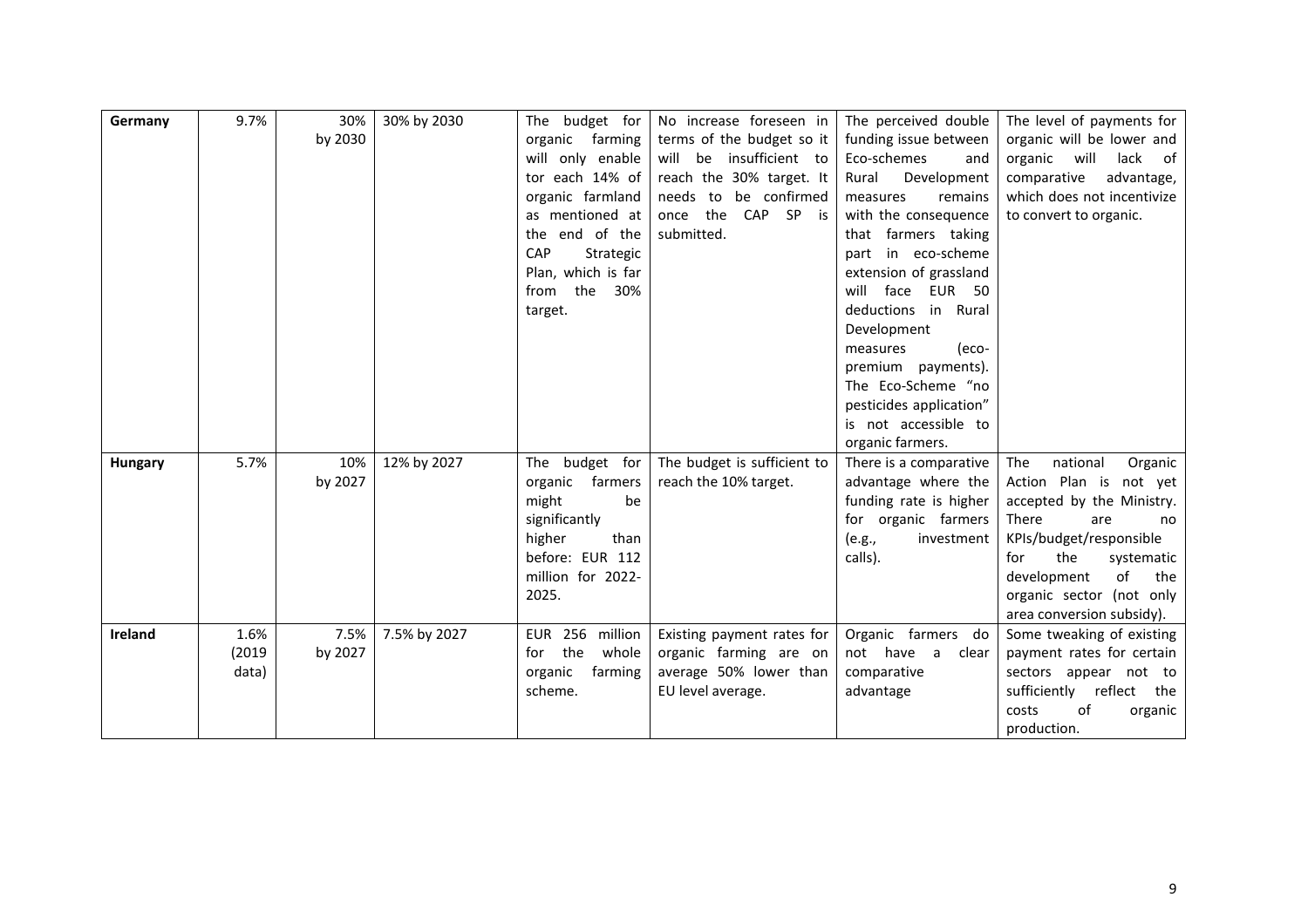| Germany        | 9.7%  | 30%     | 30% by 2030  | budget for<br>The         | No increase foreseen in       | The perceived double                | The level of payments for      |
|----------------|-------|---------|--------------|---------------------------|-------------------------------|-------------------------------------|--------------------------------|
|                |       | by 2030 |              | organic farming           | terms of the budget so it     | funding issue between               | organic will be lower and      |
|                |       |         |              | will only enable          | insufficient to<br>will<br>be | Eco-schemes<br>and                  | organic<br>will<br>of<br>lack  |
|                |       |         |              | tor each 14% of           | reach the 30% target. It      | Development<br>Rural                | comparative<br>advantage,      |
|                |       |         |              | organic farmland          | needs<br>be confirmed<br>to   | remains<br>measures                 | which does not incentivize     |
|                |       |         |              | as mentioned at           | the<br>CAP<br>SP is<br>once   | with the consequence                | to convert to organic.         |
|                |       |         |              | the end of the            | submitted.                    | that farmers taking                 |                                |
|                |       |         |              | CAP<br>Strategic          |                               | in eco-scheme<br>part               |                                |
|                |       |         |              | Plan, which is far        |                               | extension of grassland              |                                |
|                |       |         |              | the<br>30%<br>from        |                               | <b>EUR 50</b><br>will<br>face       |                                |
|                |       |         |              | target.                   |                               | deductions<br>in Rural              |                                |
|                |       |         |              |                           |                               | Development                         |                                |
|                |       |         |              |                           |                               | measures<br>(eco-                   |                                |
|                |       |         |              |                           |                               | premium payments).                  |                                |
|                |       |         |              |                           |                               | The Eco-Scheme "no                  |                                |
|                |       |         |              |                           |                               | pesticides application"             |                                |
|                |       |         |              |                           |                               | is not accessible to                |                                |
|                |       |         |              |                           |                               | organic farmers.                    |                                |
| Hungary        | 5.7%  | 10%     | 12% by 2027  | budget for<br>The         | The budget is sufficient to   | There is a comparative              | national<br>The<br>Organic     |
|                |       | by 2027 |              | farmers<br>organic        | reach the 10% target.         | advantage where the                 | Action Plan is not yet         |
|                |       |         |              | might<br>be               |                               | funding rate is higher              | accepted by the Ministry.      |
|                |       |         |              | significantly             |                               | for organic farmers                 | There<br>are<br>no             |
|                |       |         |              | higher<br>than            |                               | investment<br>(e.g.,                | KPIs/budget/responsible        |
|                |       |         |              | before: EUR 112           |                               | calls).                             | the<br>systematic<br>for       |
|                |       |         |              | million for 2022-         |                               |                                     | of<br>development<br>the       |
|                |       |         |              | 2025.                     |                               |                                     | organic sector (not only       |
|                |       |         |              |                           |                               |                                     | area conversion subsidy).      |
| <b>Ireland</b> | 1.6%  | 7.5%    | 7.5% by 2027 | <b>EUR 256</b><br>million | Existing payment rates for    | Organic farmers do                  | Some tweaking of existing      |
|                | (2019 | by 2027 |              | the<br>whole<br>for       | organic farming are on        | not have<br>$\overline{a}$<br>clear | payment rates for certain      |
|                | data) |         |              | organic<br>farming        | average 50% lower than        | comparative                         | sectors appear not to          |
|                |       |         |              | scheme.                   | EU level average.             | advantage                           | sufficiently<br>reflect<br>the |
|                |       |         |              |                           |                               |                                     | costs<br>of<br>organic         |
|                |       |         |              |                           |                               |                                     | production.                    |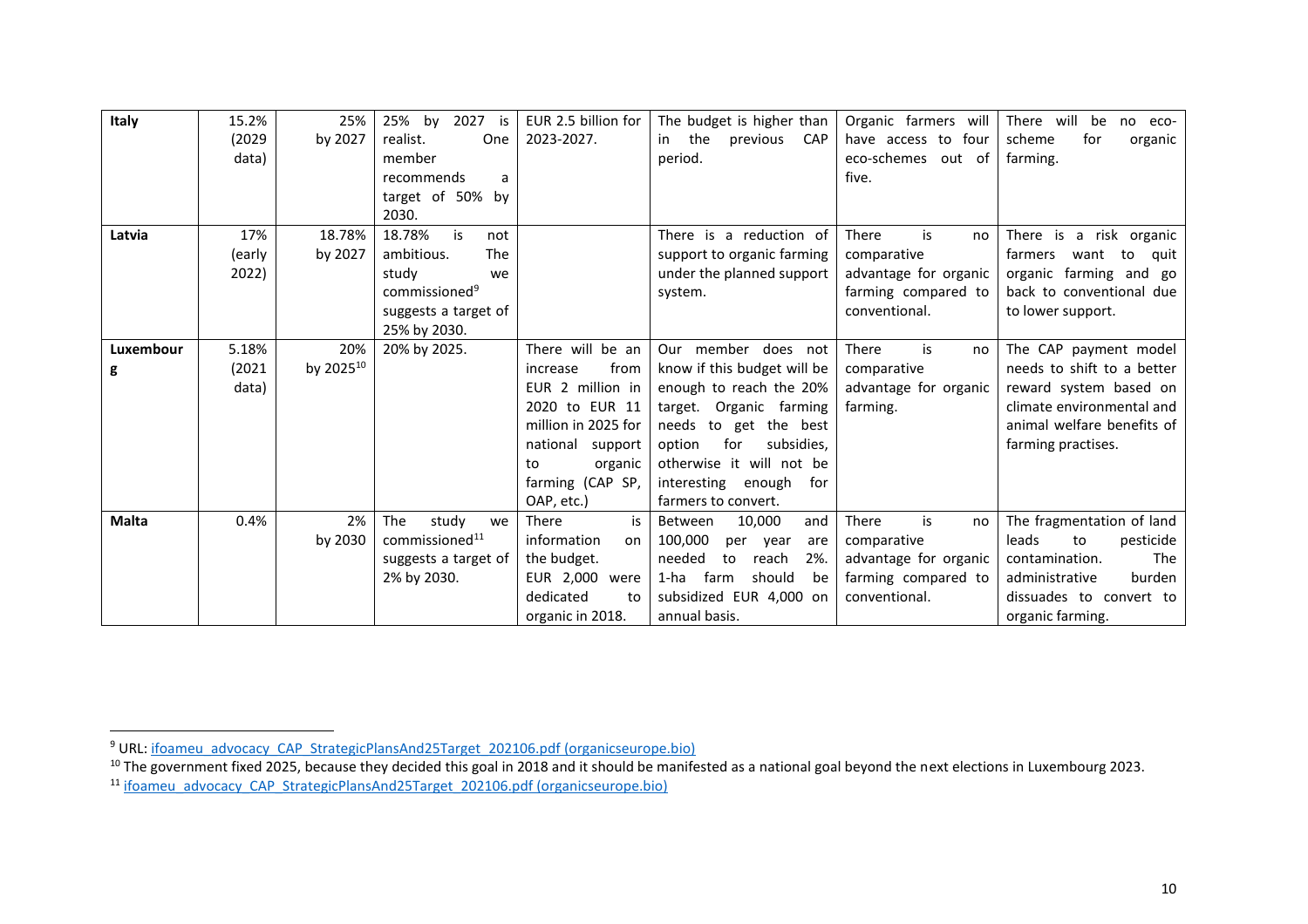| Italy     | 15.2%  | 25%       | 2027<br>25%<br>by<br>is    | EUR 2.5 billion for | The budget is higher than           | Organic farmers will   | There will<br>be<br>no eco-   |
|-----------|--------|-----------|----------------------------|---------------------|-------------------------------------|------------------------|-------------------------------|
|           | (2029) | by 2027   | realist.<br>One            | 2023-2027.          | the<br>previous<br><b>CAP</b><br>in | four<br>have access to | scheme<br>for<br>organic      |
|           | data)  |           | member                     |                     | period.                             | eco-schemes out of     | farming.                      |
|           |        |           | recommends<br>a            |                     |                                     | five.                  |                               |
|           |        |           | target of 50% by           |                     |                                     |                        |                               |
|           |        |           | 2030.                      |                     |                                     |                        |                               |
| Latvia    | 17%    | 18.78%    | 18.78%<br>is<br>not        |                     | There is a reduction of             | There<br>is<br>no      | There is a risk organic       |
|           | (early | by 2027   | <b>The</b><br>ambitious.   |                     | support to organic farming          | comparative            | farmers<br>want<br>to<br>quit |
|           | 2022)  |           | study<br>we                |                     | under the planned support           | advantage for organic  | organic farming and go        |
|           |        |           | commissioned <sup>9</sup>  |                     | system.                             | farming compared to    | back to conventional due      |
|           |        |           | suggests a target of       |                     |                                     | conventional.          | to lower support.             |
|           |        |           | 25% by 2030.               |                     |                                     |                        |                               |
| Luxembour | 5.18%  | 20%       | 20% by 2025.               | There will be an    | Our member does not                 | is<br>There<br>no      | The CAP payment model         |
| g         | (2021) | by 202510 |                            | from<br>increase    | know if this budget will be         | comparative            | needs to shift to a better    |
|           | data)  |           |                            | EUR 2 million in    | enough to reach the 20%             | advantage for organic  | reward system based on        |
|           |        |           |                            | 2020 to EUR 11      | target. Organic farming             | farming.               | climate environmental and     |
|           |        |           |                            | million in 2025 for | needs to get the best               |                        | animal welfare benefits of    |
|           |        |           |                            | national<br>support | option<br>for<br>subsidies,         |                        | farming practises.            |
|           |        |           |                            | organic<br>to       | otherwise it will not be            |                        |                               |
|           |        |           |                            | farming (CAP SP,    | interesting<br>enough<br>for        |                        |                               |
|           |        |           |                            | OAP, etc.)          | farmers to convert.                 |                        |                               |
| Malta     | 0.4%   | 2%        | The<br>study<br>we         | is<br>There         | 10,000<br>and<br>Between            | is<br>There<br>no      | The fragmentation of land     |
|           |        | by 2030   | commissioned <sup>11</sup> | information<br>on   | 100,000<br>year<br>per<br>are       | comparative            | leads<br>pesticide<br>to      |
|           |        |           | suggests a target of       | the budget.         | needed<br>2%.<br>reach<br>to        | advantage for organic  | The<br>contamination.         |
|           |        |           | 2% by 2030.                | EUR 2,000<br>were   | farm<br>should<br>1-ha<br>be        | farming compared to    | administrative<br>burden      |
|           |        |           |                            | dedicated<br>to     | subsidized EUR 4,000 on             | conventional.          | dissuades to convert to       |
|           |        |           |                            | organic in 2018.    | annual basis.                       |                        | organic farming.              |

<sup>&</sup>lt;sup>9</sup> URL[: ifoameu\\_advocacy\\_CAP\\_StrategicPlansAnd25Target\\_202106.pdf \(organicseurope.bio\)](https://www.organicseurope.bio/content/uploads/2021/06/ifoameu_advocacy_CAP_StrategicPlansAnd25Target_202106.pdf?dd)

<sup>&</sup>lt;sup>10</sup> The government fixed 2025, because they decided this goal in 2018 and it should be manifested as a national goal beyond the next elections in Luxembourg 2023.

<sup>&</sup>lt;sup>11</sup> [ifoameu\\_advocacy\\_CAP\\_StrategicPlansAnd25Target\\_202106.pdf \(organicseurope.bio\)](https://www.organicseurope.bio/content/uploads/2021/06/ifoameu_advocacy_CAP_StrategicPlansAnd25Target_202106.pdf?dd)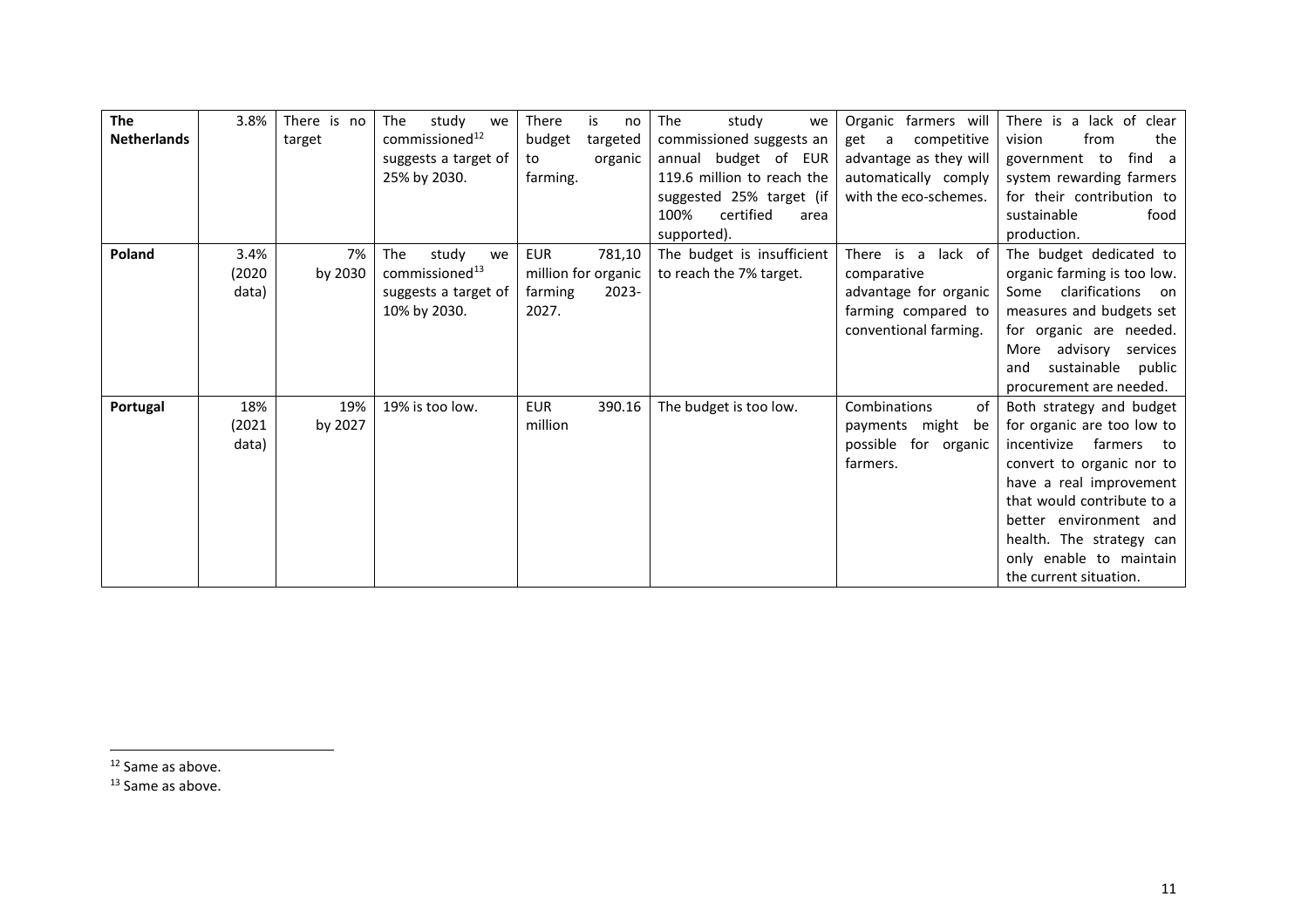| <b>The</b>         | 3.8%   | There is no | study<br>The<br>we         | <b>There</b><br>is<br>no | The<br>study<br>we         | Organic farmers will     | There is a lack of clear      |
|--------------------|--------|-------------|----------------------------|--------------------------|----------------------------|--------------------------|-------------------------------|
| <b>Netherlands</b> |        | target      | commissioned <sup>12</sup> | budget<br>targeted       | commissioned suggests an   | competitive<br>get<br>a  | the<br>vision<br>from         |
|                    |        |             | suggests a target of       | organic<br>to            | annual budget of EUR       | advantage as they will   | find a<br>government to       |
|                    |        |             | 25% by 2030.               | farming.                 | 119.6 million to reach the | automatically comply     | system rewarding farmers      |
|                    |        |             |                            |                          | suggested 25% target (if   | with the eco-schemes.    | for their contribution to     |
|                    |        |             |                            |                          | certified<br>100%<br>area  |                          | sustainable<br>food           |
|                    |        |             |                            |                          | supported).                |                          | production.                   |
| Poland             | 3.4%   | 7%          | The<br>study<br>we         | <b>EUR</b><br>781,10     | The budget is insufficient | is a<br>lack of<br>There | The budget dedicated to       |
|                    | (2020) | by 2030     | commissioned <sup>13</sup> | million for organic      | to reach the 7% target.    | comparative              | organic farming is too low.   |
|                    | data)  |             | suggests a target of       | $2023 -$<br>farming      |                            | advantage for organic    | clarifications<br>Some<br>on. |
|                    |        |             | 10% by 2030.               | 2027.                    |                            | farming compared to      | measures and budgets set      |
|                    |        |             |                            |                          |                            | conventional farming.    | for organic are needed.       |
|                    |        |             |                            |                          |                            |                          | advisory<br>More<br>services  |
|                    |        |             |                            |                          |                            |                          | sustainable public<br>and     |
|                    |        |             |                            |                          |                            |                          | procurement are needed.       |
| Portugal           | 18%    | 19%         | 19% is too low.            | <b>EUR</b><br>390.16     | The budget is too low.     | Combinations<br>of       | Both strategy and budget      |
|                    | (2021  | by 2027     |                            | million                  |                            | might<br>payments<br>be  | for organic are too low to    |
|                    | data)  |             |                            |                          |                            | possible for organic     | incentivize<br>farmers<br>to  |
|                    |        |             |                            |                          |                            | farmers.                 | convert to organic nor to     |
|                    |        |             |                            |                          |                            |                          | have a real improvement       |
|                    |        |             |                            |                          |                            |                          | that would contribute to a    |
|                    |        |             |                            |                          |                            |                          | better environment and        |
|                    |        |             |                            |                          |                            |                          | health. The strategy can      |
|                    |        |             |                            |                          |                            |                          | only enable to maintain       |
|                    |        |             |                            |                          |                            |                          | the current situation.        |

<sup>12</sup> Same as above.

<sup>13</sup> Same as above.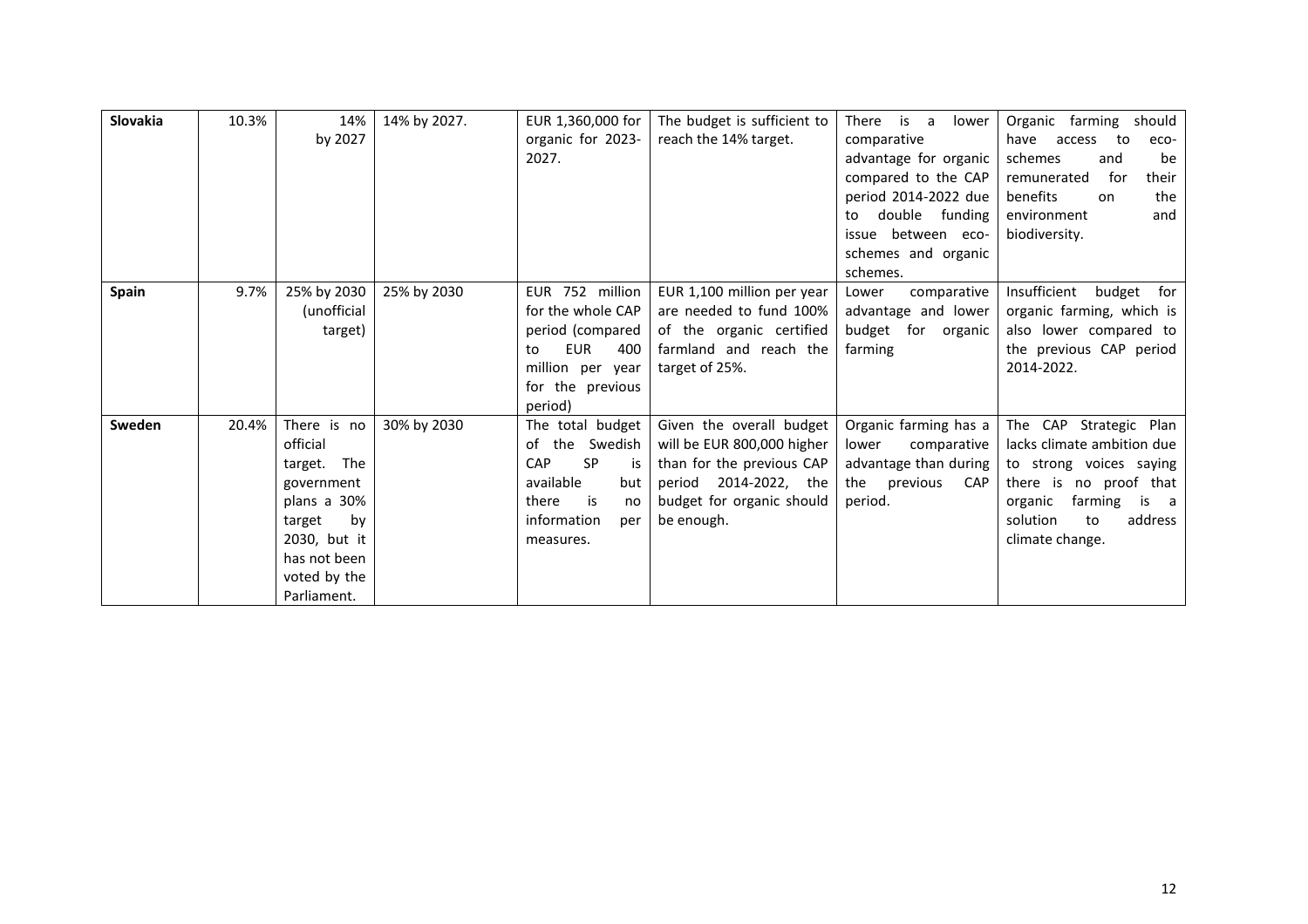| Slovakia | 10.3% | 14%            | 14% by 2027. | EUR 1,360,000 for             | The budget is sufficient to | is<br><b>There</b><br>a<br>lower | Organic<br>farming<br>should    |
|----------|-------|----------------|--------------|-------------------------------|-----------------------------|----------------------------------|---------------------------------|
|          |       | by 2027        |              | organic for 2023-             | reach the 14% target.       | comparative                      | have<br>to<br>access<br>eco-    |
|          |       |                |              | 2027.                         |                             | advantage for organic            | be<br>schemes<br>and            |
|          |       |                |              |                               |                             | compared to the CAP              | for<br>their<br>remunerated     |
|          |       |                |              |                               |                             | period 2014-2022 due             | benefits<br>the<br>on           |
|          |       |                |              |                               |                             | double funding<br>to             | and<br>environment              |
|          |       |                |              |                               |                             | between eco-<br>issue            | biodiversity.                   |
|          |       |                |              |                               |                             | schemes and organic              |                                 |
|          |       |                |              |                               |                             | schemes.                         |                                 |
| Spain    | 9.7%  | 25% by 2030    | 25% by 2030  | EUR 752 million               | EUR 1,100 million per year  | comparative<br>Lower             | Insufficient<br>budget<br>for   |
|          |       | (unofficial    |              | for the whole CAP             | are needed to fund 100%     | advantage and lower              | organic farming, which is       |
|          |       | target)        |              | period (compared              | of the organic certified    | budget for organic               | also lower compared to          |
|          |       |                |              | <b>EUR</b><br>400<br>to       | farmland and reach the      | farming                          | the previous CAP period         |
|          |       |                |              | million per year              | target of 25%.              |                                  | 2014-2022.                      |
|          |       |                |              | for the previous              |                             |                                  |                                 |
|          |       |                |              | period)                       |                             |                                  |                                 |
| Sweden   | 20.4% | There is no    | 30% by 2030  | The total budget              | Given the overall budget    | Organic farming has a            | The CAP Strategic Plan          |
|          |       | official       |              | of the Swedish                | will be EUR 800,000 higher  | comparative<br>lower             | lacks climate ambition due      |
|          |       | The<br>target. |              | <b>SP</b><br><b>CAP</b><br>is | than for the previous CAP   | advantage than during            | to strong voices saying         |
|          |       | government     |              | available<br>but              | 2014-2022, the<br>period    | the<br>previous<br><b>CAP</b>    | there is no proof that          |
|          |       | plans a 30%    |              | is<br>there<br>no             | budget for organic should   | period.                          | farming<br>organic<br>is<br>a a |
|          |       | target<br>by   |              | information<br>per            | be enough.                  |                                  | solution<br>address<br>to       |
|          |       | 2030, but it   |              | measures.                     |                             |                                  | climate change.                 |
|          |       | has not been   |              |                               |                             |                                  |                                 |
|          |       | voted by the   |              |                               |                             |                                  |                                 |
|          |       | Parliament.    |              |                               |                             |                                  |                                 |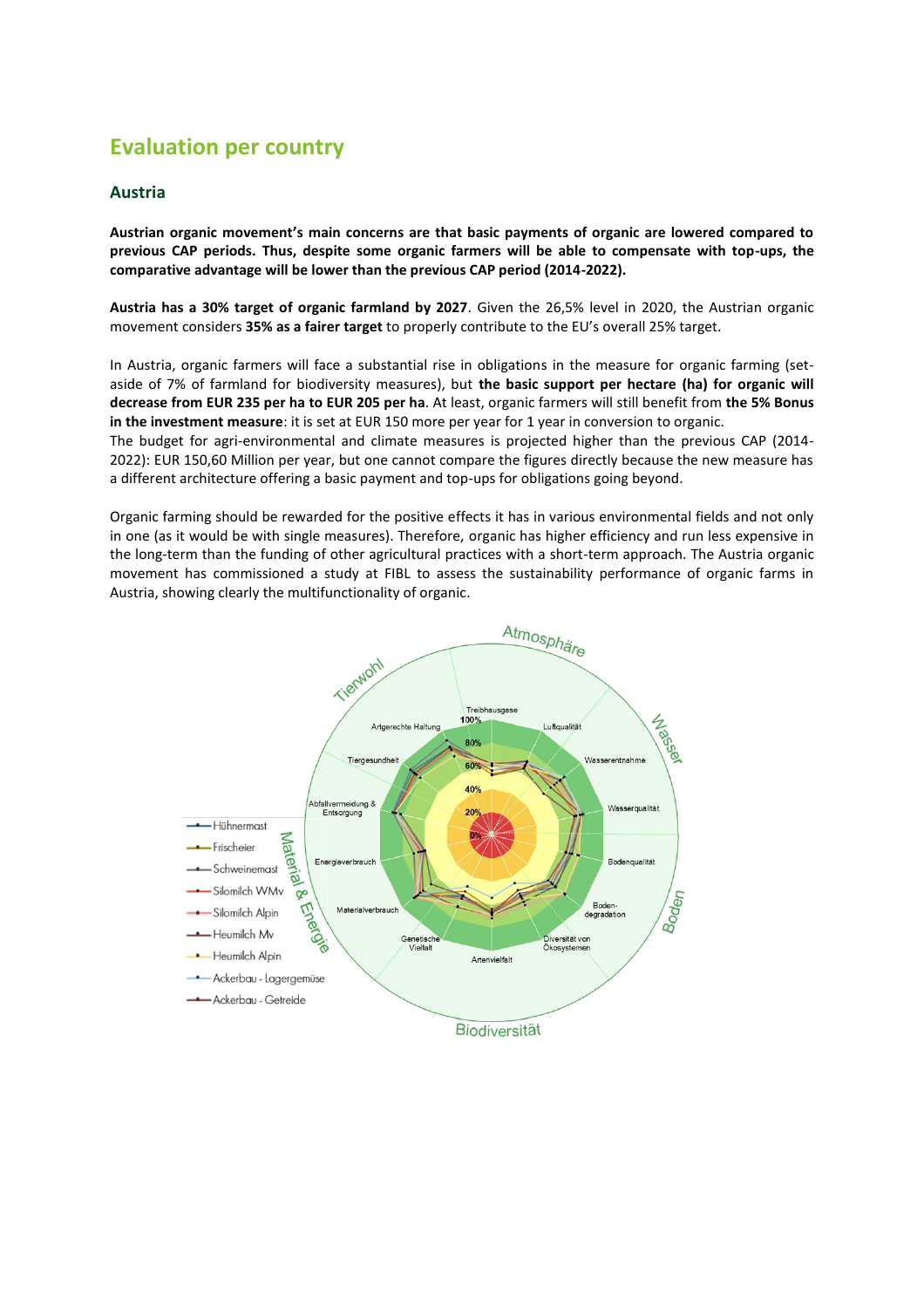# <span id="page-13-0"></span>**Evaluation per country**

#### <span id="page-13-1"></span>**Austria**

**Austrian organic movement's main concerns are that basic payments of organic are lowered compared to previous CAP periods. Thus, despite some organic farmers will be able to compensate with top-ups, the comparative advantage will be lower than the previous CAP period (2014-2022).** 

**Austria has a 30% target of organic farmland by 2027**. Given the 26,5% level in 2020, the Austrian organic movement considers **35% as a fairer target** to properly contribute to the EU's overall 25% target.

In Austria, organic farmers will face a substantial rise in obligations in the measure for organic farming (setaside of 7% of farmland for biodiversity measures), but **the basic support per hectare (ha) for organic will decrease from EUR 235 per ha to EUR 205 per ha**. At least, organic farmers will still benefit from **the 5% Bonus in the investment measure**: it is set at EUR 150 more per year for 1 year in conversion to organic.

The budget for agri-environmental and climate measures is projected higher than the previous CAP (2014- 2022): EUR 150,60 Million per year, but one cannot compare the figures directly because the new measure has a different architecture offering a basic payment and top-ups for obligations going beyond.

Organic farming should be rewarded for the positive effects it has in various environmental fields and not only in one (as it would be with single measures). Therefore, organic has higher efficiency and run less expensive in the long-term than the funding of other agricultural practices with a short-term approach. The Austria organic movement has commissioned a study at FIBL to assess the sustainability performance of organic farms in Austria, showing clearly the multifunctionality of organic.

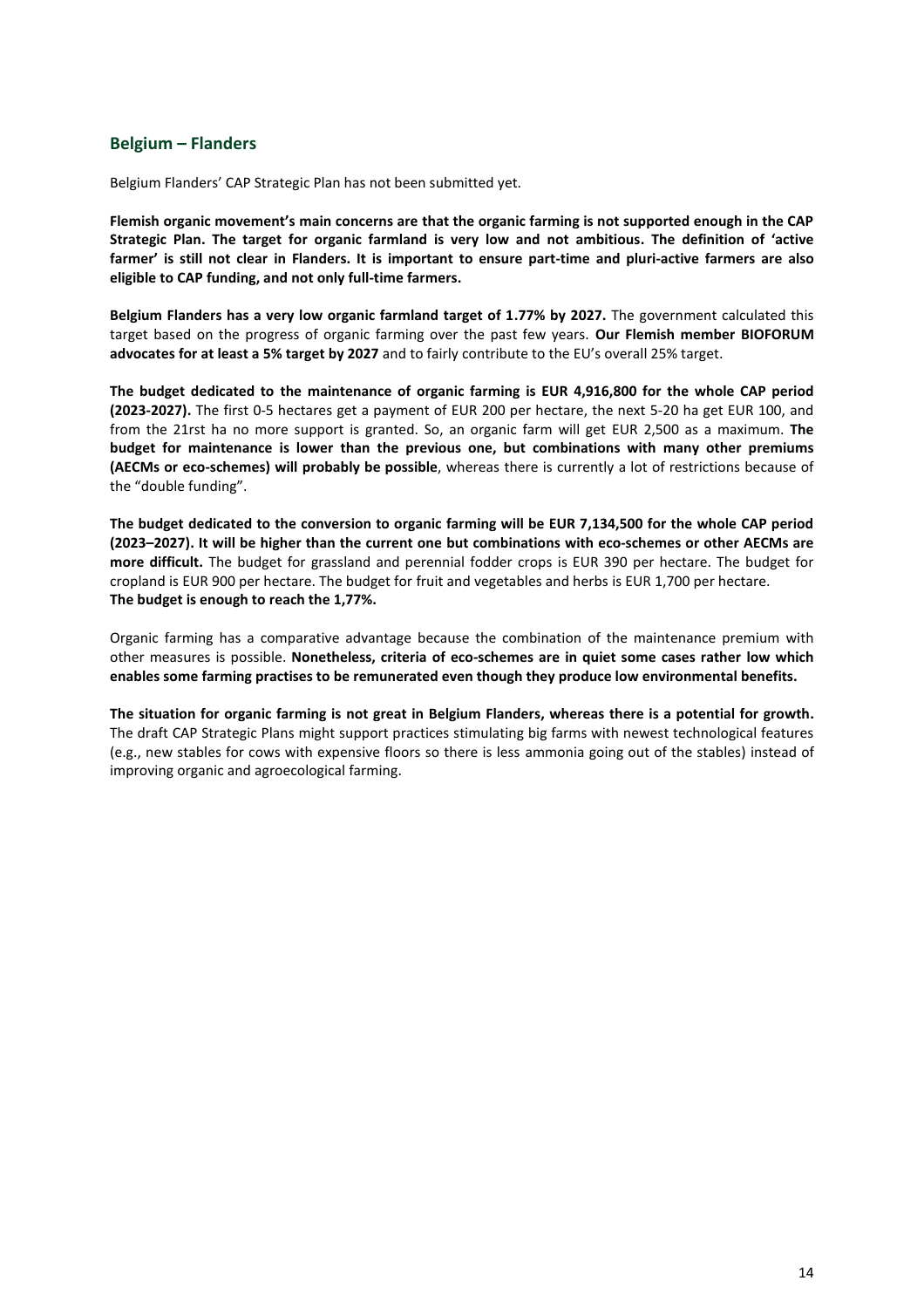#### <span id="page-14-0"></span>**Belgium – Flanders**

Belgium Flanders' CAP Strategic Plan has not been submitted yet.

**Flemish organic movement's main concerns are that the organic farming is not supported enough in the CAP Strategic Plan. The target for organic farmland is very low and not ambitious. The definition of 'active farmer' is still not clear in Flanders. It is important to ensure part-time and pluri-active farmers are also eligible to CAP funding, and not only full-time farmers.**

**Belgium Flanders has a very low organic farmland target of 1.77% by 2027.** The government calculated this target based on the progress of organic farming over the past few years. **Our Flemish member BIOFORUM advocates for at least a 5% target by 2027** and to fairly contribute to the EU's overall 25% target.

**The budget dedicated to the maintenance of organic farming is EUR 4,916,800 for the whole CAP period (2023-2027).** The first 0-5 hectares get a payment of EUR 200 per hectare, the next 5-20 ha get EUR 100, and from the 21rst ha no more support is granted. So, an organic farm will get EUR 2,500 as a maximum. **The budget for maintenance is lower than the previous one, but combinations with many other premiums (AECMs or eco-schemes) will probably be possible**, whereas there is currently a lot of restrictions because of the "double funding".

**The budget dedicated to the conversion to organic farming will be EUR 7,134,500 for the whole CAP period (2023–2027). It will be higher than the current one but combinations with eco-schemes or other AECMs are more difficult.** The budget for grassland and perennial fodder crops is EUR 390 per hectare. The budget for cropland is EUR 900 per hectare. The budget for fruit and vegetables and herbs is EUR 1,700 per hectare. **The budget is enough to reach the 1,77%.**

Organic farming has a comparative advantage because the combination of the maintenance premium with other measures is possible. **Nonetheless, criteria of eco-schemes are in quiet some cases rather low which enables some farming practises to be remunerated even though they produce low environmental benefits.**

**The situation for organic farming is not great in Belgium Flanders, whereas there is a potential for growth.**  The draft CAP Strategic Plans might support practices stimulating big farms with newest technological features (e.g., new stables for cows with expensive floors so there is less ammonia going out of the stables) instead of improving organic and agroecological farming.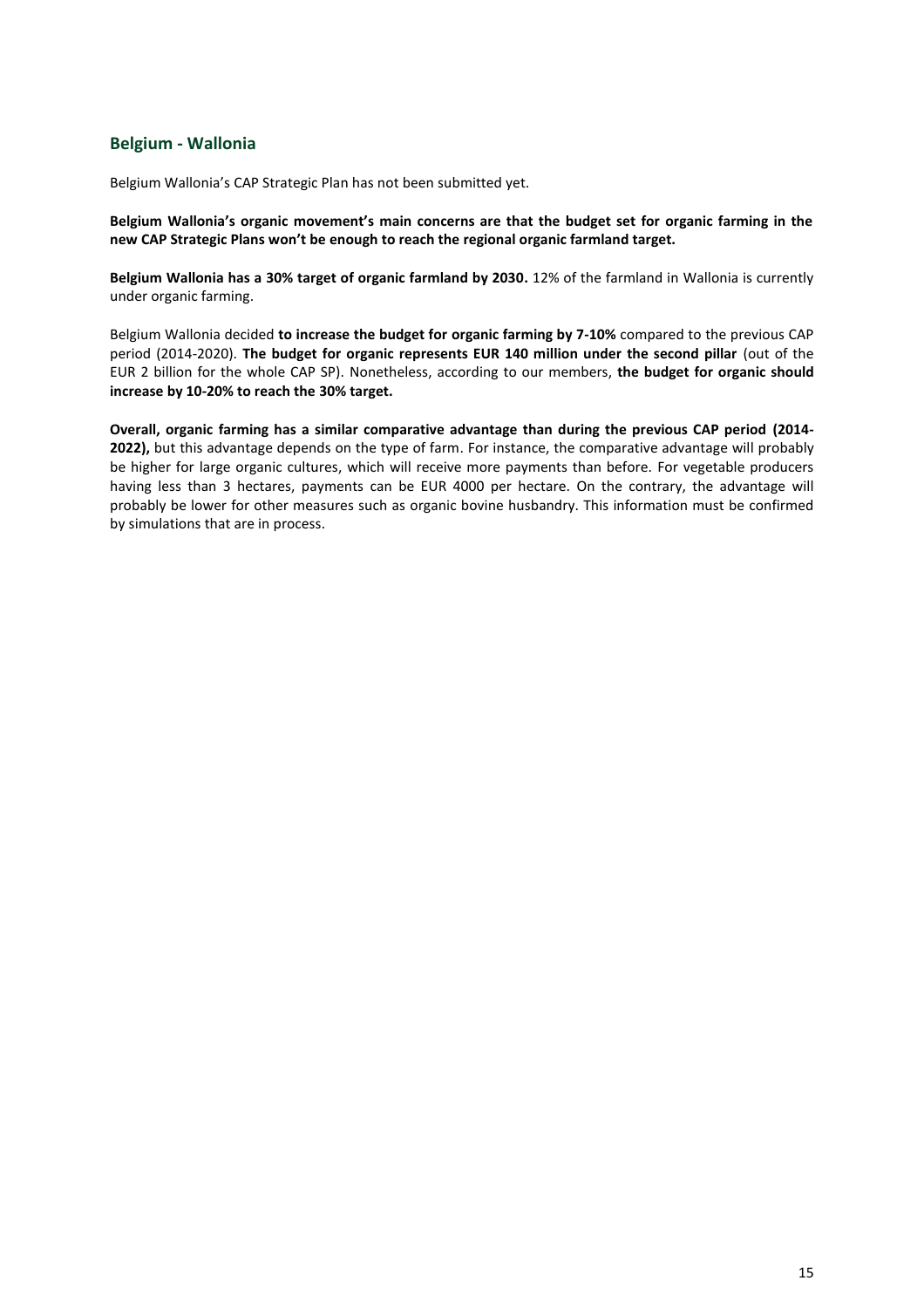### <span id="page-15-0"></span>**Belgium - Wallonia**

Belgium Wallonia's CAP Strategic Plan has not been submitted yet.

**Belgium Wallonia's organic movement's main concerns are that the budget set for organic farming in the new CAP Strategic Plans won't be enough to reach the regional organic farmland target.**

**Belgium Wallonia has a 30% target of organic farmland by 2030.** 12% of the farmland in Wallonia is currently under organic farming.

Belgium Wallonia decided **to increase the budget for organic farming by 7-10%** compared to the previous CAP period (2014-2020). **The budget for organic represents EUR 140 million under the second pillar** (out of the EUR 2 billion for the whole CAP SP). Nonetheless, according to our members, **the budget for organic should increase by 10-20% to reach the 30% target.**

**Overall, organic farming has a similar comparative advantage than during the previous CAP period (2014- 2022),** but this advantage depends on the type of farm. For instance, the comparative advantage will probably be higher for large organic cultures, which will receive more payments than before. For vegetable producers having less than 3 hectares, payments can be EUR 4000 per hectare. On the contrary, the advantage will probably be lower for other measures such as organic bovine husbandry. This information must be confirmed by simulations that are in process.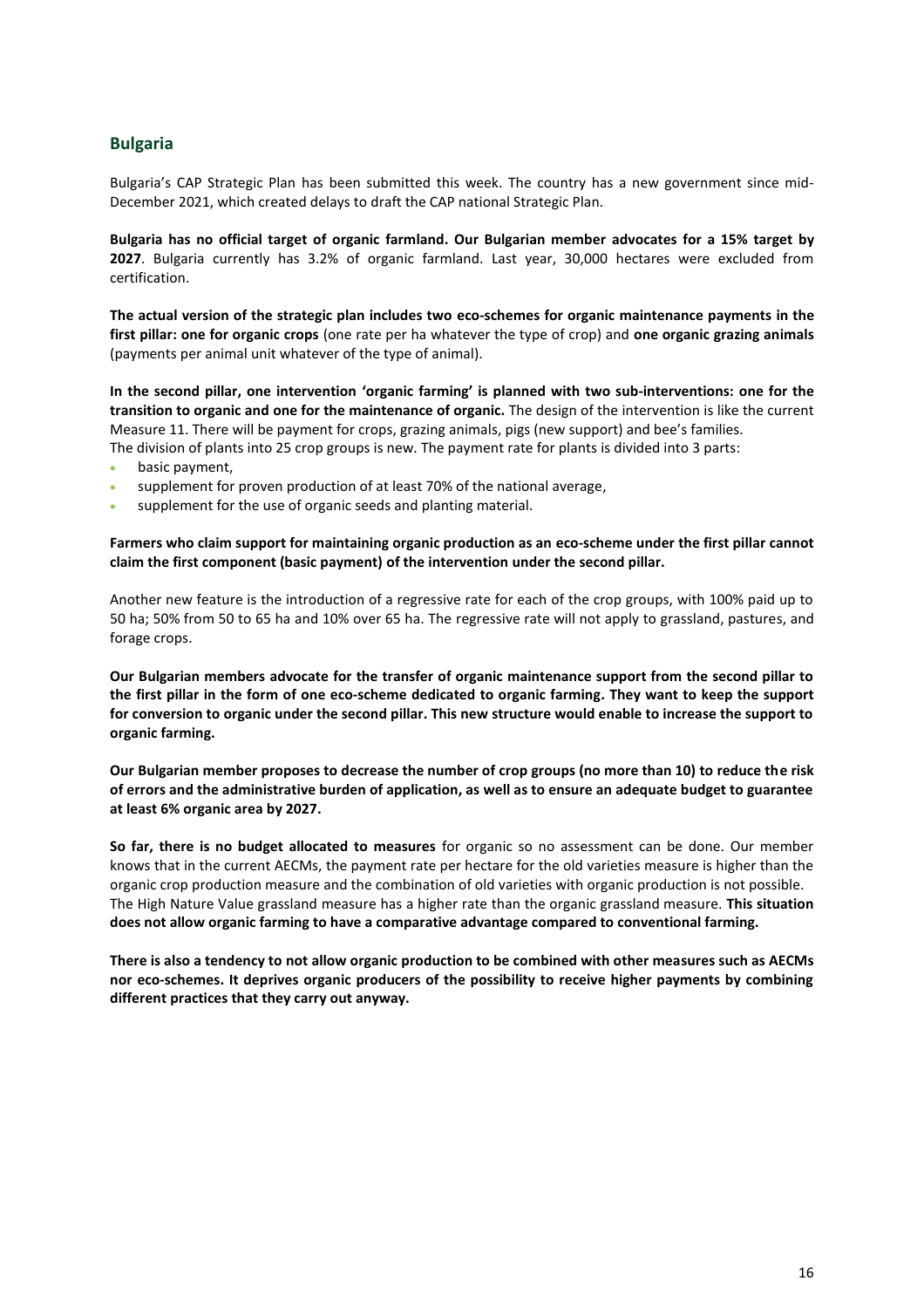### <span id="page-16-0"></span>**Bulgaria**

Bulgaria's CAP Strategic Plan has been submitted this week. The country has a new government since mid-December 2021, which created delays to draft the CAP national Strategic Plan.

**Bulgaria has no official target of organic farmland. Our Bulgarian member advocates for a 15% target by 2027**. Bulgaria currently has 3.2% of organic farmland. Last year, 30,000 hectares were excluded from certification.

**The actual version of the strategic plan includes two eco-schemes for organic maintenance payments in the first pillar: one for organic crops** (one rate per ha whatever the type of crop) and **one organic grazing animals** (payments per animal unit whatever of the type of animal).

**In the second pillar, one intervention 'organic farming' is planned with two sub-interventions: one for the transition to organic and one for the maintenance of organic.** The design of the intervention is like the current Measure 11. There will be payment for crops, grazing animals, pigs (new support) and bee's families. The division of plants into 25 crop groups is new. The payment rate for plants is divided into 3 parts:

- basic payment,
- supplement for proven production of at least 70% of the national average,
- supplement for the use of organic seeds and planting material.

**Farmers who claim support for maintaining organic production as an eco-scheme under the first pillar cannot claim the first component (basic payment) of the intervention under the second pillar.**

Another new feature is the introduction of a regressive rate for each of the crop groups, with 100% paid up to 50 ha; 50% from 50 to 65 ha and 10% over 65 ha. The regressive rate will not apply to grassland, pastures, and forage crops.

**Our Bulgarian members advocate for the transfer of organic maintenance support from the second pillar to the first pillar in the form of one eco-scheme dedicated to organic farming. They want to keep the support for conversion to organic under the second pillar. This new structure would enable to increase the support to organic farming.**

**Our Bulgarian member proposes to decrease the number of crop groups (no more than 10) to reduce the risk of errors and the administrative burden of application, as well as to ensure an adequate budget to guarantee at least 6% organic area by 2027.**

**So far, there is no budget allocated to measures** for organic so no assessment can be done. Our member knows that in the current AECMs, the payment rate per hectare for the old varieties measure is higher than the organic crop production measure and the combination of old varieties with organic production is not possible. The High Nature Value grassland measure has a higher rate than the organic grassland measure. **This situation does not allow organic farming to have a comparative advantage compared to conventional farming.**

**There is also a tendency to not allow organic production to be combined with other measures such as AECMs nor eco-schemes. It deprives organic producers of the possibility to receive higher payments by combining different practices that they carry out anyway.**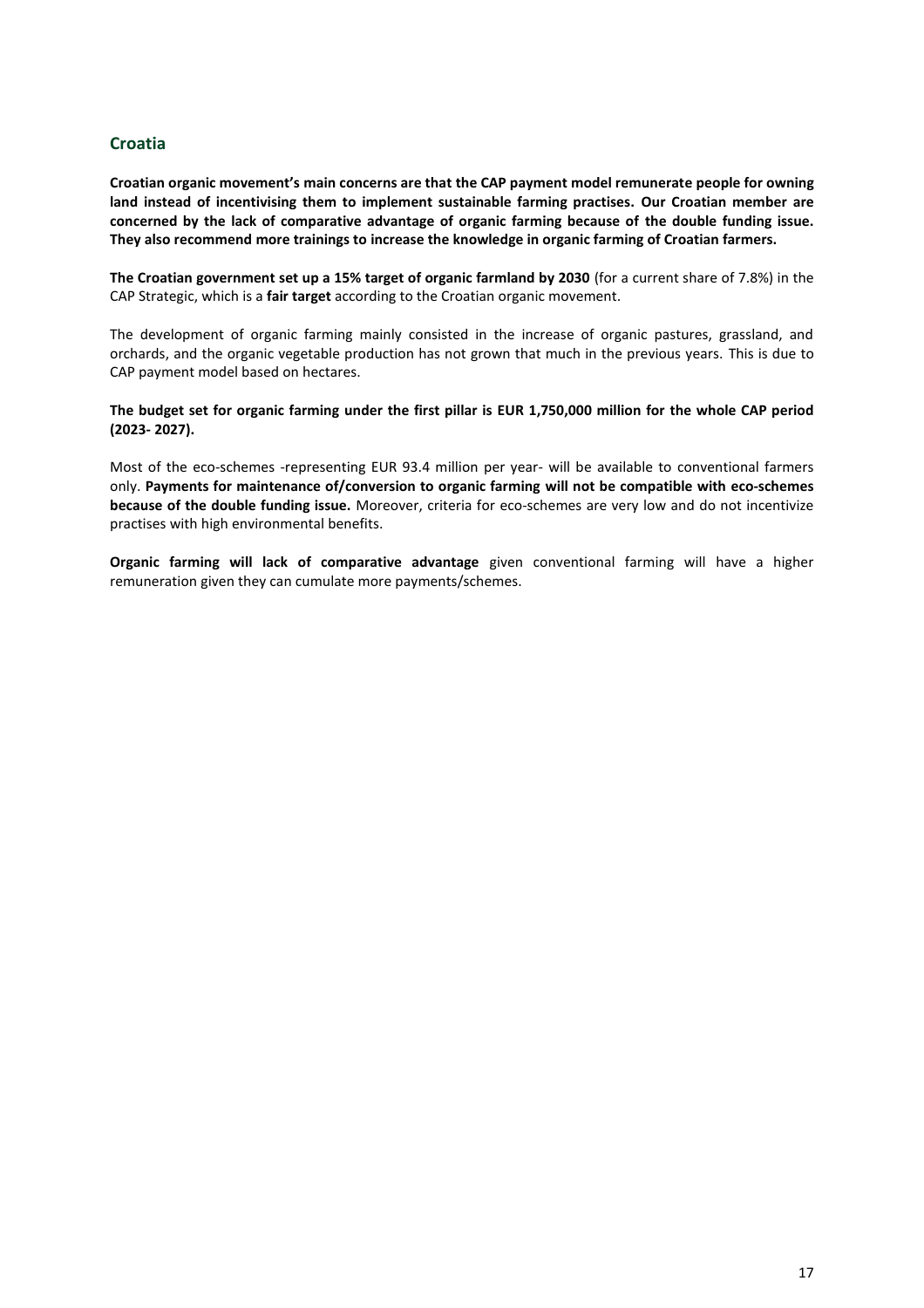### <span id="page-17-0"></span>**Croatia**

**Croatian organic movement's main concerns are that the CAP payment model remunerate people for owning land instead of incentivising them to implement sustainable farming practises. Our Croatian member are concerned by the lack of comparative advantage of organic farming because of the double funding issue. They also recommend more trainings to increase the knowledge in organic farming of Croatian farmers.**

**The Croatian government set up a 15% target of organic farmland by 2030** (for a current share of 7.8%) in the CAP Strategic, which is a **fair target** according to the Croatian organic movement.

The development of organic farming mainly consisted in the increase of organic pastures, grassland, and orchards, and the organic vegetable production has not grown that much in the previous years. This is due to CAP payment model based on hectares.

**The budget set for organic farming under the first pillar is EUR 1,750,000 million for the whole CAP period (2023- 2027).**

Most of the eco-schemes -representing EUR 93.4 million per year- will be available to conventional farmers only. **Payments for maintenance of/conversion to organic farming will not be compatible with eco-schemes because of the double funding issue.** Moreover, criteria for eco-schemes are very low and do not incentivize practises with high environmental benefits.

**Organic farming will lack of comparative advantage** given conventional farming will have a higher remuneration given they can cumulate more payments/schemes.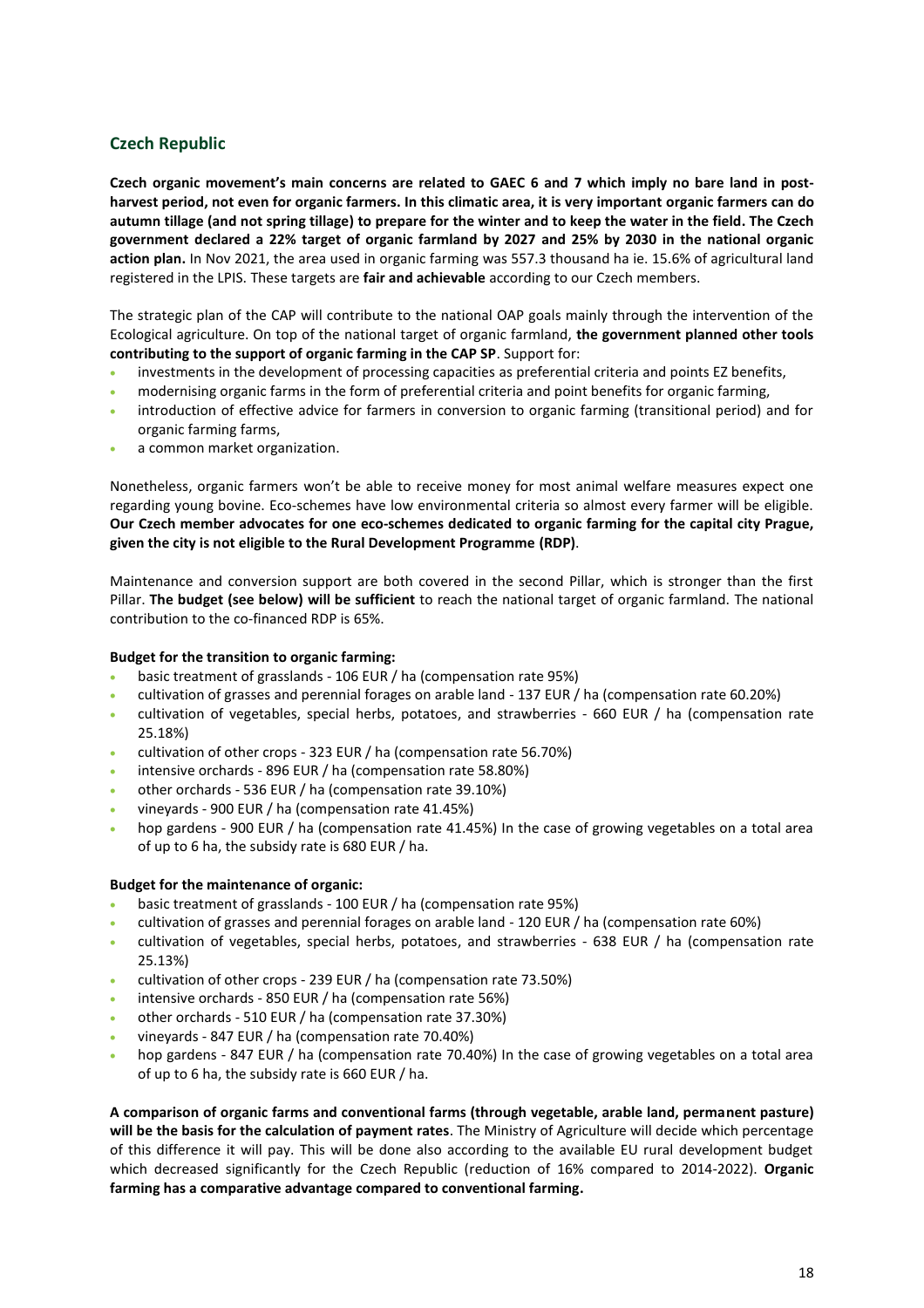# <span id="page-18-0"></span>**Czech Republic**

**Czech organic movement's main concerns are related to GAEC 6 and 7 which imply no bare land in postharvest period, not even for organic farmers. In this climatic area, it is very important organic farmers can do autumn tillage (and not spring tillage) to prepare for the winter and to keep the water in the field. The Czech government declared a 22% target of organic farmland by 2027 and 25% by 2030 in the national organic action plan.** In Nov 2021, the area used in organic farming was 557.3 thousand ha ie. 15.6% of agricultural land registered in the LPIS. These targets are **fair and achievable** according to our Czech members.

The strategic plan of the CAP will contribute to the national OAP goals mainly through the intervention of the Ecological agriculture. On top of the national target of organic farmland, **the government planned other tools contributing to the support of organic farming in the CAP SP**. Support for:

- investments in the development of processing capacities as preferential criteria and points EZ benefits,
- modernising organic farms in the form of preferential criteria and point benefits for organic farming,
- introduction of effective advice for farmers in conversion to organic farming (transitional period) and for organic farming farms,
- a common market organization.

Nonetheless, organic farmers won't be able to receive money for most animal welfare measures expect one regarding young bovine. Eco-schemes have low environmental criteria so almost every farmer will be eligible. **Our Czech member advocates for one eco-schemes dedicated to organic farming for the capital city Prague, given the city is not eligible to the Rural Development Programme (RDP)**.

Maintenance and conversion support are both covered in the second Pillar, which is stronger than the first Pillar. **The budget (see below) will be sufficient** to reach the national target of organic farmland. The national contribution to the co-financed RDP is 65%.

#### **Budget for the transition to organic farming:**

- basic treatment of grasslands 106 EUR / ha (compensation rate 95%)
- cultivation of grasses and perennial forages on arable land 137 EUR / ha (compensation rate 60.20%)
- cultivation of vegetables, special herbs, potatoes, and strawberries 660 EUR / ha (compensation rate 25.18%)
- cultivation of other crops 323 EUR / ha (compensation rate 56.70%)
- intensive orchards 896 EUR / ha (compensation rate 58.80%)
- other orchards 536 EUR / ha (compensation rate 39.10%)
- vineyards 900 EUR / ha (compensation rate 41.45%)
- hop gardens 900 EUR / ha (compensation rate 41.45%) In the case of growing vegetables on a total area of up to 6 ha, the subsidy rate is 680 EUR / ha.

#### **Budget for the maintenance of organic:**

- basic treatment of grasslands 100 EUR / ha (compensation rate 95%)
- cultivation of grasses and perennial forages on arable land 120 EUR / ha (compensation rate 60%)
- cultivation of vegetables, special herbs, potatoes, and strawberries 638 EUR / ha (compensation rate 25.13%)
- cultivation of other crops 239 EUR / ha (compensation rate 73.50%)
- intensive orchards 850 EUR / ha (compensation rate 56%)
- other orchards 510 EUR / ha (compensation rate 37.30%)
- vineyards 847 EUR / ha (compensation rate 70.40%)
- hop gardens 847 EUR / ha (compensation rate 70.40%) In the case of growing vegetables on a total area of up to 6 ha, the subsidy rate is 660 EUR / ha.

<span id="page-18-1"></span>**A comparison of organic farms and conventional farms (through vegetable, arable land, permanent pasture) will be the basis for the calculation of payment rates**. The Ministry of Agriculture will decide which percentage of this difference it will pay. This will be done also according to the available EU rural development budget which decreased significantly for the Czech Republic (reduction of 16% compared to 2014-2022). **Organic farming has a comparative advantage compared to conventional farming.**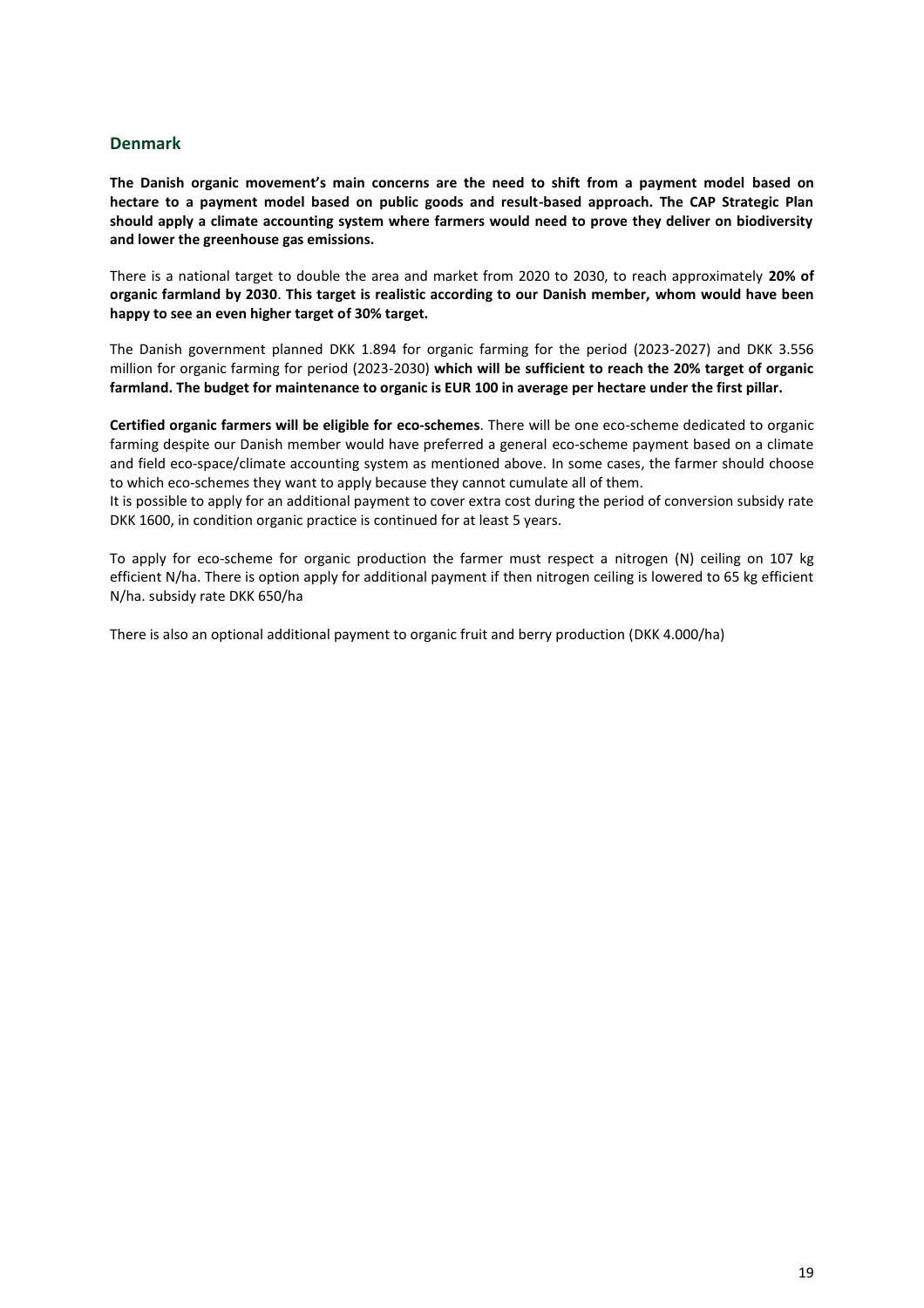#### **Denmark**

**The Danish organic movement's main concerns are the need to shift from a payment model based on hectare to a payment model based on public goods and result-based approach. The CAP Strategic Plan should apply a climate accounting system where farmers would need to prove they deliver on biodiversity and lower the greenhouse gas emissions.**

There is a national target to double the area and market from 2020 to 2030, to reach approximately **20% of organic farmland by 2030**. **This target is realistic according to our Danish member, whom would have been happy to see an even higher target of 30% target.**

The Danish government planned DKK 1.894 for organic farming for the period (2023-2027) and DKK 3.556 million for organic farming for period (2023-2030) **which will be sufficient to reach the 20% target of organic farmland. The budget for maintenance to organic is EUR 100 in average per hectare under the first pillar.**

**Certified organic farmers will be eligible for eco-schemes**. There will be one eco-scheme dedicated to organic farming despite our Danish member would have preferred a general eco-scheme payment based on a climate and field eco-space/climate accounting system as mentioned above. In some cases, the farmer should choose to which eco-schemes they want to apply because they cannot cumulate all of them.

It is possible to apply for an additional payment to cover extra cost during the period of conversion subsidy rate DKK 1600, in condition organic practice is continued for at least 5 years.

To apply for eco-scheme for organic production the farmer must respect a nitrogen (N) ceiling on 107 kg efficient N/ha. There is option apply for additional payment if then nitrogen ceiling is lowered to 65 kg efficient N/ha. subsidy rate DKK 650/ha

There is also an optional additional payment to organic fruit and berry production (DKK 4.000/ha)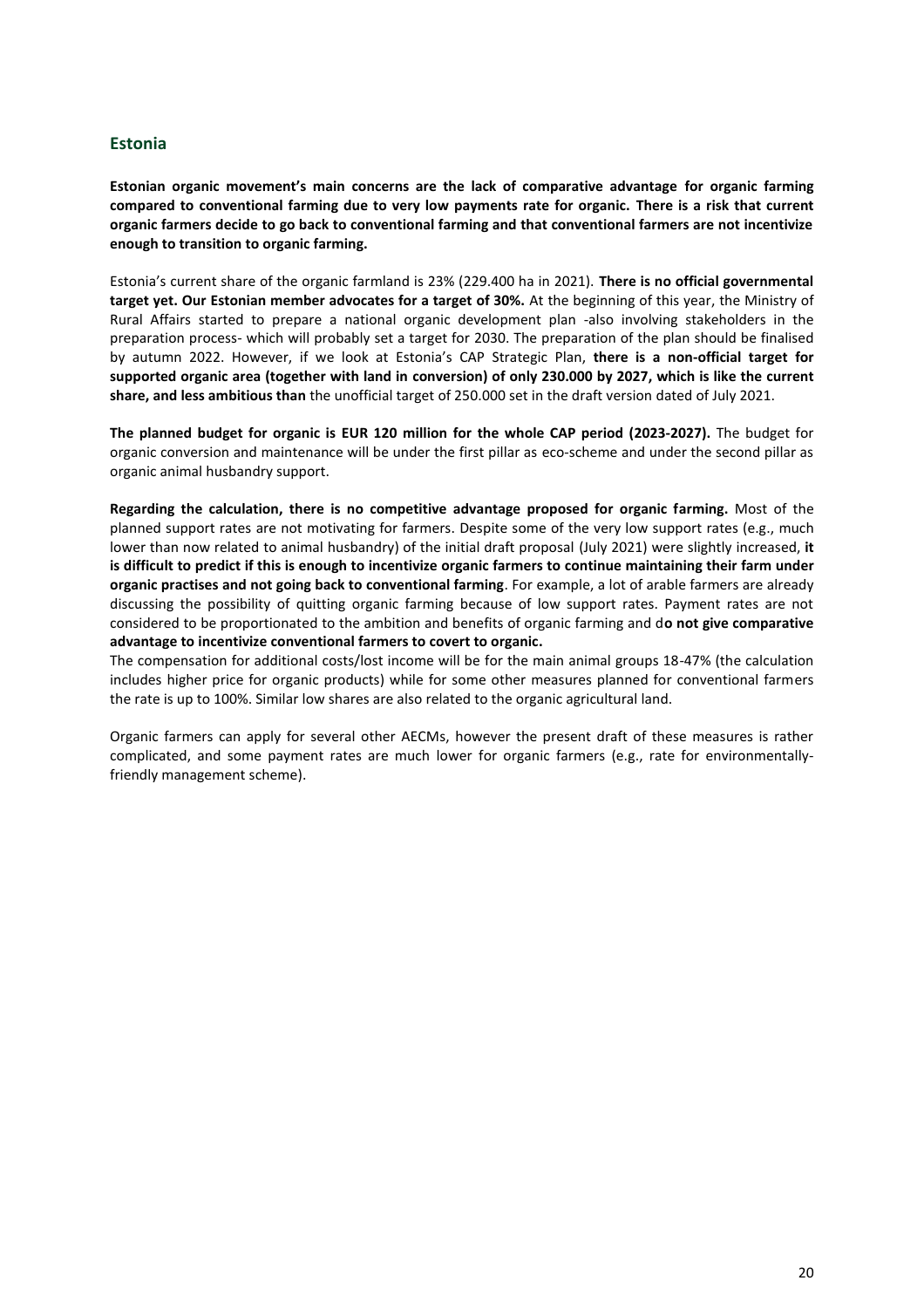#### <span id="page-20-0"></span>**Estonia**

**Estonian organic movement's main concerns are the lack of comparative advantage for organic farming compared to conventional farming due to very low payments rate for organic. There is a risk that current organic farmers decide to go back to conventional farming and that conventional farmers are not incentivize enough to transition to organic farming.**

Estonia's current share of the organic farmland is 23% (229.400 ha in 2021). **There is no official governmental target yet. Our Estonian member advocates for a target of 30%.** At the beginning of this year, the Ministry of Rural Affairs started to prepare a national organic development plan -also involving stakeholders in the preparation process- which will probably set a target for 2030. The preparation of the plan should be finalised by autumn 2022. However, if we look at Estonia's CAP Strategic Plan, **there is a non-official target for supported organic area (together with land in conversion) of only 230.000 by 2027, which is like the current share, and less ambitious than** the unofficial target of 250.000 set in the draft version dated of July 2021.

**The planned budget for organic is EUR 120 million for the whole CAP period (2023-2027).** The budget for organic conversion and maintenance will be under the first pillar as eco-scheme and under the second pillar as organic animal husbandry support.

**Regarding the calculation, there is no competitive advantage proposed for organic farming.** Most of the planned support rates are not motivating for farmers. Despite some of the very low support rates (e.g., much lower than now related to animal husbandry) of the initial draft proposal (July 2021) were slightly increased, **it is difficult to predict if this is enough to incentivize organic farmers to continue maintaining their farm under organic practises and not going back to conventional farming**. For example, a lot of arable farmers are already discussing the possibility of quitting organic farming because of low support rates. Payment rates are not considered to be proportionated to the ambition and benefits of organic farming and d**o not give comparative advantage to incentivize conventional farmers to covert to organic.**

The compensation for additional costs/lost income will be for the main animal groups 18-47% (the calculation includes higher price for organic products) while for some other measures planned for conventional farmers the rate is up to 100%. Similar low shares are also related to the organic agricultural land.

Organic farmers can apply for several other AECMs, however the present draft of these measures is rather complicated, and some payment rates are much lower for organic farmers (e.g., rate for environmentallyfriendly management scheme).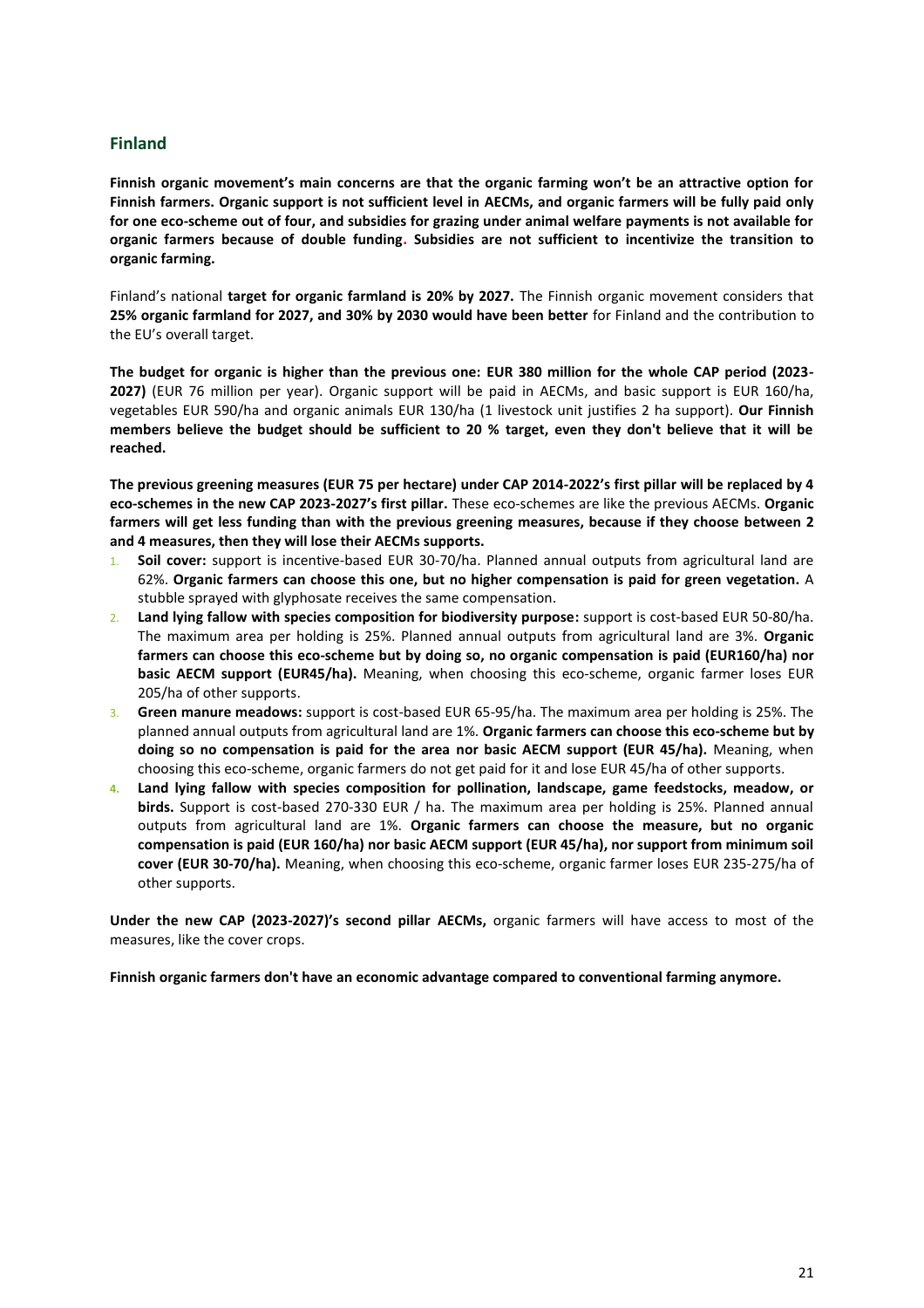#### <span id="page-21-0"></span>**Finland**

**Finnish organic movement's main concerns are that the organic farming won't be an attractive option for Finnish farmers. Organic support is not sufficient level in AECMs, and organic farmers will be fully paid only for one eco-scheme out of four, and subsidies for grazing under animal welfare payments is not available for organic farmers because of double funding. Subsidies are not sufficient to incentivize the transition to organic farming.**

Finland's national **target for organic farmland is 20% by 2027.** The Finnish organic movement considers that **25% organic farmland for 2027, and 30% by 2030 would have been better** for Finland and the contribution to the EU's overall target.

**The budget for organic is higher than the previous one: EUR 380 million for the whole CAP period (2023- 2027)** (EUR 76 million per year). Organic support will be paid in AECMs, and basic support is EUR 160/ha, vegetables EUR 590/ha and organic animals EUR 130/ha (1 livestock unit justifies 2 ha support). **Our Finnish members believe the budget should be sufficient to 20 % target, even they don't believe that it will be reached.**

**The previous greening measures (EUR 75 per hectare) under CAP 2014-2022's first pillar will be replaced by 4 eco-schemes in the new CAP 2023-2027's first pillar.** These eco-schemes are like the previous AECMs. **Organic farmers will get less funding than with the previous greening measures, because if they choose between 2 and 4 measures, then they will lose their AECMs supports.**

- 1. **Soil cover:** support is incentive-based EUR 30-70/ha. Planned annual outputs from agricultural land are 62%. **Organic farmers can choose this one, but no higher compensation is paid for green vegetation.** A stubble sprayed with glyphosate receives the same compensation.
- 2. **Land lying fallow with species composition for biodiversity purpose:** support is cost-based EUR 50-80/ha. The maximum area per holding is 25%. Planned annual outputs from agricultural land are 3%. **Organic farmers can choose this eco-scheme but by doing so, no organic compensation is paid (EUR160/ha) nor basic AECM support (EUR45/ha).** Meaning, when choosing this eco-scheme, organic farmer loses EUR 205/ha of other supports.
- 3. **Green manure meadows:** support is cost-based EUR 65-95/ha. The maximum area per holding is 25%. The planned annual outputs from agricultural land are 1%. **Organic farmers can choose this eco-scheme but by doing so no compensation is paid for the area nor basic AECM support (EUR 45/ha).** Meaning, when choosing this eco-scheme, organic farmers do not get paid for it and lose EUR 45/ha of other supports.
- **4. Land lying fallow with species composition for pollination, landscape, game feedstocks, meadow, or birds.** Support is cost-based 270-330 EUR / ha. The maximum area per holding is 25%. Planned annual outputs from agricultural land are 1%. **Organic farmers can choose the measure, but no organic compensation is paid (EUR 160/ha) nor basic AECM support (EUR 45/ha), nor support from minimum soil cover (EUR 30-70/ha).** Meaning, when choosing this eco-scheme, organic farmer loses EUR 235-275/ha of other supports.

**Under the new CAP (2023-2027)'s second pillar AECMs,** organic farmers will have access to most of the measures, like the cover crops.

**Finnish organic farmers don't have an economic advantage compared to conventional farming anymore.**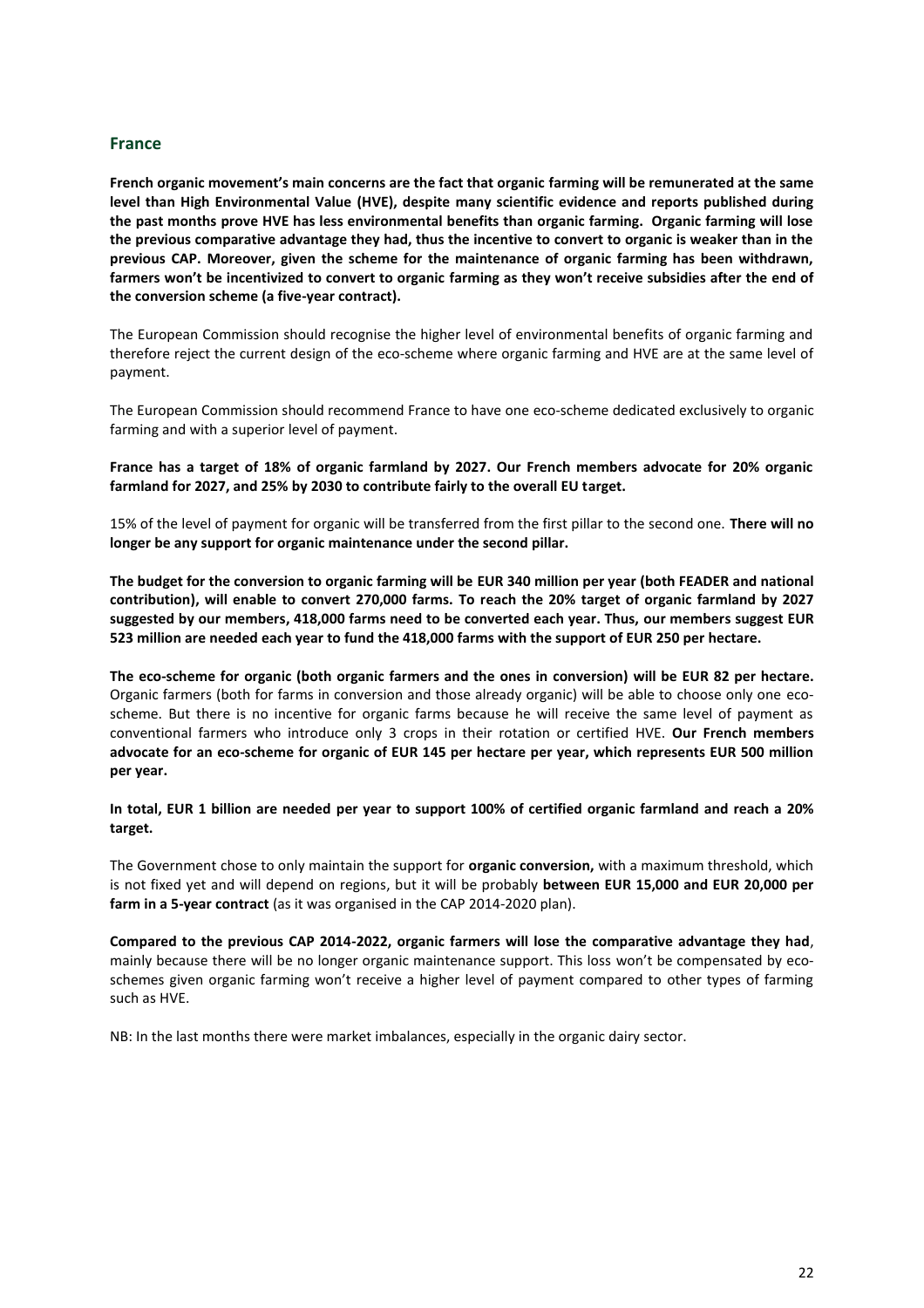#### <span id="page-22-0"></span>**France**

**French organic movement's main concerns are the fact that organic farming will be remunerated at the same level than High Environmental Value (HVE), despite many scientific evidence and reports published during the past months prove HVE has less environmental benefits than organic farming. Organic farming will lose the previous comparative advantage they had, thus the incentive to convert to organic is weaker than in the previous CAP. Moreover, given the scheme for the maintenance of organic farming has been withdrawn, farmers won't be incentivized to convert to organic farming as they won't receive subsidies after the end of the conversion scheme (a five-year contract).**

The European Commission should recognise the higher level of environmental benefits of organic farming and therefore reject the current design of the eco-scheme where organic farming and HVE are at the same level of payment.

The European Commission should recommend France to have one eco-scheme dedicated exclusively to organic farming and with a superior level of payment.

**France has a target of 18% of organic farmland by 2027. Our French members advocate for 20% organic farmland for 2027, and 25% by 2030 to contribute fairly to the overall EU target.** 

15% of the level of payment for organic will be transferred from the first pillar to the second one. **There will no longer be any support for organic maintenance under the second pillar.**

**The budget for the conversion to organic farming will be EUR 340 million per year (both FEADER and national contribution), will enable to convert 270,000 farms. To reach the 20% target of organic farmland by 2027 suggested by our members, 418,000 farms need to be converted each year. Thus, our members suggest EUR 523 million are needed each year to fund the 418,000 farms with the support of EUR 250 per hectare.** 

**The eco-scheme for organic (both organic farmers and the ones in conversion) will be EUR 82 per hectare.** Organic farmers (both for farms in conversion and those already organic) will be able to choose only one ecoscheme. But there is no incentive for organic farms because he will receive the same level of payment as conventional farmers who introduce only 3 crops in their rotation or certified HVE. **Our French members advocate for an eco-scheme for organic of EUR 145 per hectare per year, which represents EUR 500 million per year.** 

**In total, EUR 1 billion are needed per year to support 100% of certified organic farmland and reach a 20% target.**

The Government chose to only maintain the support for **organic conversion,** with a maximum threshold, which is not fixed yet and will depend on regions, but it will be probably **between EUR 15,000 and EUR 20,000 per farm in a 5-year contract** (as it was organised in the CAP 2014-2020 plan).

**Compared to the previous CAP 2014-2022, organic farmers will lose the comparative advantage they had**, mainly because there will be no longer organic maintenance support. This loss won't be compensated by ecoschemes given organic farming won't receive a higher level of payment compared to other types of farming such as HVE.

NB: In the last months there were market imbalances, especially in the organic dairy sector.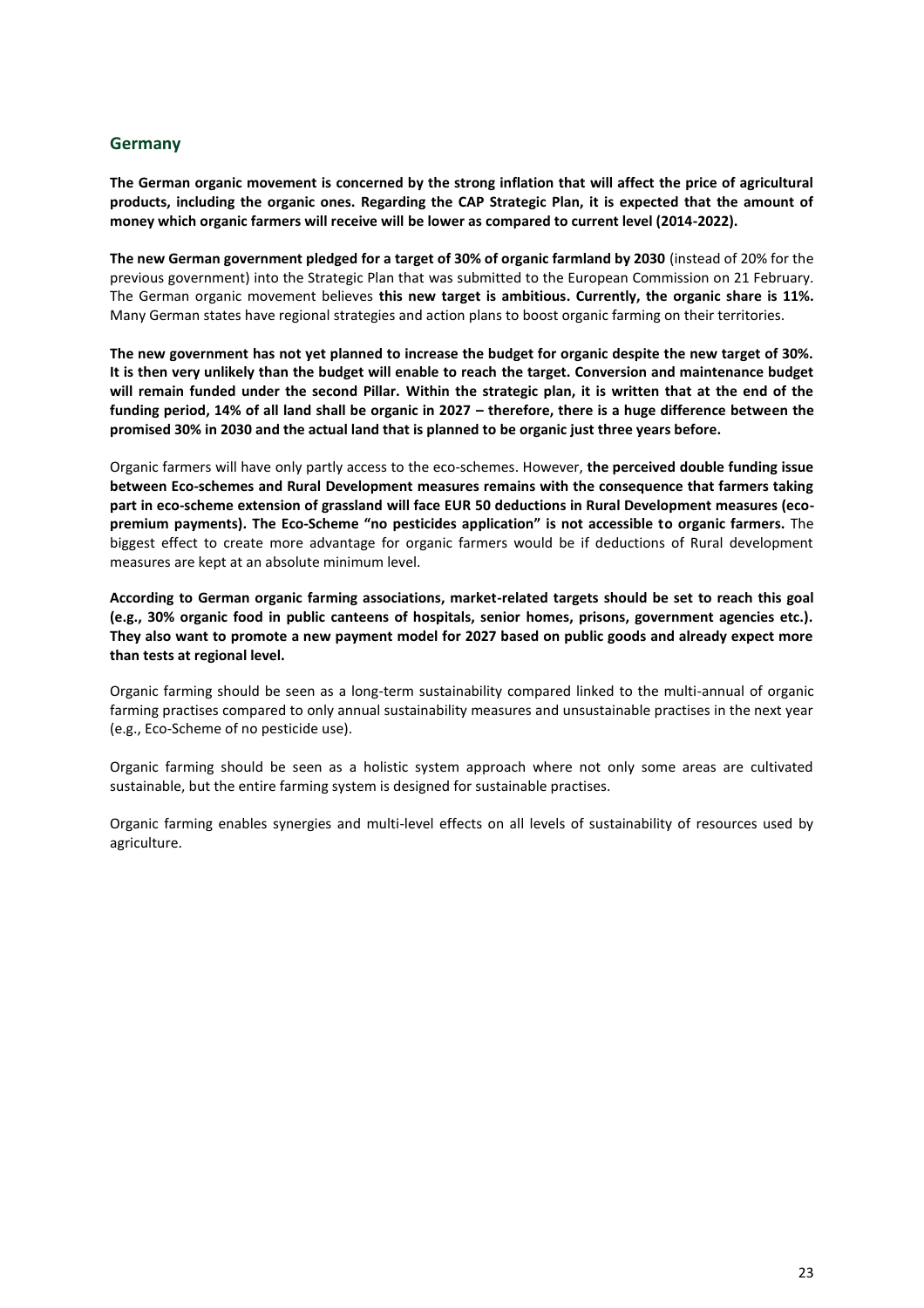#### <span id="page-23-0"></span>**Germany**

**The German organic movement is concerned by the strong inflation that will affect the price of agricultural products, including the organic ones. Regarding the CAP Strategic Plan, it is expected that the amount of money which organic farmers will receive will be lower as compared to current level (2014-2022).** 

**The new German government pledged for a target of 30% of organic farmland by 2030** (instead of 20% for the previous government) into the Strategic Plan that was submitted to the European Commission on 21 February. The German organic movement believes **this new target is ambitious. Currently, the organic share is 11%.**  Many German states have regional strategies and action plans to boost organic farming on their territories.

**The new government has not yet planned to increase the budget for organic despite the new target of 30%. It is then very unlikely than the budget will enable to reach the target. Conversion and maintenance budget will remain funded under the second Pillar. Within the strategic plan, it is written that at the end of the funding period, 14% of all land shall be organic in 2027 – therefore, there is a huge difference between the promised 30% in 2030 and the actual land that is planned to be organic just three years before.** 

Organic farmers will have only partly access to the eco-schemes. However, **the perceived double funding issue between Eco-schemes and Rural Development measures remains with the consequence that farmers taking part in eco-scheme extension of grassland will face EUR 50 deductions in Rural Development measures (ecopremium payments). The Eco-Scheme "no pesticides application" is not accessible to organic farmers.** The biggest effect to create more advantage for organic farmers would be if deductions of Rural development measures are kept at an absolute minimum level.

**According to German organic farming associations, market-related targets should be set to reach this goal (e.g., 30% organic food in public canteens of hospitals, senior homes, prisons, government agencies etc.). They also want to promote a new payment model for 2027 based on public goods and already expect more than tests at regional level.**

Organic farming should be seen as a long-term sustainability compared linked to the multi-annual of organic farming practises compared to only annual sustainability measures and unsustainable practises in the next year (e.g., Eco-Scheme of no pesticide use).

Organic farming should be seen as a holistic system approach where not only some areas are cultivated sustainable, but the entire farming system is designed for sustainable practises.

Organic farming enables synergies and multi-level effects on all levels of sustainability of resources used by agriculture.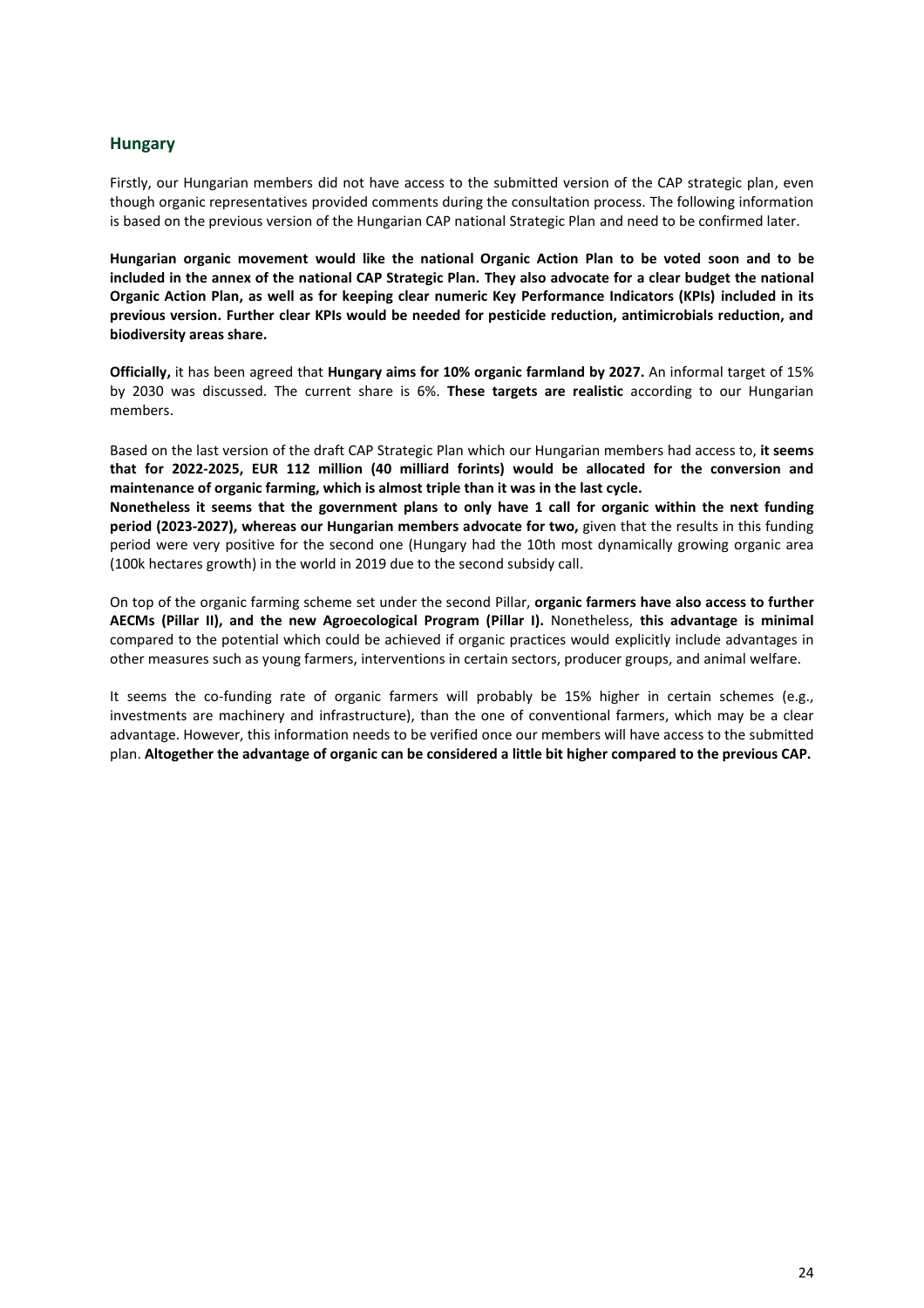#### <span id="page-24-0"></span>**Hungary**

Firstly, our Hungarian members did not have access to the submitted version of the CAP strategic plan, even though organic representatives provided comments during the consultation process. The following information is based on the previous version of the Hungarian CAP national Strategic Plan and need to be confirmed later.

**Hungarian organic movement would like the national Organic Action Plan to be voted soon and to be included in the annex of the national CAP Strategic Plan. They also advocate for a clear budget the national Organic Action Plan, as well as for keeping clear numeric Key Performance Indicators (KPIs) included in its previous version. Further clear KPIs would be needed for pesticide reduction, antimicrobials reduction, and biodiversity areas share.**

**Officially,** it has been agreed that **Hungary aims for 10% organic farmland by 2027.** An informal target of 15% by 2030 was discussed. The current share is 6%. **These targets are realistic** according to our Hungarian members.

Based on the last version of the draft CAP Strategic Plan which our Hungarian members had access to, **it seems that for 2022-2025, EUR 112 million (40 milliard forints) would be allocated for the conversion and maintenance of organic farming, which is almost triple than it was in the last cycle.**

**Nonetheless it seems that the government plans to only have 1 call for organic within the next funding period (2023-2027), whereas our Hungarian members advocate for two,** given that the results in this funding period were very positive for the second one (Hungary had the 10th most dynamically growing organic area (100k hectares growth) in the world in 2019 due to the second subsidy call.

On top of the organic farming scheme set under the second Pillar, **organic farmers have also access to further AECMs (Pillar II), and the new Agroecological Program (Pillar I).** Nonetheless, **this advantage is minimal** compared to the potential which could be achieved if organic practices would explicitly include advantages in other measures such as young farmers, interventions in certain sectors, producer groups, and animal welfare.

It seems the co-funding rate of organic farmers will probably be 15% higher in certain schemes (e.g., investments are machinery and infrastructure), than the one of conventional farmers, which may be a clear advantage. However, this information needs to be verified once our members will have access to the submitted plan. **Altogether the advantage of organic can be considered a little bit higher compared to the previous CAP.**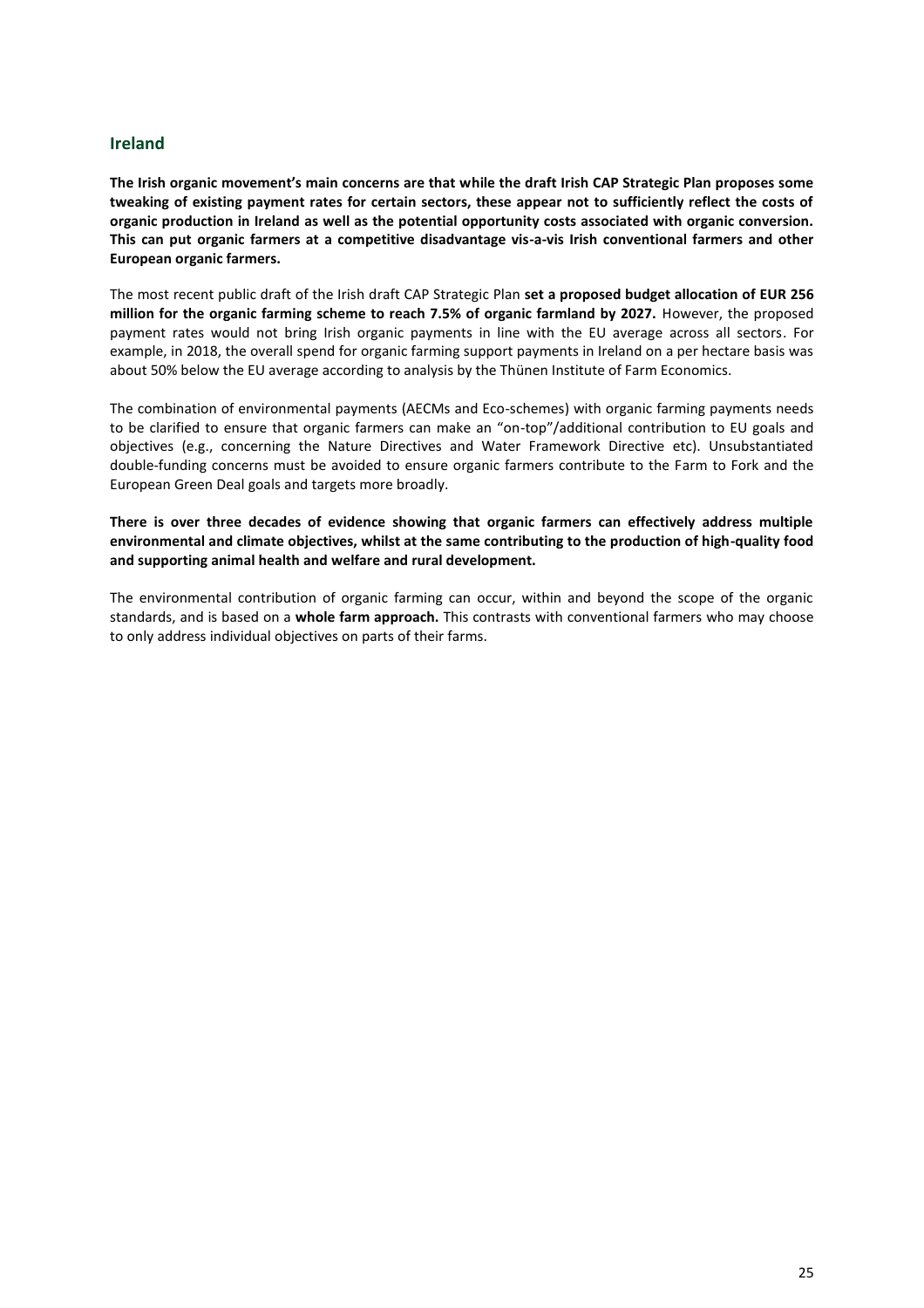#### <span id="page-25-0"></span>**Ireland**

**The Irish organic movement's main concerns are that while the draft Irish CAP Strategic Plan proposes some tweaking of existing payment rates for certain sectors, these appear not to sufficiently reflect the costs of organic production in Ireland as well as the potential opportunity costs associated with organic conversion. This can put organic farmers at a competitive disadvantage vis-a-vis Irish conventional farmers and other European organic farmers.** 

The most recent public draft of the Irish draft CAP Strategic Plan **set a proposed budget allocation of EUR 256 million for the organic farming scheme to reach 7.5% of organic farmland by 2027.** However, the proposed payment rates would not bring Irish organic payments in line with the EU average across all sectors. For example, in 2018, the overall spend for organic farming support payments in Ireland on a per hectare basis was about 50% below the EU average according to analysis by the Thünen Institute of Farm Economics.

The combination of environmental payments (AECMs and Eco-schemes) with organic farming payments needs to be clarified to ensure that organic farmers can make an "on-top"/additional contribution to EU goals and objectives (e.g., concerning the Nature Directives and Water Framework Directive etc). Unsubstantiated double-funding concerns must be avoided to ensure organic farmers contribute to the Farm to Fork and the European Green Deal goals and targets more broadly.

**There is over three decades of evidence showing that organic farmers can effectively address multiple environmental and climate objectives, whilst at the same contributing to the production of high-quality food and supporting animal health and welfare and rural development.** 

The environmental contribution of organic farming can occur, within and beyond the scope of the organic standards, and is based on a **whole farm approach.** This contrasts with conventional farmers who may choose to only address individual objectives on parts of their farms.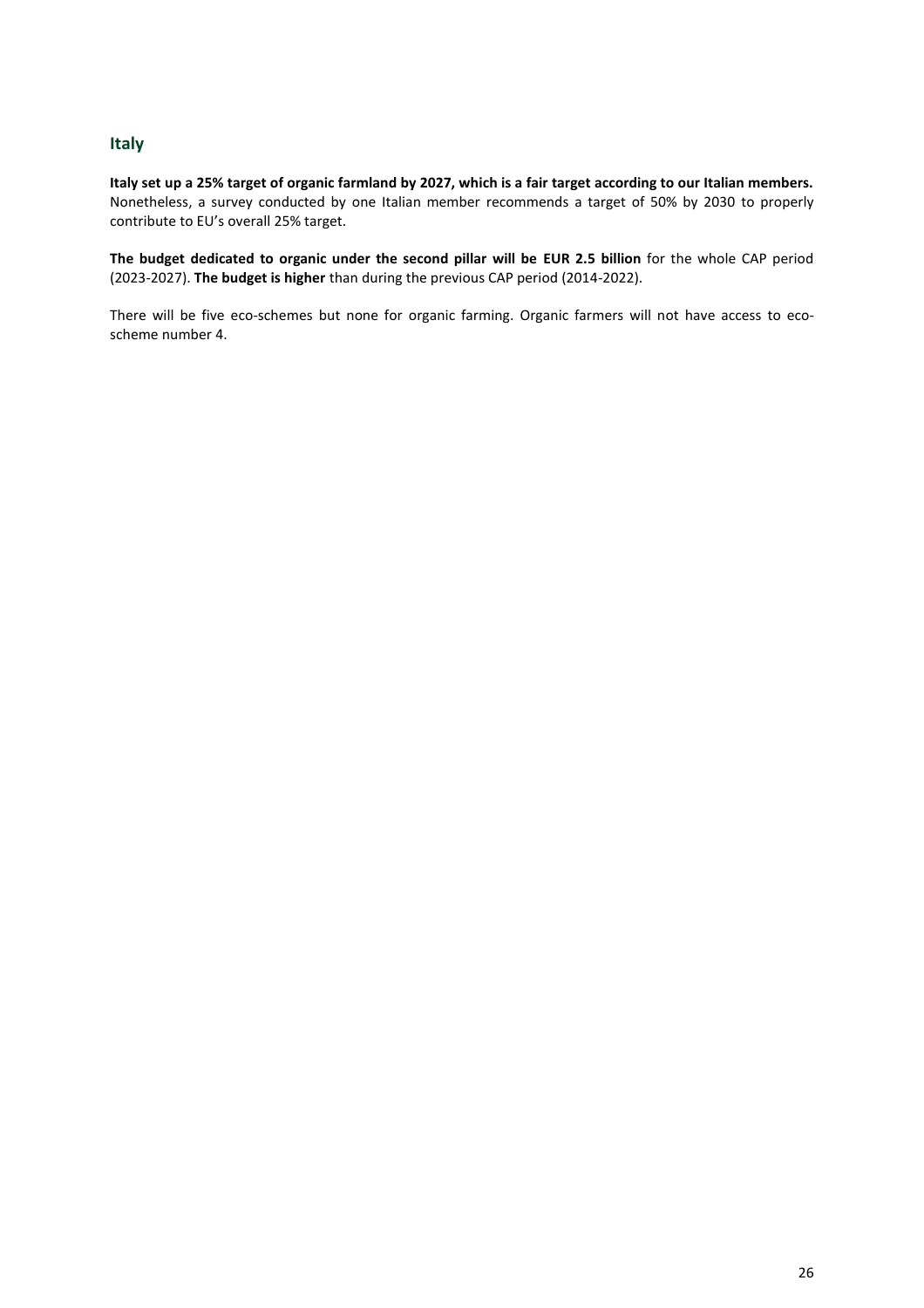### <span id="page-26-0"></span>**Italy**

**Italy set up a 25% target of organic farmland by 2027, which is a fair target according to our Italian members.** Nonetheless, a survey conducted by one Italian member recommends a target of 50% by 2030 to properly contribute to EU's overall 25% target.

**The budget dedicated to organic under the second pillar will be EUR 2.5 billion** for the whole CAP period (2023-2027). **The budget is higher** than during the previous CAP period (2014-2022).

There will be five eco-schemes but none for organic farming. Organic farmers will not have access to ecoscheme number 4.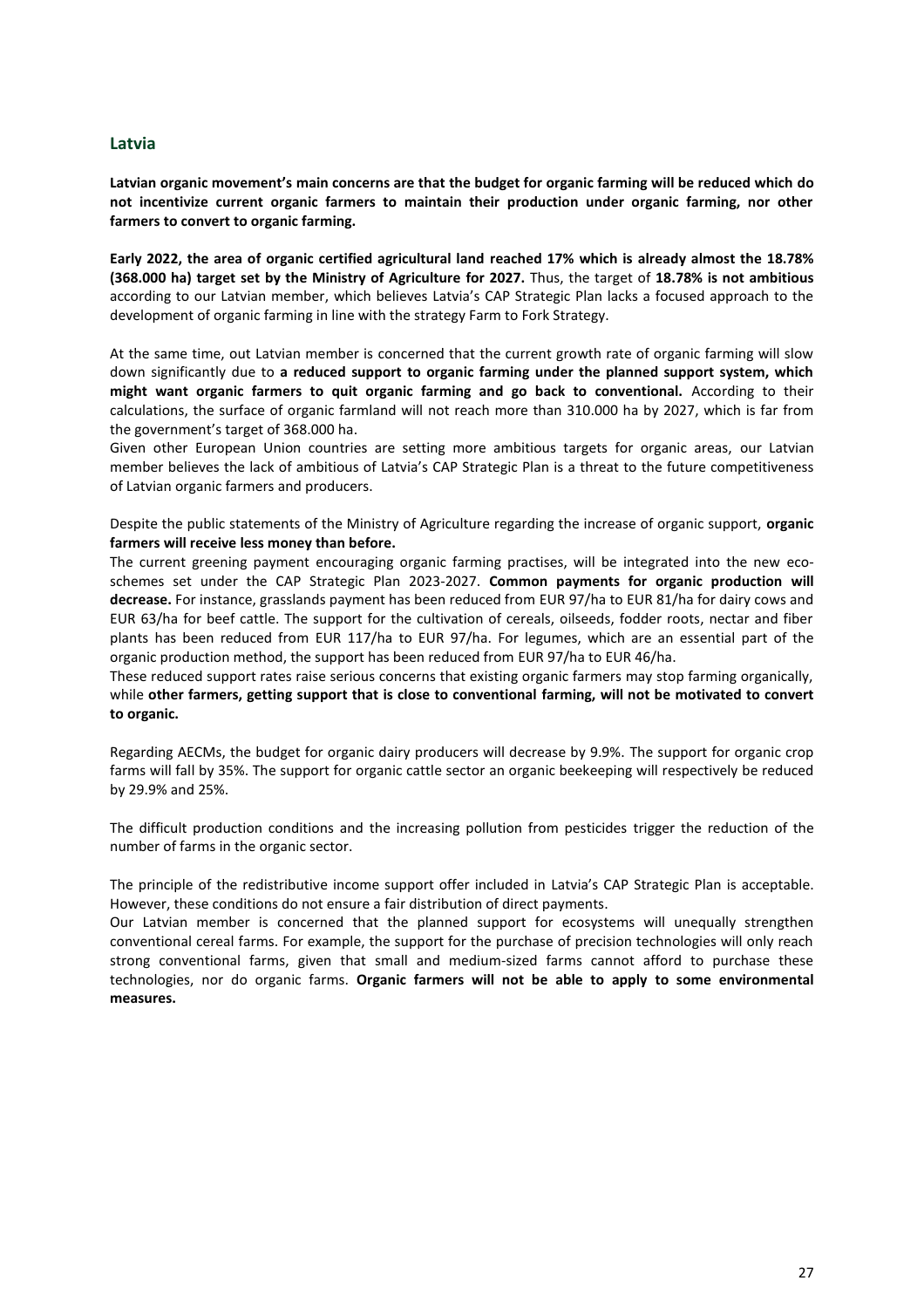#### <span id="page-27-0"></span>**Latvia**

**Latvian organic movement's main concerns are that the budget for organic farming will be reduced which do not incentivize current organic farmers to maintain their production under organic farming, nor other farmers to convert to organic farming.**

**Early 2022, the area of organic certified agricultural land reached 17% which is already almost the 18.78% (368.000 ha) target set by the Ministry of Agriculture for 2027.** Thus, the target of **18.78% is not ambitious**  according to our Latvian member, which believes Latvia's CAP Strategic Plan lacks a focused approach to the development of organic farming in line with the strategy Farm to Fork Strategy.

At the same time, out Latvian member is concerned that the current growth rate of organic farming will slow down significantly due to **a reduced support to organic farming under the planned support system, which might want organic farmers to quit organic farming and go back to conventional.** According to their calculations, the surface of organic farmland will not reach more than 310.000 ha by 2027, which is far from the government's target of 368.000 ha.

Given other European Union countries are setting more ambitious targets for organic areas, our Latvian member believes the lack of ambitious of Latvia's CAP Strategic Plan is a threat to the future competitiveness of Latvian organic farmers and producers.

Despite the public statements of the Ministry of Agriculture regarding the increase of organic support, **organic farmers will receive less money than before.**

The current greening payment encouraging organic farming practises, will be integrated into the new ecoschemes set under the CAP Strategic Plan 2023-2027. **Common payments for organic production will decrease.** For instance, grasslands payment has been reduced from EUR 97/ha to EUR 81/ha for dairy cows and EUR 63/ha for beef cattle. The support for the cultivation of cereals, oilseeds, fodder roots, nectar and fiber plants has been reduced from EUR 117/ha to EUR 97/ha. For legumes, which are an essential part of the organic production method, the support has been reduced from EUR 97/ha to EUR 46/ha.

These reduced support rates raise serious concerns that existing organic farmers may stop farming organically, while **other farmers, getting support that is close to conventional farming, will not be motivated to convert to organic.**

Regarding AECMs, the budget for organic dairy producers will decrease by 9.9%. The support for organic crop farms will fall by 35%. The support for organic cattle sector an organic beekeeping will respectively be reduced by 29.9% and 25%.

The difficult production conditions and the increasing pollution from pesticides trigger the reduction of the number of farms in the organic sector.

The principle of the redistributive income support offer included in Latvia's CAP Strategic Plan is acceptable. However, these conditions do not ensure a fair distribution of direct payments.

Our Latvian member is concerned that the planned support for ecosystems will unequally strengthen conventional cereal farms. For example, the support for the purchase of precision technologies will only reach strong conventional farms, given that small and medium-sized farms cannot afford to purchase these technologies, nor do organic farms. **Organic farmers will not be able to apply to some environmental measures.**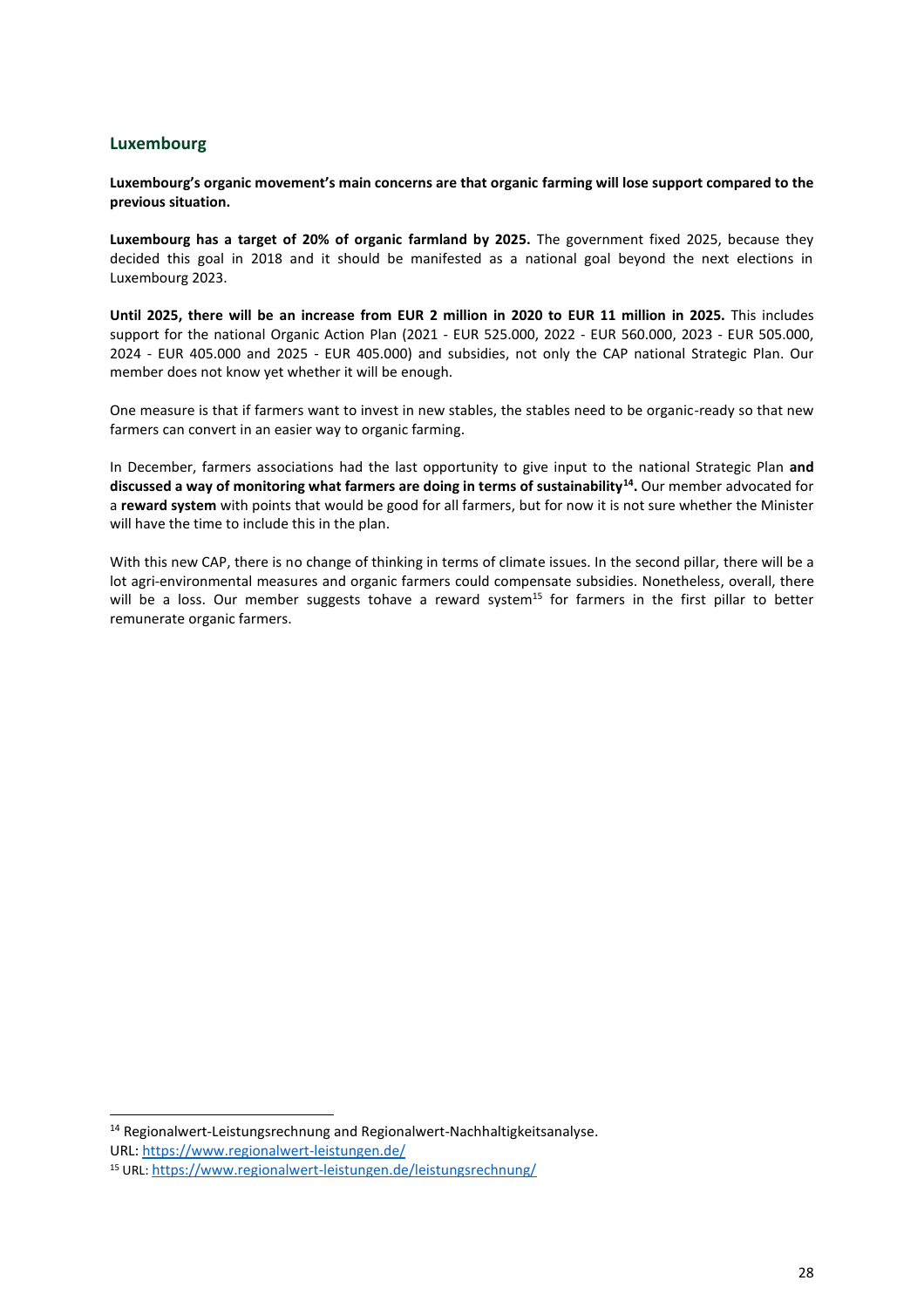#### <span id="page-28-0"></span>**Luxembourg**

#### **Luxembourg's organic movement's main concerns are that organic farming will lose support compared to the previous situation.**

**Luxembourg has a target of 20% of organic farmland by 2025.** The government fixed 2025, because they decided this goal in 2018 and it should be manifested as a national goal beyond the next elections in Luxembourg 2023.

**Until 2025, there will be an increase from EUR 2 million in 2020 to EUR 11 million in 2025.** This includes support for the national Organic Action Plan (2021 - EUR 525.000, 2022 - EUR 560.000, 2023 - EUR 505.000, 2024 - EUR 405.000 and 2025 - EUR 405.000) and subsidies, not only the CAP national Strategic Plan. Our member does not know yet whether it will be enough.

One measure is that if farmers want to invest in new stables, the stables need to be organic-ready so that new farmers can convert in an easier way to organic farming.

In December, farmers associations had the last opportunity to give input to the national Strategic Plan **and discussed a way of monitoring what farmers are doing in terms of sustainability<sup>14</sup> .** Our member advocated for a **reward system** with points that would be good for all farmers, but for now it is not sure whether the Minister will have the time to include this in the plan.

With this new CAP, there is no change of thinking in terms of climate issues. In the second pillar, there will be a lot agri-environmental measures and organic farmers could compensate subsidies. Nonetheless, overall, there will be a loss. Our member suggests tohave a reward system<sup>15</sup> for farmers in the first pillar to better remunerate organic farmers.

<sup>&</sup>lt;sup>14</sup> Regionalwert-Leistungsrechnung and Regionalwert-Nachhaltigkeitsanalyse. URL: <https://www.regionalwert-leistungen.de/>

<sup>15</sup> URL: <https://www.regionalwert-leistungen.de/leistungsrechnung/>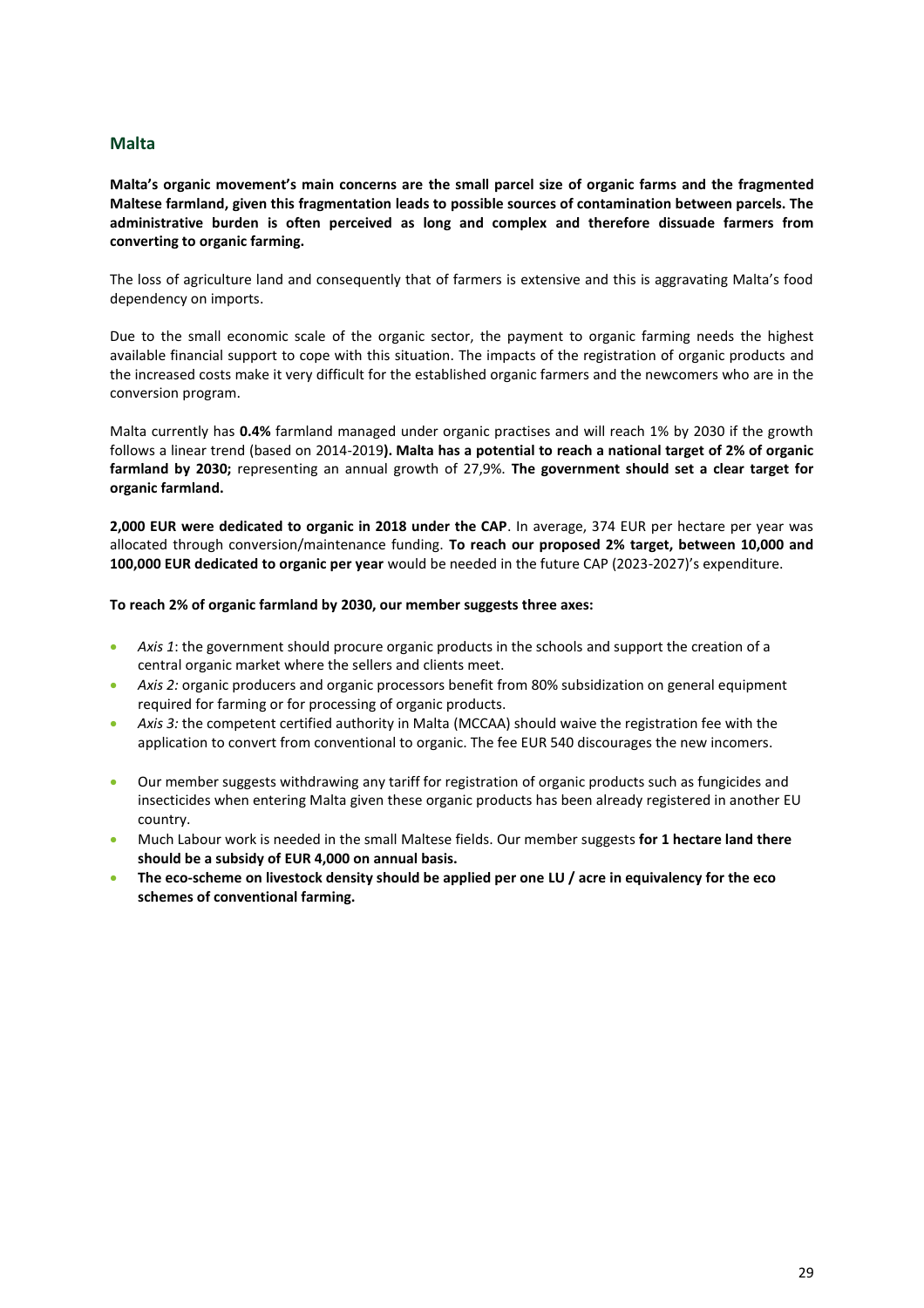#### <span id="page-29-0"></span>**Malta**

**Malta's organic movement's main concerns are the small parcel size of organic farms and the fragmented Maltese farmland, given this fragmentation leads to possible sources of contamination between parcels. The administrative burden is often perceived as long and complex and therefore dissuade farmers from converting to organic farming.** 

The loss of agriculture land and consequently that of farmers is extensive and this is aggravating Malta's food dependency on imports.

Due to the small economic scale of the organic sector, the payment to organic farming needs the highest available financial support to cope with this situation. The impacts of the registration of organic products and the increased costs make it very difficult for the established organic farmers and the newcomers who are in the conversion program.

Malta currently has **0.4%** farmland managed under organic practises and will reach 1% by 2030 if the growth follows a linear trend (based on 2014-2019**). Malta has a potential to reach a national target of 2% of organic farmland by 2030;** representing an annual growth of 27,9%. **The government should set a clear target for organic farmland.**

**2,000 EUR were dedicated to organic in 2018 under the CAP**. In average, 374 EUR per hectare per year was allocated through conversion/maintenance funding. **To reach our proposed 2% target, between 10,000 and 100,000 EUR dedicated to organic per year** would be needed in the future CAP (2023-2027)'s expenditure.

#### **To reach 2% of organic farmland by 2030, our member suggests three axes:**

- Axis 1: the government should procure organic products in the schools and support the creation of a central organic market where the sellers and clients meet.
- *Axis 2:* organic producers and organic processors benefit from 80% subsidization on general equipment required for farming or for processing of organic products.
- *Axis 3:* the competent certified authority in Malta (MCCAA) should waive the registration fee with the application to convert from conventional to organic. The fee EUR 540 discourages the new incomers.
- Our member suggests withdrawing any tariff for registration of organic products such as fungicides and insecticides when entering Malta given these organic products has been already registered in another EU country.
- Much Labour work is needed in the small Maltese fields. Our member suggests **for 1 hectare land there should be a subsidy of EUR 4,000 on annual basis.**
- **The eco-scheme on livestock density should be applied per one LU / acre in equivalency for the eco schemes of conventional farming.**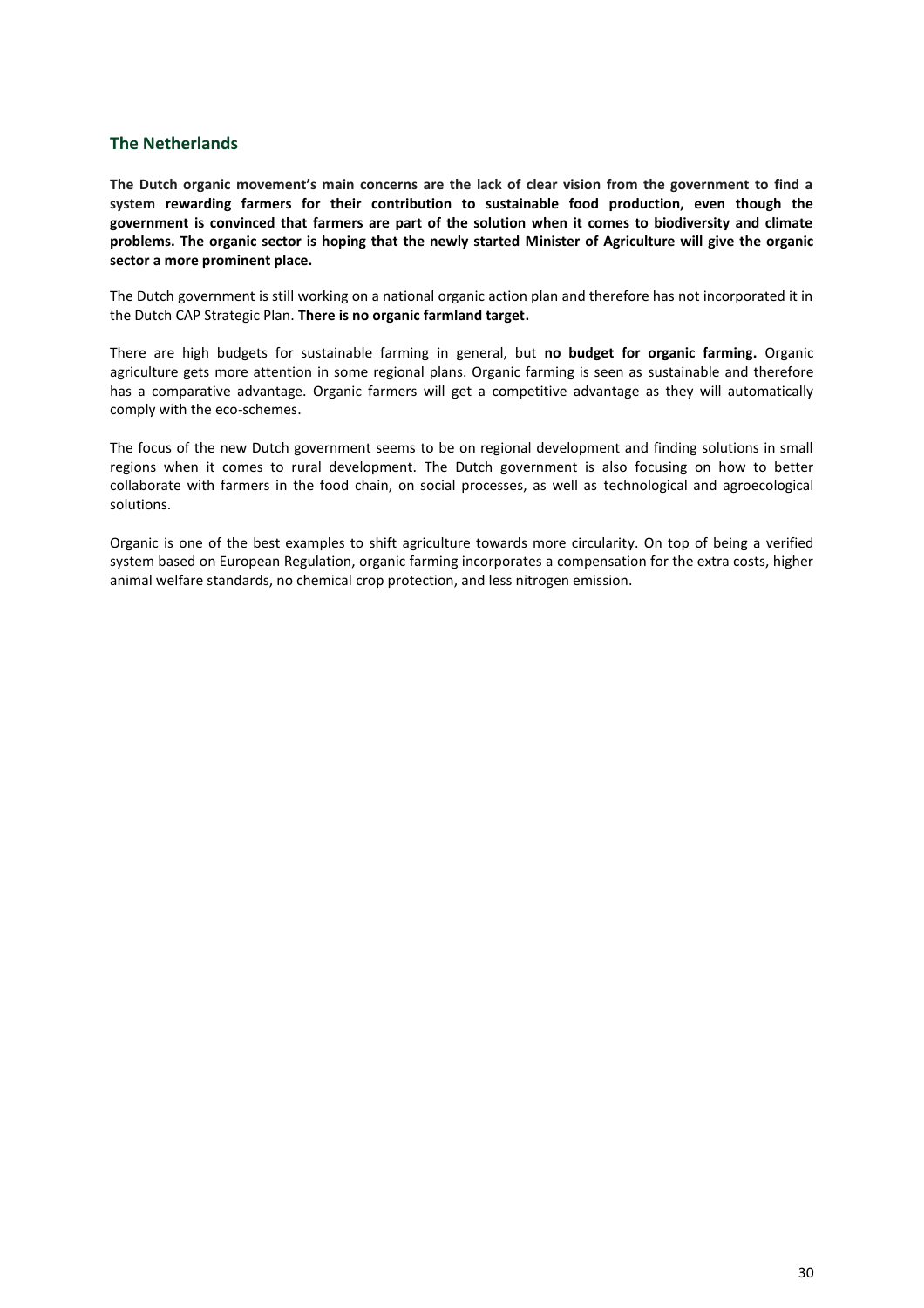#### <span id="page-30-0"></span>**The Netherlands**

**The Dutch organic movement's main concerns are the lack of clear vision from the government to find a system rewarding farmers for their contribution to sustainable food production, even though the government is convinced that farmers are part of the solution when it comes to biodiversity and climate problems. The organic sector is hoping that the newly started Minister of Agriculture will give the organic sector a more prominent place.** 

The Dutch government is still working on a national organic action plan and therefore has not incorporated it in the Dutch CAP Strategic Plan. **There is no organic farmland target.**

There are high budgets for sustainable farming in general, but **no budget for organic farming.** Organic agriculture gets more attention in some regional plans. Organic farming is seen as sustainable and therefore has a comparative advantage. Organic farmers will get a competitive advantage as they will automatically comply with the eco-schemes.

The focus of the new Dutch government seems to be on regional development and finding solutions in small regions when it comes to rural development. The Dutch government is also focusing on how to better collaborate with farmers in the food chain, on social processes, as well as technological and agroecological solutions.

Organic is one of the best examples to shift agriculture towards more circularity. On top of being a verified system based on European Regulation, organic farming incorporates a compensation for the extra costs, higher animal welfare standards, no chemical crop protection, and less nitrogen emission.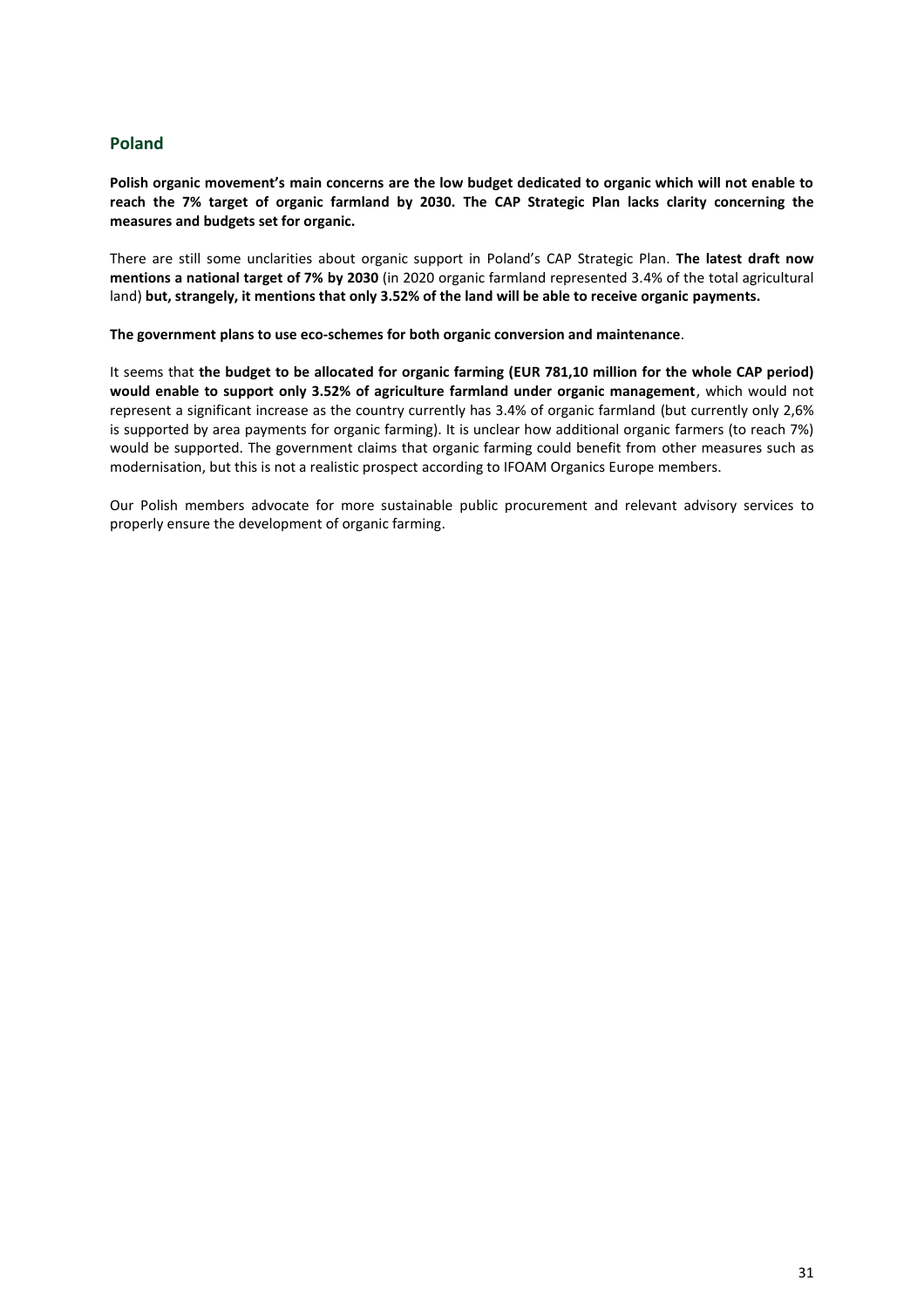#### <span id="page-31-0"></span>**Poland**

**Polish organic movement's main concerns are the low budget dedicated to organic which will not enable to reach the 7% target of organic farmland by 2030. The CAP Strategic Plan lacks clarity concerning the measures and budgets set for organic.**

There are still some unclarities about organic support in Poland's CAP Strategic Plan. **The latest draft now mentions a national target of 7% by 2030** (in 2020 organic farmland represented 3.4% of the total agricultural land) **but, strangely, it mentions that only 3.52% of the land will be able to receive organic payments.**

**The government plans to use eco-schemes for both organic conversion and maintenance**.

It seems that **the budget to be allocated for organic farming (EUR 781,10 million for the whole CAP period) would enable to support only 3.52% of agriculture farmland under organic management**, which would not represent a significant increase as the country currently has 3.4% of organic farmland (but currently only 2,6% is supported by area payments for organic farming). It is unclear how additional organic farmers (to reach 7%) would be supported. The government claims that organic farming could benefit from other measures such as modernisation, but this is not a realistic prospect according to IFOAM Organics Europe members.

Our Polish members advocate for more sustainable public procurement and relevant advisory services to properly ensure the development of organic farming.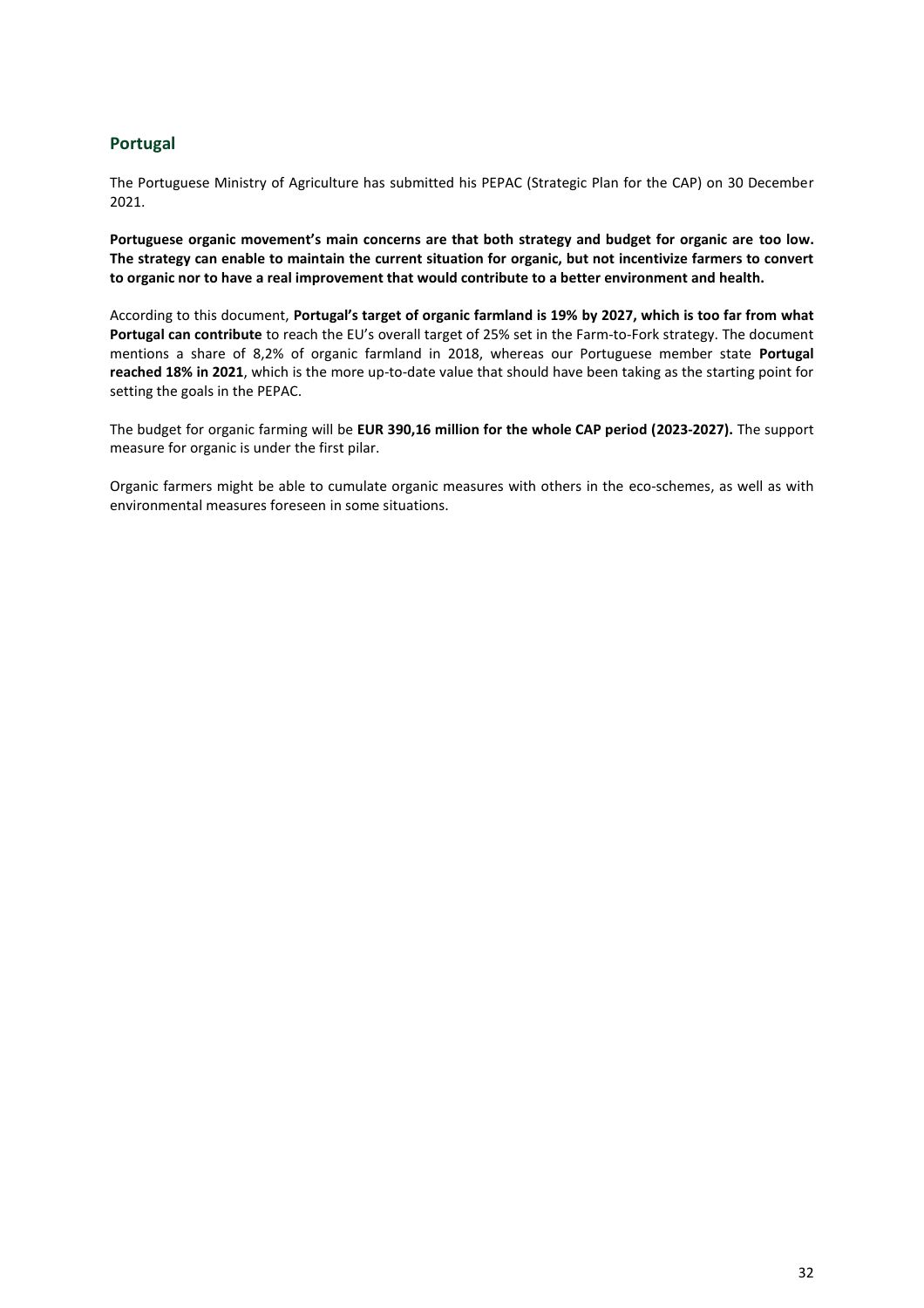### <span id="page-32-0"></span>**Portugal**

The Portuguese Ministry of Agriculture has submitted his PEPAC (Strategic Plan for the CAP) on 30 December 2021.

**Portuguese organic movement's main concerns are that both strategy and budget for organic are too low. The strategy can enable to maintain the current situation for organic, but not incentivize farmers to convert to organic nor to have a real improvement that would contribute to a better environment and health.**

According to this document, **Portugal's target of organic farmland is 19% by 2027, which is too far from what Portugal can contribute** to reach the EU's overall target of 25% set in the Farm-to-Fork strategy. The document mentions a share of 8,2% of organic farmland in 2018, whereas our Portuguese member state **Portugal reached 18% in 2021**, which is the more up-to-date value that should have been taking as the starting point for setting the goals in the PEPAC.

The budget for organic farming will be **EUR 390,16 million for the whole CAP period (2023-2027).** The support measure for organic is under the first pilar.

Organic farmers might be able to cumulate organic measures with others in the eco-schemes, as well as with environmental measures foreseen in some situations.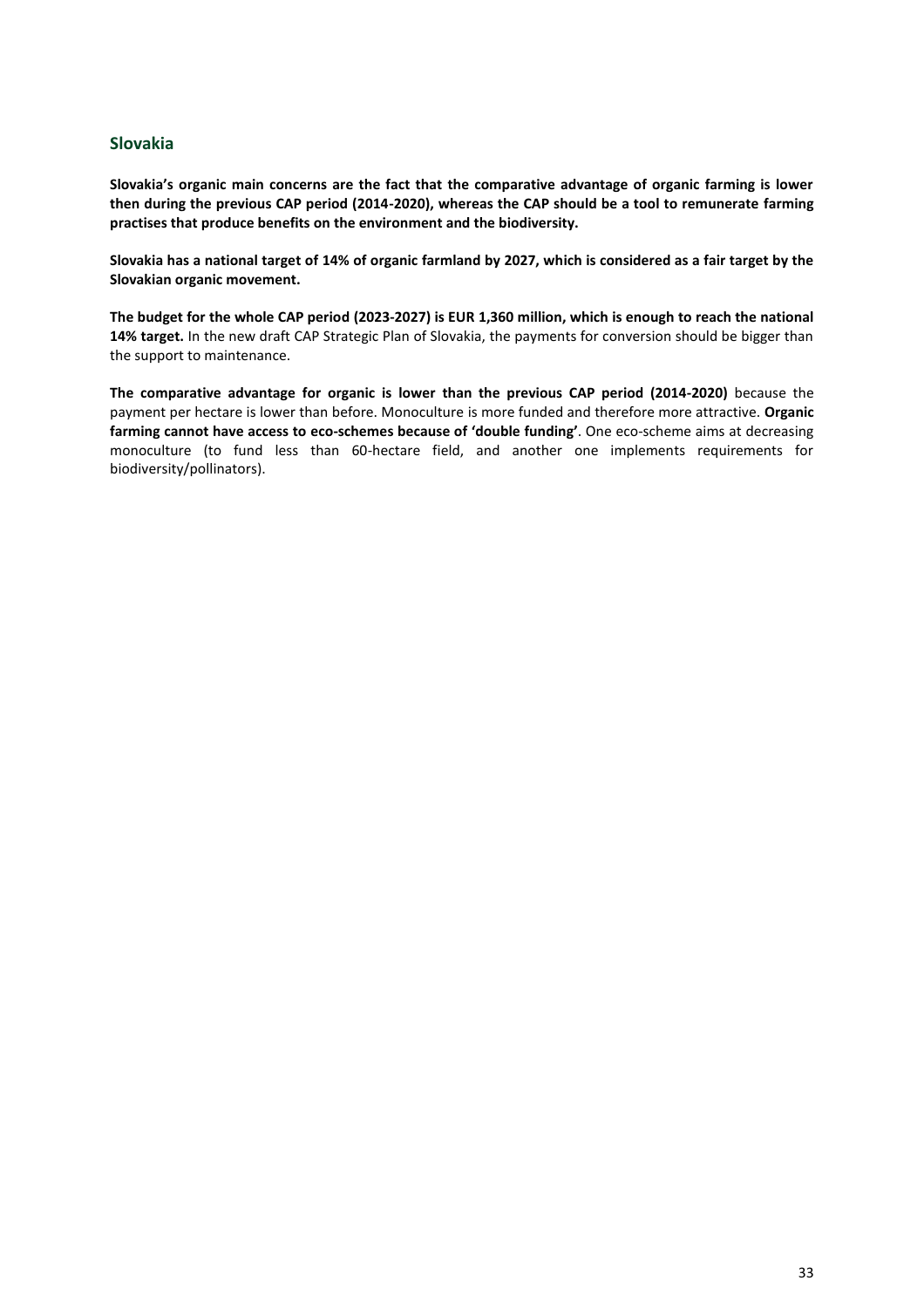### <span id="page-33-0"></span>**Slovakia**

**Slovakia's organic main concerns are the fact that the comparative advantage of organic farming is lower then during the previous CAP period (2014-2020), whereas the CAP should be a tool to remunerate farming practises that produce benefits on the environment and the biodiversity.**

**Slovakia has a national target of 14% of organic farmland by 2027, which is considered as a fair target by the Slovakian organic movement.**

**The budget for the whole CAP period (2023-2027) is EUR 1,360 million, which is enough to reach the national 14% target.** In the new draft CAP Strategic Plan of Slovakia, the payments for conversion should be bigger than the support to maintenance.

**The comparative advantage for organic is lower than the previous CAP period (2014-2020)** because the payment per hectare is lower than before. Monoculture is more funded and therefore more attractive. **Organic farming cannot have access to eco-schemes because of 'double funding'**. One eco-scheme aims at decreasing monoculture (to fund less than 60-hectare field, and another one implements requirements for biodiversity/pollinators).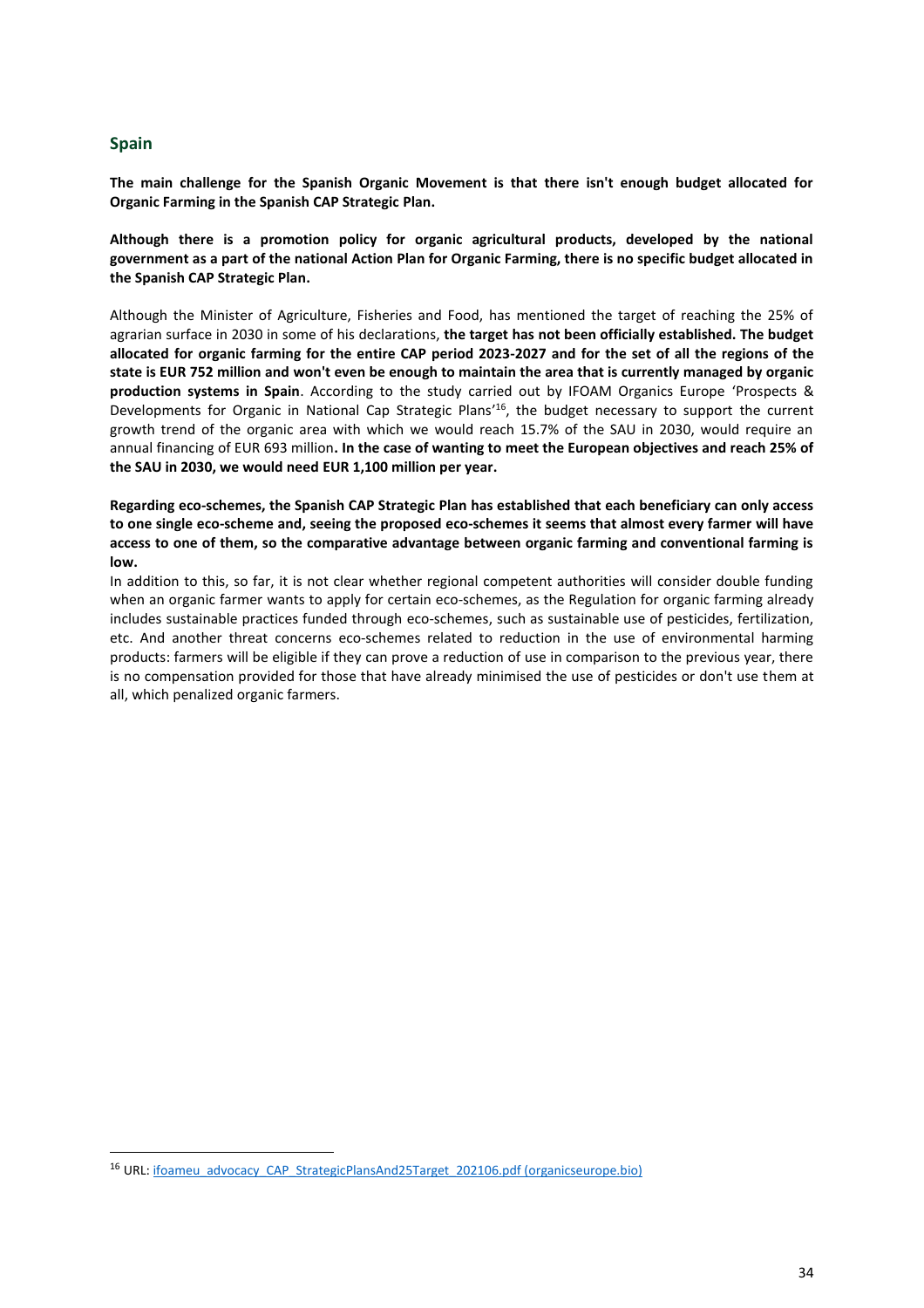#### <span id="page-34-0"></span>**Spain**

**The main challenge for the Spanish Organic Movement is that there isn't enough budget allocated for Organic Farming in the Spanish CAP Strategic Plan.**

**Although there is a promotion policy for organic agricultural products, developed by the national government as a part of the national Action Plan for Organic Farming, there is no specific budget allocated in the Spanish CAP Strategic Plan.**

Although the Minister of Agriculture, Fisheries and Food, has mentioned the target of reaching the 25% of agrarian surface in 2030 in some of his declarations, **the target has not been officially established. The budget allocated for organic farming for the entire CAP period 2023-2027 and for the set of all the regions of the state is EUR 752 million and won't even be enough to maintain the area that is currently managed by organic production systems in Spain**. According to the study carried out by IFOAM Organics Europe 'Prospects & Developments for Organic in National Cap Strategic Plans<sup>'16</sup>, the budget necessary to support the current growth trend of the organic area with which we would reach 15.7% of the SAU in 2030, would require an annual financing of EUR 693 million**. In the case of wanting to meet the European objectives and reach 25% of the SAU in 2030, we would need EUR 1,100 million per year.**

**Regarding eco-schemes, the Spanish CAP Strategic Plan has established that each beneficiary can only access to one single eco-scheme and, seeing the proposed eco-schemes it seems that almost every farmer will have access to one of them, so the comparative advantage between organic farming and conventional farming is low.**

In addition to this, so far, it is not clear whether regional competent authorities will consider double funding when an organic farmer wants to apply for certain eco-schemes, as the Regulation for organic farming already includes sustainable practices funded through eco-schemes, such as sustainable use of pesticides, fertilization, etc. And another threat concerns eco-schemes related to reduction in the use of environmental harming products: farmers will be eligible if they can prove a reduction of use in comparison to the previous year, there is no compensation provided for those that have already minimised the use of pesticides or don't use them at all, which penalized organic farmers.

<sup>&</sup>lt;sup>16</sup> URL[: ifoameu\\_advocacy\\_CAP\\_StrategicPlansAnd25Target\\_202106.pdf \(organicseurope.bio\)](https://www.organicseurope.bio/content/uploads/2021/06/ifoameu_advocacy_CAP_StrategicPlansAnd25Target_202106.pdf?dd)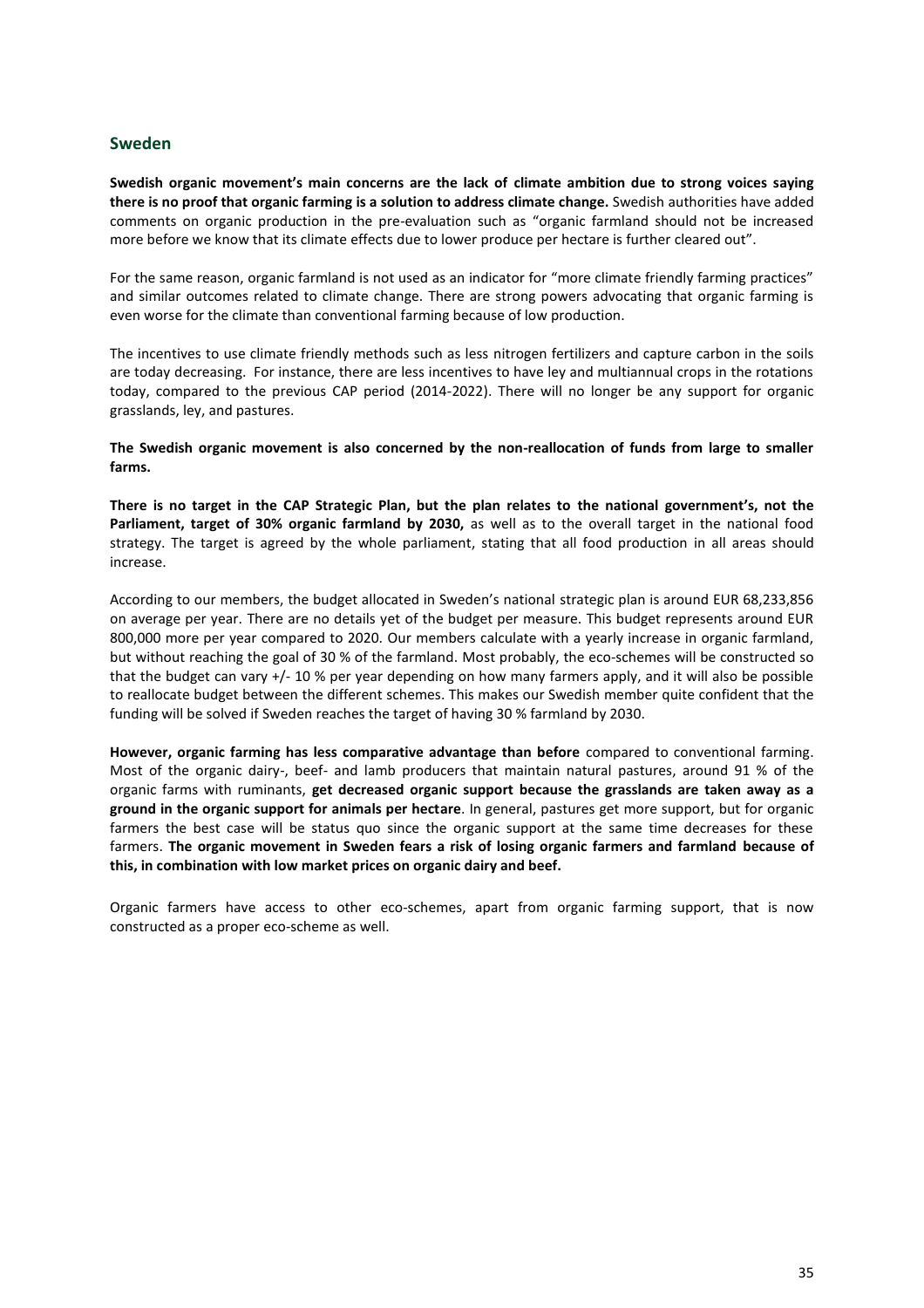#### <span id="page-35-0"></span>**Sweden**

**Swedish organic movement's main concerns are the lack of climate ambition due to strong voices saying there is no proof that organic farming is a solution to address climate change.** Swedish authorities have added comments on organic production in the pre-evaluation such as "organic farmland should not be increased more before we know that its climate effects due to lower produce per hectare is further cleared out".

For the same reason, organic farmland is not used as an indicator for "more climate friendly farming practices" and similar outcomes related to climate change. There are strong powers advocating that organic farming is even worse for the climate than conventional farming because of low production.

The incentives to use climate friendly methods such as less nitrogen fertilizers and capture carbon in the soils are today decreasing. For instance, there are less incentives to have ley and multiannual crops in the rotations today, compared to the previous CAP period (2014-2022). There will no longer be any support for organic grasslands, ley, and pastures.

**The Swedish organic movement is also concerned by the non-reallocation of funds from large to smaller farms.** 

**There is no target in the CAP Strategic Plan, but the plan relates to the national government's, not the Parliament, target of 30% organic farmland by 2030,** as well as to the overall target in the national food strategy. The target is agreed by the whole parliament, stating that all food production in all areas should increase.

According to our members, the budget allocated in Sweden's national strategic plan is around EUR 68,233,856 on average per year. There are no details yet of the budget per measure. This budget represents around EUR 800,000 more per year compared to 2020. Our members calculate with a yearly increase in organic farmland, but without reaching the goal of 30 % of the farmland. Most probably, the eco-schemes will be constructed so that the budget can vary +/- 10 % per year depending on how many farmers apply, and it will also be possible to reallocate budget between the different schemes. This makes our Swedish member quite confident that the funding will be solved if Sweden reaches the target of having 30 % farmland by 2030.

**However, organic farming has less comparative advantage than before** compared to conventional farming. Most of the organic dairy-, beef- and lamb producers that maintain natural pastures, around 91 % of the organic farms with ruminants, **get decreased organic support because the grasslands are taken away as a ground in the organic support for animals per hectare**. In general, pastures get more support, but for organic farmers the best case will be status quo since the organic support at the same time decreases for these farmers. **The organic movement in Sweden fears a risk of losing organic farmers and farmland because of this, in combination with low market prices on organic dairy and beef.**

Organic farmers have access to other eco-schemes, apart from organic farming support, that is now constructed as a proper eco-scheme as well.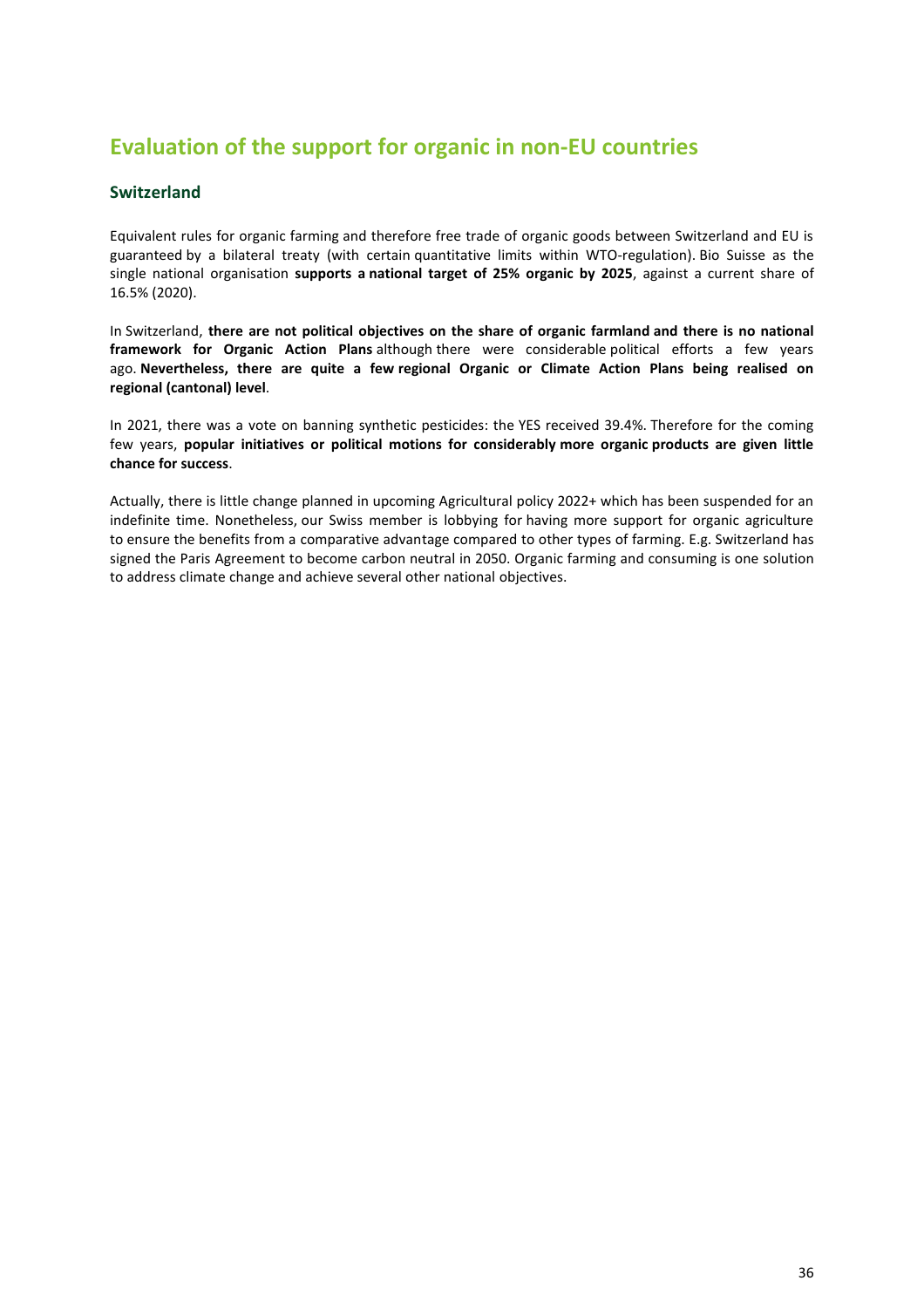# <span id="page-36-0"></span>**Evaluation of the support for organic in non-EU countries**

## <span id="page-36-1"></span>**Switzerland**

Equivalent rules for organic farming and therefore free trade of organic goods between Switzerland and EU is guaranteed by a bilateral treaty (with certain quantitative limits within WTO-regulation). Bio Suisse as the single national organisation **supports a national target of 25% organic by 2025**, against a current share of 16.5% (2020).

In Switzerland, **there are not political objectives on the share of organic farmland and there is no national framework for Organic Action Plans** although there were considerable political efforts a few years ago. **Nevertheless, there are quite a few regional Organic or Climate Action Plans being realised on regional (cantonal) level**.

In 2021, there was a vote on banning synthetic pesticides: the YES received 39.4%. Therefore for the coming few years, **popular initiatives or political motions for considerably more organic products are given little chance for success**.

<span id="page-36-2"></span>Actually, there is little change planned in upcoming Agricultural policy 2022+ which has been suspended for an indefinite time. Nonetheless, our Swiss member is lobbying for having more support for organic agriculture to ensure the benefits from a comparative advantage compared to other types of farming. E.g. Switzerland has signed the Paris Agreement to become carbon neutral in 2050. Organic farming and consuming is one solution to address climate change and achieve several other national objectives.